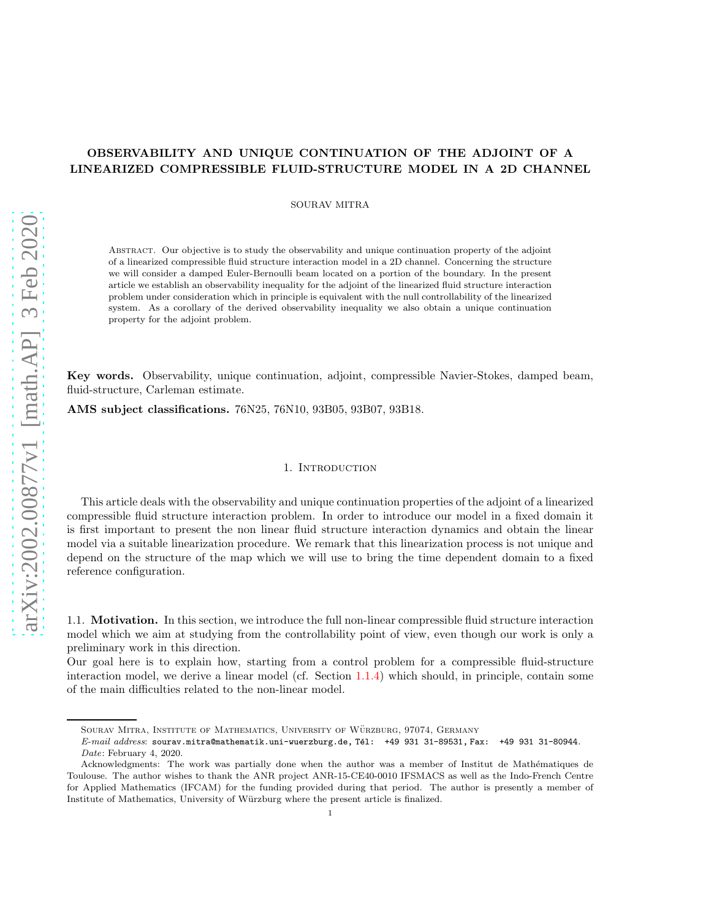# arXiv:2002.00877v1 [math.AP] 3 Feb 2020 [arXiv:2002.00877v1 \[math.AP\] 3 Feb 2020](http://arxiv.org/abs/2002.00877v1)

# OBSERVABILITY AND UNIQUE CONTINUATION OF THE ADJOINT OF A LINEARIZED COMPRESSIBLE FLUID-STRUCTURE MODEL IN A 2D CHANNEL

SOURAV MITRA

Abstract. Our objective is to study the observability and unique continuation property of the adjoint of a linearized compressible fluid structure interaction model in a 2D channel. Concerning the structure we will consider a damped Euler-Bernoulli beam located on a portion of the boundary. In the present article we establish an observability inequality for the adjoint of the linearized fluid structure interaction problem under consideration which in principle is equivalent with the null controllability of the linearized system. As a corollary of the derived observability inequality we also obtain a unique continuation property for the adjoint problem.

Key words. Observability, unique continuation, adjoint, compressible Navier-Stokes, damped beam, fluid-structure, Carleman estimate.

AMS subject classifications. 76N25, 76N10, 93B05, 93B07, 93B18.

### 1. INTRODUCTION

This article deals with the observability and unique continuation properties of the adjoint of a linearized compressible fluid structure interaction problem. In order to introduce our model in a fixed domain it is first important to present the non linear fluid structure interaction dynamics and obtain the linear model via a suitable linearization procedure. We remark that this linearization process is not unique and depend on the structure of the map which we will use to bring the time dependent domain to a fixed reference configuration.

1.1. Motivation. In this section, we introduce the full non-linear compressible fluid structure interaction model which we aim at studying from the controllability point of view, even though our work is only a preliminary work in this direction.

Our goal here is to explain how, starting from a control problem for a compressible fluid-structure interaction model, we derive a linear model (cf. Section [1.1.4\)](#page-5-0) which should, in principle, contain some of the main difficulties related to the non-linear model.

SOURAV MITRA, INSTITUTE OF MATHEMATICS, UNIVERSITY OF WÜRZBURG, 97074, GERMANY

 $E-mail$   $address:$  sourav.mitra@mathematik.uni-wuerzburg.de, Tél: +49 931 31-89531, Fax: +49 931 31-80944. Date: February 4, 2020.

Acknowledgments: The work was partially done when the author was a member of Institut de Mathématiques de Toulouse. The author wishes to thank the ANR project ANR-15-CE40-0010 IFSMACS as well as the Indo-French Centre for Applied Mathematics (IFCAM) for the funding provided during that period. The author is presently a member of Institute of Mathematics, University of Würzburg where the present article is finalized.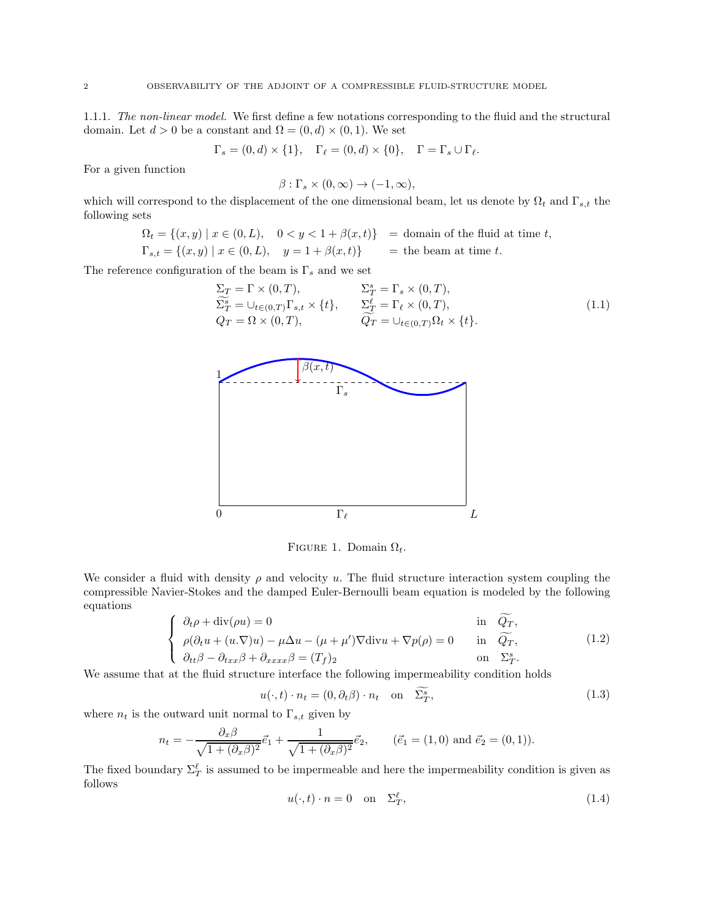1.1.1. The non-linear model. We first define a few notations corresponding to the fluid and the structural domain. Let  $d > 0$  be a constant and  $\Omega = (0, d) \times (0, 1)$ . We set

$$
\Gamma_s = (0, d) \times \{1\}, \quad \Gamma_\ell = (0, d) \times \{0\}, \quad \Gamma = \Gamma_s \cup \Gamma_\ell.
$$

For a given function

$$
\beta: \Gamma_s \times (0, \infty) \to (-1, \infty),
$$

which will correspond to the displacement of the one dimensional beam, let us denote by  $\Omega_t$  and  $\Gamma_{s,t}$  the following sets

$$
\Omega_t = \{(x, y) \mid x \in (0, L), \quad 0 < y < 1 + \beta(x, t)\} \quad \text{= domain of the fluid at time } t,
$$
\n
$$
\Gamma_{s,t} = \{(x, y) \mid x \in (0, L), \quad y = 1 + \beta(x, t)\} \quad \text{= the beam at time } t.
$$

The reference configuration of the beam is  $\Gamma_s$  and we set

$$
\Sigma_T = \Gamma \times (0, T), \qquad \Sigma_T^s = \Gamma_s \times (0, T), \n\widetilde{\Sigma}_T^s = \cup_{t \in (0, T)} \Gamma_{s,t} \times \{t\}, \qquad \Sigma_T^\ell = \Gamma_\ell \times (0, T), \nQ_T = \Omega \times (0, T), \qquad \widetilde{Q}_T = \cup_{t \in (0, T)} \Omega_t \times \{t\}.
$$
\n(1.1)



FIGURE 1. Domain  $\Omega_t$ .

We consider a fluid with density  $\rho$  and velocity u. The fluid structure interaction system coupling the compressible Navier-Stokes and the damped Euler-Bernoulli beam equation is modeled by the following equations

<span id="page-1-0"></span>
$$
\begin{cases}\n\partial_t \rho + \text{div}(\rho u) = 0 & \text{in } \widetilde{Q_T}, \\
\rho(\partial_t u + (u \cdot \nabla)u) - \mu \Delta u - (\mu + \mu') \nabla \text{div} u + \nabla p(\rho) = 0 & \text{in } \widetilde{Q_T}, \\
\partial_{tt} \beta - \partial_{txx} \beta + \partial_{xxx} \beta = (T_f)_2 & \text{on } \Sigma_T^s.\n\end{cases}
$$
\n(1.2)

We assume that at the fluid structure interface the following impermeability condition holds

$$
u(\cdot, t) \cdot n_t = (0, \partial_t \beta) \cdot n_t \quad \text{on} \quad \Sigma^s_T,
$$
\n
$$
(1.3)
$$

where  $n_t$  is the outward unit normal to  $\Gamma_{s,t}$  given by

$$
n_t = -\frac{\partial_x \beta}{\sqrt{1 + (\partial_x \beta)^2}} \vec{e}_1 + \frac{1}{\sqrt{1 + (\partial_x \beta)^2}} \vec{e}_2, \qquad (\vec{e}_1 = (1, 0) \text{ and } \vec{e}_2 = (0, 1)).
$$

<span id="page-1-2"></span>The fixed boundary  $\Sigma_T^{\ell}$  is assumed to be impermeable and here the impermeability condition is given as follows

<span id="page-1-1"></span>
$$
u(\cdot, t) \cdot n = 0 \quad \text{on} \quad \Sigma_T^{\ell}, \tag{1.4}
$$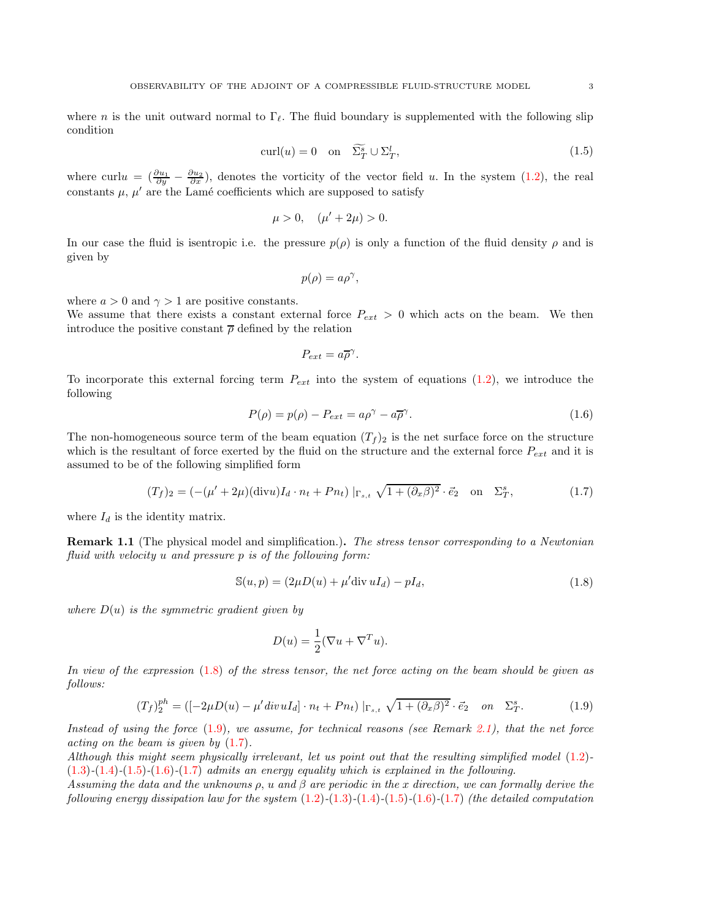<span id="page-2-3"></span>where n is the unit outward normal to  $\Gamma_{\ell}$ . The fluid boundary is supplemented with the following slip condition

$$
\operatorname{curl}(u) = 0 \quad \text{on} \quad \widetilde{\Sigma}_T^s \cup \Sigma_T^l, \tag{1.5}
$$

where curl $u = \left(\frac{\partial u_1}{\partial y} - \frac{\partial u_2}{\partial x}\right)$ , denotes the vorticity of the vector field u. In the system  $(1.2)$ , the real constants  $\mu$ ,  $\mu'$  are the Lamé coefficients which are supposed to satisfy

$$
\mu > 0, \quad (\mu' + 2\mu) > 0.
$$

In our case the fluid is isentropic i.e. the pressure  $p(\rho)$  is only a function of the fluid density  $\rho$  and is given by

$$
p(\rho) = a\rho^{\gamma},
$$

where  $a > 0$  and  $\gamma > 1$  are positive constants.

We assume that there exists a constant external force  $P_{ext} > 0$  which acts on the beam. We then introduce the positive constant  $\bar{\rho}$  defined by the relation

$$
P_{ext} = a\overline{\rho}^{\gamma}.
$$

<span id="page-2-4"></span>To incorporate this external forcing term  $P_{ext}$  into the system of equations [\(1.2\)](#page-1-0), we introduce the following

<span id="page-2-2"></span>
$$
P(\rho) = p(\rho) - P_{ext} = a\rho^{\gamma} - a\overline{\rho}^{\gamma}.
$$
\n(1.6)

The non-homogeneous source term of the beam equation  $(T_f)_2$  is the net surface force on the structure which is the resultant of force exerted by the fluid on the structure and the external force  $P_{ext}$  and it is assumed to be of the following simplified form

$$
(T_f)_2 = \left(-\left(\mu' + 2\mu\right)(\text{div}u)I_d \cdot n_t + P n_t\right)|_{\Gamma_{s,t}} \sqrt{1 + (\partial_x \beta)^2} \cdot \vec{e}_2 \quad \text{on} \quad \Sigma_T^s,\tag{1.7}
$$

where  $I_d$  is the identity matrix.

<span id="page-2-5"></span>**Remark 1.1** (The physical model and simplification.). The stress tensor corresponding to a Newtonian fluid with velocity u and pressure p is of the following form:

$$
\mathbb{S}(u, p) = (2\mu D(u) + \mu' \text{div } uI_d) - pI_d,
$$
\n(1.8)

where  $D(u)$  is the symmetric gradient given by

<span id="page-2-0"></span>
$$
D(u) = \frac{1}{2}(\nabla u + \nabla^T u).
$$

In view of the expression [\(1.8\)](#page-2-0) of the stress tensor, the net force acting on the beam should be given as follows:

<span id="page-2-1"></span>
$$
(T_f)_{2}^{ph} = ([-2\mu D(u) - \mu'divuI_d] \cdot n_t + Pn_t) |_{\Gamma_{s,t}} \sqrt{1 + (\partial_x \beta)^2} \cdot \vec{e}_2 \quad on \quad \Sigma_T^s. \tag{1.9}
$$

Instead of using the force  $(1.9)$ , we assume, for technical reasons (see Remark [2.1\)](#page-11-0), that the net force acting on the beam is given by [\(1.7\)](#page-2-2).

Although this might seem physically irrelevant, let us point out that the resulting simplified model [\(1.2\)](#page-1-0)-  $(1.3)-(1.4)-(1.5)-(1.6)-(1.7)$  $(1.3)-(1.4)-(1.5)-(1.6)-(1.7)$  $(1.3)-(1.4)-(1.5)-(1.6)-(1.7)$  $(1.3)-(1.4)-(1.5)-(1.6)-(1.7)$  $(1.3)-(1.4)-(1.5)-(1.6)-(1.7)$  $(1.3)-(1.4)-(1.5)-(1.6)-(1.7)$  $(1.3)-(1.4)-(1.5)-(1.6)-(1.7)$  $(1.3)-(1.4)-(1.5)-(1.6)-(1.7)$  $(1.3)-(1.4)-(1.5)-(1.6)-(1.7)$  admits an energy equality which is explained in the following.

Assuming the data and the unknowns  $\rho$ , u and  $\beta$  are periodic in the x direction, we can formally derive the following energy dissipation law for the system  $(1.2)$ - $(1.3)$ - $(1.4)$ - $(1.5)$ - $(1.6)$ - $(1.7)$  (the detailed computation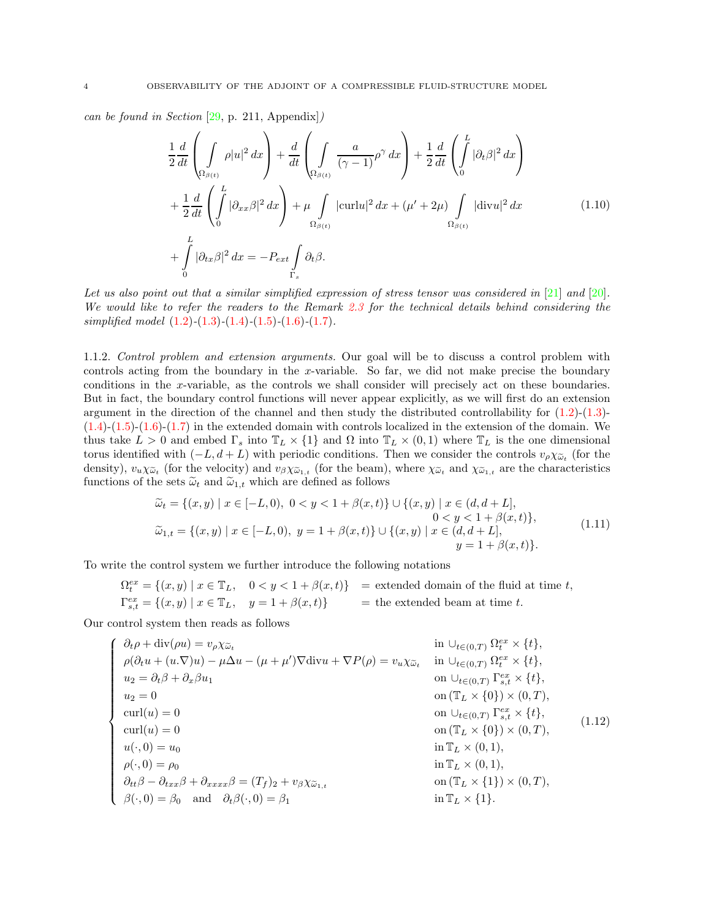can be found in Section [\[29,](#page-41-0) p. 211, Appendix])

$$
\frac{1}{2}\frac{d}{dt}\left(\int_{\Omega_{\beta(t)}}\rho|u|^{2} dx\right) + \frac{d}{dt}\left(\int_{\Omega_{\beta(t)}}\frac{a}{(\gamma-1)}\rho^{\gamma} dx\right) + \frac{1}{2}\frac{d}{dt}\left(\int_{0}^{L}|\partial_{t}\beta|^{2} dx\right) \n+ \frac{1}{2}\frac{d}{dt}\left(\int_{0}^{L}|\partial_{xx}\beta|^{2} dx\right) + \mu \int_{\Omega_{\beta(t)}}|\text{curl}u|^{2} dx + (\mu'+2\mu)\int_{\Omega_{\beta(t)}}|\text{div}u|^{2} dx \n+ \int_{0}^{L}|\partial_{tx}\beta|^{2} dx = -P_{ext}\int_{\Gamma_{s}}\partial_{t}\beta.
$$
\n(1.10)

Let us also point out that a similar simplified expression of stress tensor was considered in  $[21]$  and  $[20]$ . We would like to refer the readers to the Remark [2.3](#page-13-0) for the technical details behind considering the simplified model  $(1.2)$ - $(1.3)$ - $(1.4)$ - $(1.5)$ - $(1.6)$ - $(1.7)$ .

<span id="page-3-1"></span>1.1.2. Control problem and extension arguments. Our goal will be to discuss a control problem with controls acting from the boundary in the x-variable. So far, we did not make precise the boundary conditions in the x-variable, as the controls we shall consider will precisely act on these boundaries. But in fact, the boundary control functions will never appear explicitly, as we will first do an extension argument in the direction of the channel and then study the distributed controllability for [\(1.2\)](#page-1-0)-[\(1.3\)](#page-1-1)-  $(1.4)-(1.5)-(1.6)-(1.7)$  $(1.4)-(1.5)-(1.6)-(1.7)$  $(1.4)-(1.5)-(1.6)-(1.7)$  $(1.4)-(1.5)-(1.6)-(1.7)$  $(1.4)-(1.5)-(1.6)-(1.7)$  $(1.4)-(1.5)-(1.6)-(1.7)$  $(1.4)-(1.5)-(1.6)-(1.7)$  in the extended domain with controls localized in the extension of the domain. We thus take  $L > 0$  and embed  $\Gamma_s$  into  $\mathbb{T}_L \times \{1\}$  and  $\Omega$  into  $\mathbb{T}_L \times (0,1)$  where  $\mathbb{T}_L$  is the one dimensional torus identified with  $(-L, d+L)$  with periodic conditions. Then we consider the controls  $v_{\rho}\chi_{\tilde{\omega}_t}$  (for the density),  $v_u \chi_{\tilde{\omega}_t}$  (for the velocity) and  $v_{\beta} \chi_{\tilde{\omega}_{1,t}}$  (for the beam), where  $\chi_{\tilde{\omega}_t}$  and  $\chi_{\tilde{\omega}_{1,t}}$  are the characteristics functions of the sets  $\tilde{\omega}_t$  and  $\tilde{\omega}_{1,t}$  which are defined as follows

$$
\widetilde{\omega}_t = \{(x, y) \mid x \in [-L, 0), 0 < y < 1 + \beta(x, t)\} \cup \{(x, y) \mid x \in (d, d + L], \quad 0 < y < 1 + \beta(x, t)\},\
$$
\n
$$
\widetilde{\omega}_{1,t} = \{(x, y) \mid x \in [-L, 0), y = 1 + \beta(x, t)\} \cup \{(x, y) \mid x \in (d, d + L], \quad y = 1 + \beta(x, t)\}.\tag{1.11}
$$

To write the control system we further introduce the following notations

<span id="page-3-0"></span>
$$
\begin{aligned}\n\Omega_t^{ex} &= \{ (x, y) \mid x \in \mathbb{T}_L, \quad 0 < y < 1 + \beta(x, t) \} \\
\mathbb{P}_{s,t}^{ex} &= \{ (x, y) \mid x \in \mathbb{T}_L, \quad y = 1 + \beta(x, t) \} \\
\end{aligned}\n\} = \text{extended domain of the fluid at time } t,
$$

Our control system then reads as follows

$$
\begin{cases}\n\partial_t \rho + \text{div}(\rho u) = v_\rho \chi_{\tilde{\omega}_t} & \text{in } \cup_{t \in (0,T)} \Omega_t^{ex} \times \{t\}, \\
\rho(\partial_t u + (u.\nabla)u) - \mu \Delta u - (\mu + \mu')\nabla \text{div}u + \nabla P(\rho) = v_u \chi_{\tilde{\omega}_t} & \text{in } \cup_{t \in (0,T)} \Omega_t^{ex} \times \{t\}, \\
u_2 = \partial_t \beta + \partial_x \beta u_1 & \text{on } \cup_{t \in (0,T)} \Gamma_{s,t}^{ex} \times \{t\}, \\
u_2 = 0 & \text{on } (\mathbb{T}_L \times \{0\}) \times (0,T), \\
\text{curl}(u) = 0 & \text{on } (\mathbb{T}_L \times \{0\}) \times (0,T), \\
u(\cdot, 0) = u_0 & \text{in } \mathbb{T}_L \times (0,1), \\
\rho(\cdot, 0) = \rho_0 & \text{in } \mathbb{T}_L \times (0,1), \\
\partial_{tt} \beta - \partial_{txx} \beta + \partial_{xxx} \beta = (T_f)_2 + v_\beta \chi_{\tilde{\omega}_{1,t}} & \text{on } (\mathbb{T}_L \times \{1\}) \times (0,T), \\
\beta(\cdot, 0) = \beta_0 & \text{and } \partial_t \beta(\cdot, 0) = \beta_1 & \text{in } \mathbb{T}_L \times \{1\}.\n\end{cases}
$$
\n(1.12)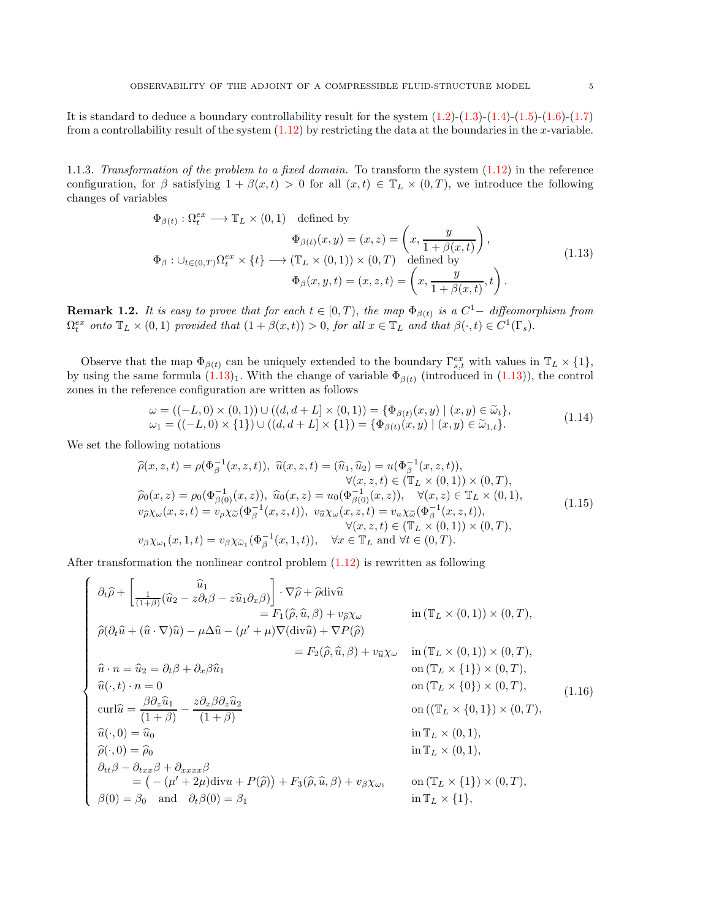It is standard to deduce a boundary controllability result for the system  $(1.2)-(1.3)-(1.4)-(1.5)-(1.6)-(1.7)$  $(1.2)-(1.3)-(1.4)-(1.5)-(1.6)-(1.7)$  $(1.2)-(1.3)-(1.4)-(1.5)-(1.6)-(1.7)$  $(1.2)-(1.3)-(1.4)-(1.5)-(1.6)-(1.7)$  $(1.2)-(1.3)-(1.4)-(1.5)-(1.6)-(1.7)$  $(1.2)-(1.3)-(1.4)-(1.5)-(1.6)-(1.7)$  $(1.2)-(1.3)-(1.4)-(1.5)-(1.6)-(1.7)$  $(1.2)-(1.3)-(1.4)-(1.5)-(1.6)-(1.7)$  $(1.2)-(1.3)-(1.4)-(1.5)-(1.6)-(1.7)$  $(1.2)-(1.3)-(1.4)-(1.5)-(1.6)-(1.7)$ from a controllability result of the system  $(1.12)$  by restricting the data at the boundaries in the x-variable.

1.1.3. Transformation of the problem to a fixed domain. To transform the system [\(1.12\)](#page-3-0) in the reference configuration, for  $\beta$  satisfying  $1 + \beta(x, t) > 0$  for all  $(x, t) \in \mathbb{T}_L \times (0, T)$ , we introduce the following changes of variables

<span id="page-4-0"></span>
$$
\Phi_{\beta(t)} : \Omega_t^{ex} \longrightarrow \mathbb{T}_L \times (0,1) \quad \text{defined by}
$$
\n
$$
\Phi_{\beta(t)}(x, y) = (x, z) = \left(x, \frac{y}{1 + \beta(x, t)}\right),
$$
\n
$$
\Phi_{\beta} : \bigcup_{t \in (0,T)} \Omega_t^{ex} \times \{t\} \longrightarrow (\mathbb{T}_L \times (0,1)) \times (0,T) \quad \text{defined by}
$$
\n
$$
\Phi_{\beta}(x, y, t) = (x, z, t) = \left(x, \frac{y}{1 + \beta(x, t)}, t\right).
$$
\n(1.13)

**Remark 1.2.** It is easy to prove that for each  $t \in [0,T)$ , the map  $\Phi_{\beta(t)}$  is a  $C^1-$  diffeomorphism from  $\Omega_t^{ex}$  onto  $\mathbb{T}_L \times (0,1)$  provided that  $(1 + \beta(x,t)) > 0$ , for all  $x \in \mathbb{T}_L$  and that  $\beta(\cdot,t) \in C^1(\Gamma_s)$ .

Observe that the map  $\Phi_{\beta(t)}$  can be uniquely extended to the boundary  $\Gamma_{s,t}^{ex}$  with values in  $\mathbb{T}_L \times \{1\}$ , by using the same formula  $(1.13)_1$ . With the change of variable  $\Phi_{\beta(t)}$  (introduced in  $(1.13)$ ), the control zones in the reference configuration are written as follows

<span id="page-4-2"></span>
$$
\omega = ((-L, 0) \times (0, 1)) \cup ((d, d + L) \times (0, 1)) = {\Phi_{\beta(t)}(x, y) | (x, y) \in \widetilde{\omega}_t},
$$
  
\n
$$
\omega_1 = ((-L, 0) \times \{1\}) \cup ((d, d + L) \times \{1\}) = {\Phi_{\beta(t)}(x, y) | (x, y) \in \widetilde{\omega}_{1, t}}.
$$
\n(1.14)

We set the following notations

<span id="page-4-1"></span>
$$
\begin{aligned}\n\widehat{\rho}(x, z, t) &= \rho(\Phi_{\beta}^{-1}(x, z, t)), \ \widehat{u}(x, z, t) = (\widehat{u}_1, \widehat{u}_2) = u(\Phi_{\beta}^{-1}(x, z, t)), \\
&\forall (x, z, t) \in (\mathbb{T}_L \times (0, 1)) \times (0, T), \\
\widehat{\rho}_0(x, z) &= \rho_0(\Phi_{\beta(0)}^{-1}(x, z)), \ \widehat{u}_0(x, z) = u_0(\Phi_{\beta(0)}^{-1}(x, z)), \ \ \forall (x, z) \in \mathbb{T}_L \times (0, 1), \\
v_{\widehat{\rho}} \chi_{\omega}(x, z, t) &= v_{\rho} \chi_{\widetilde{\omega}}(\Phi_{\beta}^{-1}(x, z, t)), \ v_{\widetilde{u}} \chi_{\omega}(x, z, t) = v_{u} \chi_{\widetilde{\omega}}(\Phi_{\beta}^{-1}(x, z, t)), \\
&\forall (x, z, t) \in (\mathbb{T}_L \times (0, 1)) \times (0, T), \\
v_{\beta} \chi_{\omega_1}(x, 1, t) &= v_{\beta} \chi_{\widetilde{\omega}_1}(\Phi_{\beta}^{-1}(x, 1, t)), \ \ \forall x \in \mathbb{T}_L \text{ and } \forall t \in (0, T).\n\end{aligned} \tag{1.15}
$$

After transformation the nonlinear control problem [\(1.12\)](#page-3-0) is rewritten as following

$$
\begin{cases}\n\partial_t \hat{\rho} + \left[\frac{1}{(1+\beta)}(\hat{u}_2 - z\partial_t \beta - z\hat{u}_1 \partial_x \beta)\right] \cdot \nabla \hat{\rho} + \hat{\rho} \text{div}\hat{u} \\
= F_1(\hat{\rho}, \hat{u}, \beta) + v_{\hat{\rho}} \chi_{\omega} & \text{in } (\mathbb{T}_L \times (0,1)) \times (0,T), \\
\hat{\rho}(\partial_t \hat{u} + (\hat{u} \cdot \nabla)\hat{u}) - \mu \Delta \hat{u} - (\mu' + \mu) \nabla (\text{div}\hat{u}) + \nabla P(\hat{\rho}) \\
= F_2(\hat{\rho}, \hat{u}, \beta) + v_{\hat{u}} \chi_{\omega} & \text{in } (\mathbb{T}_L \times (0,1)) \times (0,T), \\
\hat{u} \cdot n = \hat{u}_2 = \partial_t \beta + \partial_x \beta \hat{u}_1 & \text{on } (\mathbb{T}_L \times \{1\}) \times (0,T), \\
\hat{u}(\cdot, t) \cdot n = 0 & \text{on } (\mathbb{T}_L \times \{0\}) \times (0,T), \\
\text{curl}\hat{u} = \frac{\beta \partial_z \hat{u}_1}{(1+\beta)} - \frac{z \partial_x \beta \partial_z \hat{u}_2}{(1+\beta)} & \text{on } ((\mathbb{T}_L \times \{0,1) \times (0,T), (\{1.16}) \times (0,T), (\{1.16}) \times (0,T), (\{1.16}) \times (0,T), \\
\hat{u}(\cdot, 0) = \hat{u}_0 & \text{in } \mathbb{T}_L \times (0,1), \\
\hat{\rho}(\cdot, 0) = \hat{\rho}_0 & \text{in } \mathbb{T}_L \times (0,1), \\
\partial_{tt} \beta - \partial_{txx} \beta + \partial_{xxx} \beta & = (-(\mu' + 2\mu) \text{div}u + P(\hat{\rho})) + F_3(\hat{\rho}, \hat{u}, \beta) + v_{\beta} \chi_{\omega_1} & \text{on } (\mathbb{T}_L \times \{1\}) \times (0,T), \\
\beta(0) = \beta_0 & \text{and } \partial_t \beta(0) = \beta_1 & \text{in } \mathbb{T}_L \times \{1\},\n\end{cases}
$$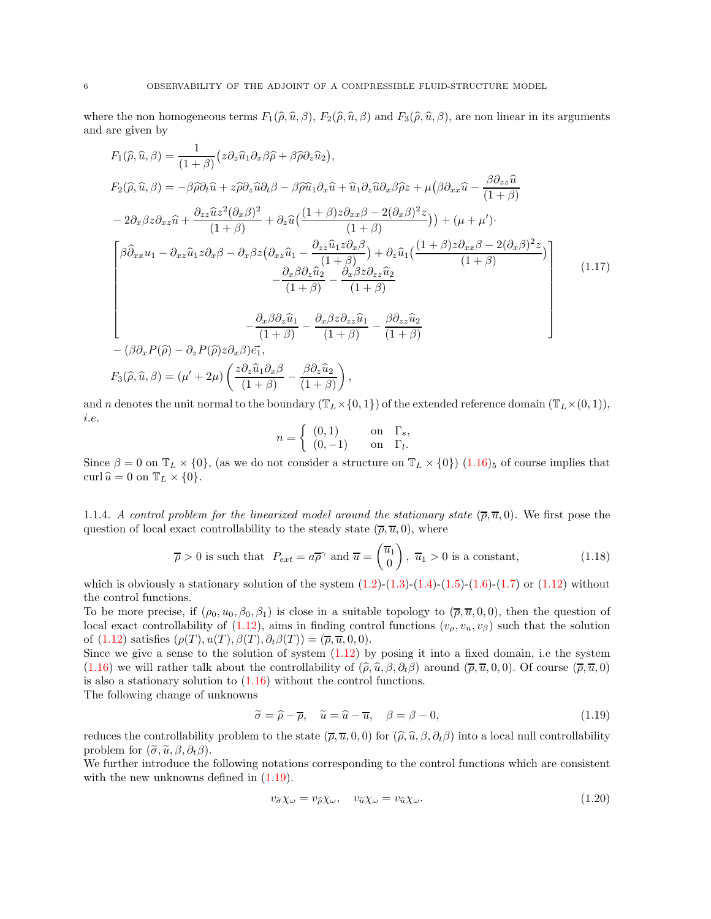where the non homogeneous terms  $F_1(\hat{\rho}, \hat{u}, \beta)$ ,  $F_2(\hat{\rho}, \hat{u}, \beta)$  and  $F_3(\hat{\rho}, \hat{u}, \beta)$ , are non linear in its arguments and are given by

<span id="page-5-2"></span>
$$
F_{1}(\hat{\rho}, \hat{u}, \beta) = \frac{1}{(1+\beta)} \left( z \partial_{z} \hat{u}_{1} \partial_{x} \beta \hat{\rho} + \beta \hat{\rho} \partial_{z} \hat{u}_{2} \right),
$$
  
\n
$$
F_{2}(\hat{\rho}, \hat{u}, \beta) = -\beta \hat{\rho} \partial_{t} \hat{u} + z \hat{\rho} \partial_{z} \hat{u} \partial_{t} \beta - \beta \hat{\rho} \hat{u}_{1} \partial_{x} \hat{u} + \hat{u}_{1} \partial_{z} \hat{u} \partial_{x} \beta \hat{\rho} z + \mu \left( \beta \partial_{xx} \hat{u} - \frac{\beta \partial_{zz} \hat{u}}{(1+\beta)} \right)
$$
  
\n
$$
-2 \partial_{x} \beta z \partial_{xz} \hat{u} + \frac{\partial_{zz} \hat{u} z^{2} (\partial_{x} \beta)^{2}}{(1+\beta)} + \partial_{z} \hat{u} \left( \frac{(1+\beta) z \partial_{xx} \beta - 2 (\partial_{x} \beta)^{2} z}{(1+\beta)} \right) + (\mu + \mu').
$$
  
\n
$$
\left[ \beta \hat{\partial}_{xx} u_{1} - \partial_{xz} \hat{u}_{1} z \partial_{x} \beta - \partial_{x} \beta z (\partial_{xz} \hat{u}_{1} - \frac{\partial_{zz} \hat{u}_{1} z \partial_{x} \beta}{(1+\beta)}) + \partial_{z} \hat{u}_{1} \left( \frac{(1+\beta) z \partial_{xx} \beta - 2 (\partial_{x} \beta)^{2} z}{(1+\beta)} \right) \right]
$$
  
\n
$$
- \frac{\partial_{x} \beta \partial_{z} \hat{u}_{2}}{(1+\beta)} - \frac{\partial_{x} \beta z \partial_{zz} \hat{u}_{1}}{(1+\beta)}
$$
  
\n
$$
- \frac{\partial_{x} \beta \partial_{z} \hat{u}_{1}}{(1+\beta)} - \frac{\partial_{x} \beta z \partial_{zz} \hat{u}_{1}}{(1+\beta)} - \frac{\beta \partial_{zz} \hat{u}_{2}}{(1+\beta)}
$$
  
\n
$$
- (\beta \partial_{x} P(\hat{\rho}) - \partial_{z} P(\hat{\rho}) z \partial_{x} \beta) \vec{e}_{1},
$$
  
\n
$$
F_{3}(\hat{\rho}, \hat{
$$

and n denotes the unit normal to the boundary  $(\mathbb{T}_L \times \{0, 1\})$  of the extended reference domain  $(\mathbb{T}_L \times (0, 1)),$ i.e.

<span id="page-5-3"></span>
$$
n = \begin{cases} (0,1) & \text{on } \Gamma_s, \\ (0,-1) & \text{on } \Gamma_l. \end{cases}
$$

<span id="page-5-0"></span>Since  $\beta = 0$  on  $\mathbb{T}_L \times \{0\}$ , (as we do not consider a structure on  $\mathbb{T}_L \times \{0\}$ ) [\(1.16\)](#page-4-1)<sub>5</sub> of course implies that curl  $\hat{u} = 0$  on  $\mathbb{T}_L \times \{0\}.$ 

1.1.4. A control problem for the linearized model around the stationary state  $(\bar{\rho}, \bar{u}, 0)$ . We first pose the question of local exact controllability to the steady state  $(\overline{\rho}, \overline{u}, 0)$ , where

$$
\overline{\rho} > 0
$$
 is such that  $P_{ext} = a\overline{\rho}^{\gamma}$  and  $\overline{u} = \begin{pmatrix} \overline{u}_1 \\ 0 \end{pmatrix}$ ,  $\overline{u}_1 > 0$  is a constant, (1.18)

which is obviously a stationary solution of the system  $(1.2)-(1.3)-(1.4)-(1.5)-(1.6)-(1.7)$  $(1.2)-(1.3)-(1.4)-(1.5)-(1.6)-(1.7)$  $(1.2)-(1.3)-(1.4)-(1.5)-(1.6)-(1.7)$  $(1.2)-(1.3)-(1.4)-(1.5)-(1.6)-(1.7)$  $(1.2)-(1.3)-(1.4)-(1.5)-(1.6)-(1.7)$  $(1.2)-(1.3)-(1.4)-(1.5)-(1.6)-(1.7)$  $(1.2)-(1.3)-(1.4)-(1.5)-(1.6)-(1.7)$  $(1.2)-(1.3)-(1.4)-(1.5)-(1.6)-(1.7)$  $(1.2)-(1.3)-(1.4)-(1.5)-(1.6)-(1.7)$  $(1.2)-(1.3)-(1.4)-(1.5)-(1.6)-(1.7)$  or  $(1.12)$  without the control functions.

To be more precise, if  $(\rho_0, u_0, \beta_0, \beta_1)$  is close in a suitable topology to  $(\bar{\rho}, \bar{u}, 0, 0)$ , then the question of local exact controllability of [\(1.12\)](#page-3-0), aims in finding control functions  $(v_\rho, v_u, v_\beta)$  such that the solution of  $(1.12)$  satisfies  $(\rho(T), u(T), \beta(T), \partial_t \beta(T)) = (\overline{\rho}, \overline{u}, 0, 0).$ 

Since we give a sense to the solution of system  $(1.12)$  by posing it into a fixed domain, i.e the system [\(1.16\)](#page-4-1) we will rather talk about the controllability of  $(\hat{\rho}, \hat{u}, \beta, \partial_t \beta)$  around  $(\overline{\rho}, \overline{u}, 0, 0)$ . Of course  $(\overline{\rho}, \overline{u}, 0)$ is also a stationary solution to  $(1.16)$  without the control functions.

The following change of unknowns

<span id="page-5-1"></span>
$$
\widetilde{\sigma} = \widehat{\rho} - \overline{\rho}, \quad \widetilde{u} = \widehat{u} - \overline{u}, \quad \beta = \beta - 0,
$$
\n(1.19)

reduces the controllability problem to the state  $(\bar{\rho}, \bar{u}, 0, 0)$  for  $(\hat{\rho}, \hat{u}, \beta, \partial_t \beta)$  into a local null controllability problem for  $(\tilde{\sigma}, \tilde{u}, \beta, \partial_t \beta)$ .

We further introduce the following notations corresponding to the control functions which are consistent with the new unknowns defined in  $(1.19)$ .

$$
v_{\tilde{\sigma}} \chi_{\omega} = v_{\tilde{\rho}} \chi_{\omega}, \quad v_{\tilde{u}} \chi_{\omega} = v_{\tilde{u}} \chi_{\omega}.
$$
\n(1.20)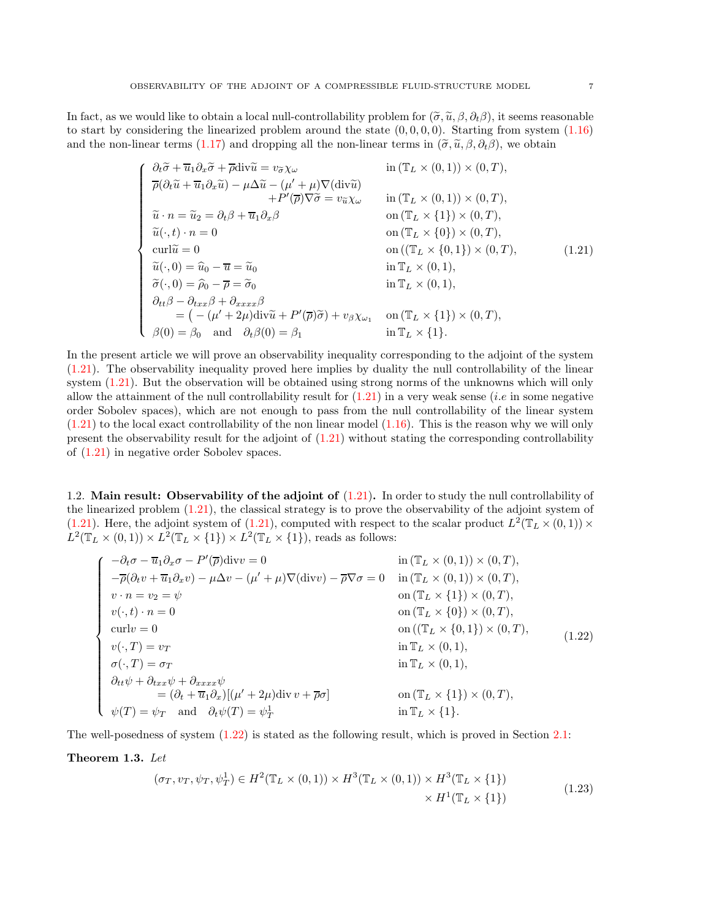In fact, as we would like to obtain a local null-controllability problem for  $(\tilde{\sigma}, \tilde{u}, \beta, \partial_t \beta)$ , it seems reasonable to start by considering the linearized problem around the state  $(0, 0, 0, 0)$ . Starting from system  $(1.16)$ and the non-linear terms [\(1.17\)](#page-5-2) and dropping all the non-linear terms in  $(\tilde{\sigma}, \tilde{u}, \beta, \partial_t \beta)$ , we obtain

<span id="page-6-0"></span>
$$
\begin{cases}\n\frac{\partial_t \widetilde{\sigma} + \overline{u}_1 \partial_x \widetilde{\sigma} + \overline{\rho} \text{div} \widetilde{u} = v_{\widetilde{\sigma}} \chi_{\omega} & \text{in } (\mathbb{T}_L \times (0,1)) \times (0,T), \\
\overline{\rho}(\partial_t \widetilde{u} + \overline{u}_1 \partial_x \widetilde{u}) - \mu \Delta \widetilde{u} - (\mu' + \mu) \nabla (\text{div} \widetilde{u}) \\
+ P'(\overline{\rho}) \nabla \widetilde{\sigma} = v_{\widetilde{u}} \chi_{\omega} & \text{in } (\mathbb{T}_L \times (0,1)) \times (0,T), \\
\widetilde{u} \cdot n = \widetilde{u}_2 = \partial_t \beta + \overline{u}_1 \partial_x \beta & \text{on } (\mathbb{T}_L \times \{1\}) \times (0,T), \\
\widetilde{u}(\cdot, t) \cdot n = 0 & \text{on } (\mathbb{T}_L \times \{0\}) \times (0,T), \\
\text{curl} \widetilde{u} = 0 & \text{on } ((\mathbb{T}_L \times \{0,1\}) \times (0,T), \\
\widetilde{u}(\cdot, 0) = \widehat{u}_0 - \overline{u} = \widetilde{u}_0 & \text{in } \mathbb{T}_L \times (0,1), \\
\widetilde{\sigma}(\cdot, 0) = \widehat{\rho}_0 - \overline{\rho} = \widetilde{\sigma}_0 & \text{in } \mathbb{T}_L \times (0,1), \\
\partial_{tt} \beta - \partial_{txx} \beta + \partial_{xxx} \beta & = (-(\mu' + 2\mu) \text{div} \widetilde{u} + P'(\overline{\rho}) \widetilde{\sigma}) + v_{\beta} \chi_{\omega_1} & \text{on } (\mathbb{T}_L \times \{1\}) \times (0,T), \\
\beta(0) = \beta_0 & \text{and } \partial_t \beta(0) = \beta_1 & \text{in } \mathbb{T}_L \times \{1\}.\n\end{cases}
$$
\n(1.21)

In the present article we will prove an observability inequality corresponding to the adjoint of the system [\(1.21\)](#page-6-0). The observability inequality proved here implies by duality the null controllability of the linear system [\(1.21\)](#page-6-0). But the observation will be obtained using strong norms of the unknowns which will only allow the attainment of the null controllability result for  $(1.21)$  in a very weak sense *(i.e in some negative*) order Sobolev spaces), which are not enough to pass from the null controllability of the linear system  $(1.21)$  to the local exact controllability of the non linear model  $(1.16)$ . This is the reason why we will only present the observability result for the adjoint of [\(1.21\)](#page-6-0) without stating the corresponding controllability of [\(1.21\)](#page-6-0) in negative order Sobolev spaces.

1.2. Main result: Observability of the adjoint of  $(1.21)$ . In order to study the null controllability of the linearized problem [\(1.21\)](#page-6-0), the classical strategy is to prove the observability of the adjoint system of [\(1.21\)](#page-6-0). Here, the adjoint system of [\(1.21\)](#page-6-0), computed with respect to the scalar product  $L^2(\mathbb{T}_L \times (0,1)) \times$  $L^2(\mathbb{T}_L \times (0,1)) \times L^2(\mathbb{T}_L \times \{1\}) \times L^2(\mathbb{T}_L \times \{1\}),$  reads as follows:

<span id="page-6-1"></span>
$$
\begin{cases}\n-\partial_t \sigma - \overline{u}_1 \partial_x \sigma - P'(\overline{\rho}) \text{div} v = 0 & \text{in } (\mathbb{T}_L \times (0,1)) \times (0,T), \\
-\overline{\rho}(\partial_t v + \overline{u}_1 \partial_x v) - \mu \Delta v - (\mu' + \mu) \nabla (\text{div} v) - \overline{\rho} \nabla \sigma = 0 & \text{in } (\mathbb{T}_L \times (0,1)) \times (0,T), \\
v \cdot n = v_2 = \psi & \text{on } (\mathbb{T}_L \times \{1\}) \times (0,T), \\
v(\cdot, t) \cdot n = 0 & \text{on } (\mathbb{T}_L \times \{0\}) \times (0,T), \\
\text{curl} v = 0 & \text{on } ((\mathbb{T}_L \times \{0\}) \times (0,T), \\
v(\cdot, T) = v_T & \text{in } \mathbb{T}_L \times (0,1), \\
\sigma(\cdot, T) = \sigma_T & \text{in } \mathbb{T}_L \times (0,1), \\
\partial_{tt} \psi + \partial_{txx} \psi + \partial_{xxxx} \psi & = (\partial_t + \overline{u}_1 \partial_x) [(\mu' + 2\mu) \text{div} v + \overline{\rho} \sigma] & \text{on } (\mathbb{T}_L \times \{1\}) \times (0,T), \\
\psi(T) = \psi_T & \text{and } \partial_t \psi(T) = \psi_T^{\perp} & \text{in } \mathbb{T}_L \times \{1\}.\n\end{cases}
$$
\n(1.22)

The well-posedness of system [\(1.22\)](#page-6-1) is stated as the following result, which is proved in Section [2.1:](#page-10-0)

### <span id="page-6-2"></span>Theorem 1.3. Let

$$
(\sigma_T, v_T, \psi_T, \psi_T^1) \in H^2(\mathbb{T}_L \times (0, 1)) \times H^3(\mathbb{T}_L \times (0, 1)) \times H^3(\mathbb{T}_L \times \{1\})
$$
  
 
$$
\times H^1(\mathbb{T}_L \times \{1\})
$$
 (1.23)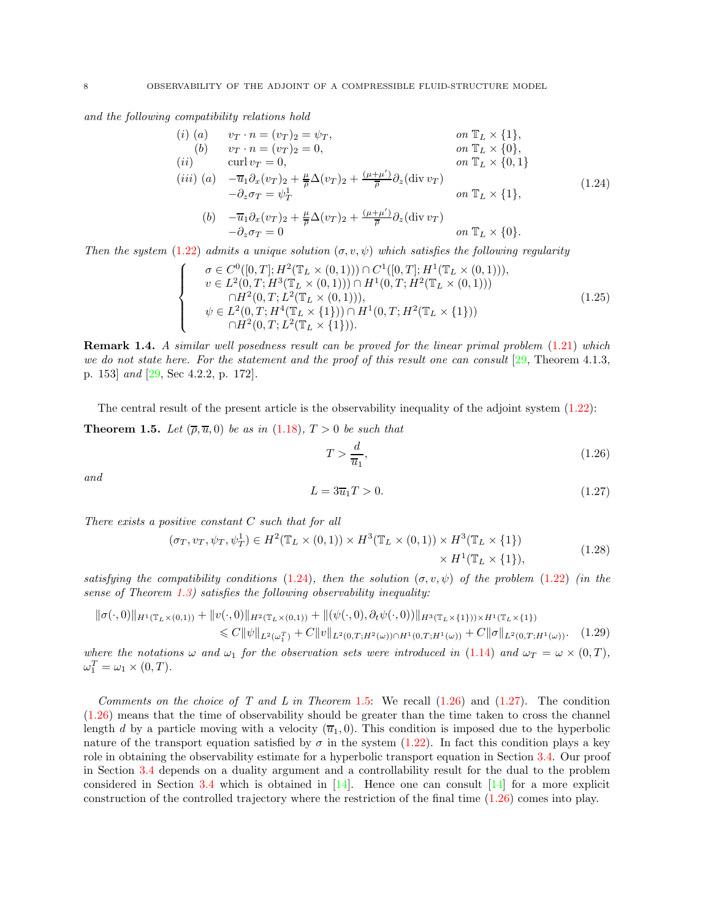and the following compatibility relations hold

<span id="page-7-0"></span>
$$
(i) (a) \t v_T \cdot n = (v_T)_2 = \psi_T, \t on \mathbb{T}_L \times \{1\},\n(b) \t v_T \cdot n = (v_T)_2 = 0, \t on \mathbb{T}_L \times \{0\},\n(ii) \t curl v_T = 0, \t on \mathbb{T}_L \times \{0,1\}\n(iii) (a) \t  $-\overline{u}_1 \partial_x (v_T)_2 + \frac{\mu}{\overline{\rho}} \Delta (v_T)_2 + \frac{(\mu + \mu')}{\overline{\rho}} \partial_z (\text{div } v_T)$   
\n $-\partial_z \sigma_T = \psi_T^1$  \t on \mathbb{T}_L \times \{1\},  
\n(b) \t  $-\overline{u}_1 \partial_x (v_T)_2 + \frac{\mu}{\overline{\rho}} \Delta (v_T)_2 + \frac{(\mu + \mu')}{\overline{\rho}} \partial_z (\text{div } v_T)$   
\n $-\partial_z \sigma_T = 0$  \t on \mathbb{T}_L \times \{0\}.
$$
 (1.24)

Then the system [\(1.22\)](#page-6-1) admits a unique solution  $(\sigma, v, \psi)$  which satisfies the following regularity

$$
\begin{cases}\n\sigma \in C^{0}([0, T]; H^{2}(\mathbb{T}_{L} \times (0, 1))) \cap C^{1}([0, T]; H^{1}(\mathbb{T}_{L} \times (0, 1))), \\
v \in L^{2}(0, T; H^{3}(\mathbb{T}_{L} \times (0, 1))) \cap H^{1}(0, T; H^{2}(\mathbb{T}_{L} \times (0, 1))) \\
\cap H^{2}(0, T; L^{2}(\mathbb{T}_{L} \times (0, 1))), \\
\psi \in L^{2}(0, T; H^{4}(\mathbb{T}_{L} \times \{1\})) \cap H^{1}(0, T; H^{2}(\mathbb{T}_{L} \times \{1\}))) \\
\cap H^{2}(0, T; L^{2}(\mathbb{T}_{L} \times \{1\})).\n\end{cases} (1.25)
$$

Remark 1.4. A similar well posedness result can be proved for the linear primal problem  $(1.21)$  which we do not state here. For the statement and the proof of this result one can consult  $[29,$  Theorem 4.1.3, p. 153] and [\[29,](#page-41-0) Sec 4.2.2, p. 172].

<span id="page-7-1"></span>The central result of the present article is the observability inequality of the adjoint system [\(1.22\)](#page-6-1): **Theorem 1.5.** Let  $(\overline{\rho}, \overline{u}, 0)$  be as in [\(1.18\)](#page-5-3),  $T > 0$  be such that

<span id="page-7-6"></span><span id="page-7-2"></span>
$$
T > \frac{d}{\overline{u}_1},\tag{1.26}
$$

<span id="page-7-3"></span>and

<span id="page-7-5"></span><span id="page-7-4"></span>
$$
L = 3\overline{u}_1 T > 0.\tag{1.27}
$$

There exists a positive constant  $C$  such that for all

$$
(\sigma_T, v_T, \psi_T, \psi_T^1) \in H^2(\mathbb{T}_L \times (0, 1)) \times H^3(\mathbb{T}_L \times (0, 1)) \times H^3(\mathbb{T}_L \times \{1\})
$$
  
 
$$
\times H^1(\mathbb{T}_L \times \{1\}), \tag{1.28}
$$

satisfying the compatibility conditions [\(1.24\)](#page-7-0), then the solution  $(\sigma, v, \psi)$  of the problem [\(1.22\)](#page-6-1) (in the sense of Theorem [1.3\)](#page-6-2) satisfies the following observability inequality:

$$
\|\sigma(\cdot,0)\|_{H^1(\mathbb{T}_L\times(0,1))} + \|v(\cdot,0)\|_{H^2(\mathbb{T}_L\times(0,1))} + \|(\psi(\cdot,0),\partial_t\psi(\cdot,0))\|_{H^3(\mathbb{T}_L\times\{1\}))\times H^1(\mathbb{T}_L\times\{1\})} \leq C \|\psi\|_{L^2(\omega_1^T)} + C \|v\|_{L^2(0,T;H^2(\omega))\cap H^1(0,T;H^1(\omega))} + C \|\sigma\|_{L^2(0,T;H^1(\omega))}. \tag{1.29}
$$

where the notations  $\omega$  and  $\omega_1$  for the observation sets were introduced in [\(1.14\)](#page-4-2) and  $\omega_T = \omega \times (0,T)$ ,  $\omega_1^T = \omega_1 \times (0, T).$ 

Comments on the choice of T and L in Theorem 1.[5:](#page-7-1) We recall  $(1.26)$  and  $(1.27)$ . The condition [\(1.26\)](#page-7-2) means that the time of observability should be greater than the time taken to cross the channel length d by a particle moving with a velocity  $(\overline{u}_1, 0)$ . This condition is imposed due to the hyperbolic nature of the transport equation satisfied by  $\sigma$  in the system [\(1.22\)](#page-6-1). In fact this condition plays a key role in obtaining the observability estimate for a hyperbolic transport equation in Section [3.4.](#page-25-0) Our proof in Section [3.4](#page-25-0) depends on a duality argument and a controllability result for the dual to the problem considered in Section [3.4](#page-25-0) which is obtained in  $[14]$ . Hence one can consult  $[14]$  for a more explicit construction of the controlled trajectory where the restriction of the final time [\(1.26\)](#page-7-2) comes into play.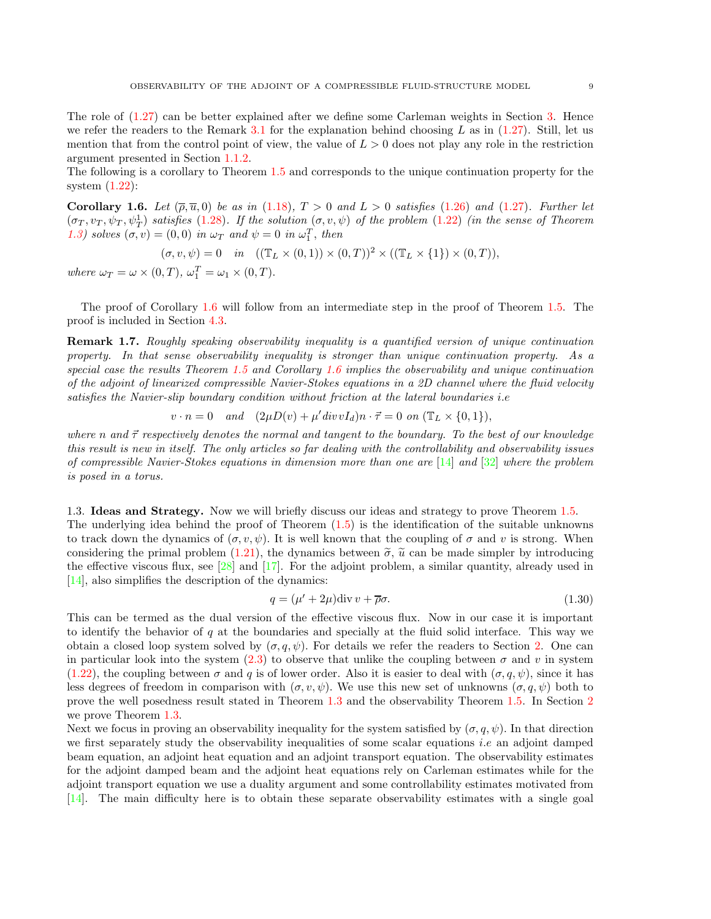The role of [\(1.27\)](#page-7-3) can be better explained after we define some Carleman weights in Section [3.](#page-13-1) Hence we refer the readers to the Remark [3.1](#page-14-0) for the explanation behind choosing L as in  $(1.27)$ . Still, let us mention that from the control point of view, the value of  $L > 0$  does not play any role in the restriction argument presented in Section [1.1.2.](#page-3-1)

The following is a corollary to Theorem [1.5](#page-7-1) and corresponds to the unique continuation property for the system [\(1.22\)](#page-6-1):

<span id="page-8-0"></span>Corollary 1.6. Let  $(\overline{\rho}, \overline{u}, 0)$  be as in [\(1.18\)](#page-5-3),  $T > 0$  and  $L > 0$  satisfies [\(1.26\)](#page-7-2) and [\(1.27\)](#page-7-3). Further let  $(\sigma_T, v_T, \psi_T, \psi_T^1)$  satisfies [\(1.28\)](#page-7-4). If the solution  $(\sigma, v, \psi)$  of the problem [\(1.22\)](#page-6-1) (in the sense of Theorem [1.3\)](#page-6-2) solves  $(\sigma, v) = (0, 0)$  in  $\omega_T$  and  $\psi = 0$  in  $\omega_1^T$ , then

$$
(\sigma, v, \psi) = 0 \quad in \quad ((\mathbb{T}_L \times (0, 1)) \times (0, T))^2 \times ((\mathbb{T}_L \times \{1\}) \times (0, T)),
$$

where  $\omega_T = \omega \times (0, T)$ ,  $\omega_1^T = \omega_1 \times (0, T)$ .

The proof of Corollary [1.6](#page-8-0) will follow from an intermediate step in the proof of Theorem [1.5.](#page-7-1) The proof is included in Section [4.3.](#page-32-0)

Remark 1.7. Roughly speaking observability inequality is a quantified version of unique continuation property. In that sense observability inequality is stronger than unique continuation property. As a special case the results Theorem [1.5](#page-7-1) and Corollary [1.6](#page-8-0) implies the observability and unique continuation of the adjoint of linearized compressible Navier-Stokes equations in a 2D channel where the fluid velocity satisfies the Navier-slip boundary condition without friction at the lateral boundaries *i.e* 

$$
v \cdot n = 0 \quad and \quad (2\mu D(v) + \mu' \operatorname{div} v I_d)n \cdot \vec{\tau} = 0 \text{ on } (\mathbb{T}_L \times \{0, 1\}),
$$

where n and  $\vec{\tau}$  respectively denotes the normal and tangent to the boundary. To the best of our knowledge this result is new in itself. The only articles so far dealing with the controllability and observability issues of compressible Navier-Stokes equations in dimension more than one are  $[14]$  and  $[32]$  where the problem is posed in a torus.

1.3. Ideas and Strategy. Now we will briefly discuss our ideas and strategy to prove Theorem [1.5.](#page-7-1) The underlying idea behind the proof of Theorem [\(1.5\)](#page-7-1) is the identification of the suitable unknowns to track down the dynamics of  $(\sigma, v, \psi)$ . It is well known that the coupling of  $\sigma$  and v is strong. When considering the primal problem [\(1.21\)](#page-6-0), the dynamics between  $\tilde{\sigma}$ ,  $\tilde{u}$  can be made simpler by introducing the effective viscous flux, see  $\left[\frac{28}{3}\right]$  and  $\left[\frac{17}{7}\right]$ . For the adjoint problem, a similar quantity, already used in [\[14\]](#page-40-2), also simplifies the description of the dynamics:

$$
q = (\mu' + 2\mu) \text{div} \, v + \overline{\rho} \sigma. \tag{1.30}
$$

This can be termed as the dual version of the effective viscous flux. Now in our case it is important to identify the behavior of  $q$  at the boundaries and specially at the fluid solid interface. This way we obtain a closed loop system solved by  $(\sigma, q, \psi)$ . For details we refer the readers to Section [2.](#page-10-1) One can in particular look into the system  $(2.3)$  to observe that unlike the coupling between  $\sigma$  and v in system [\(1.22\)](#page-6-1), the coupling between  $\sigma$  and q is of lower order. Also it is easier to deal with  $(\sigma, q, \psi)$ , since it has less degrees of freedom in comparison with  $(\sigma, v, \psi)$ . We use this new set of unknowns  $(\sigma, q, \psi)$  both to prove the well posedness result stated in Theorem [1.3](#page-6-2) and the observability Theorem [1.5.](#page-7-1) In Section [2](#page-10-1) we prove Theorem [1.3.](#page-6-2)

Next we focus in proving an observability inequality for the system satisfied by  $(\sigma, q, \psi)$ . In that direction we first separately study the observability inequalities of some scalar equations *i.e* an adjoint damped beam equation, an adjoint heat equation and an adjoint transport equation. The observability estimates for the adjoint damped beam and the adjoint heat equations rely on Carleman estimates while for the adjoint transport equation we use a duality argument and some controllability estimates motivated from [\[14\]](#page-40-2). The main difficulty here is to obtain these separate observability estimates with a single goal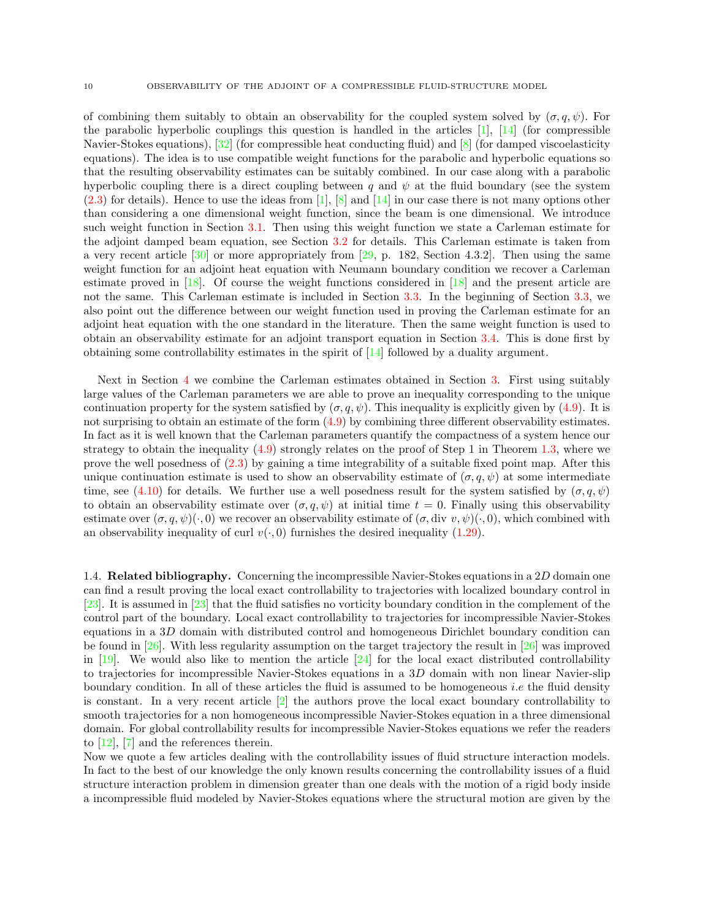of combining them suitably to obtain an observability for the coupled system solved by  $(\sigma, q, \psi)$ . For the parabolic hyperbolic couplings this question is handled in the articles  $[1]$ ,  $[14]$  (for compressible Navier-Stokes equations),  $[32]$  (for compressible heat conducting fluid) and  $[8]$  (for damped viscoelasticity equations). The idea is to use compatible weight functions for the parabolic and hyperbolic equations so that the resulting observability estimates can be suitably combined. In our case along with a parabolic hyperbolic coupling there is a direct coupling between q and  $\psi$  at the fluid boundary (see the system  $(2.3)$  for details). Hence to use the ideas from [\[1\]](#page-40-4), [\[8\]](#page-40-5) and [\[14\]](#page-40-2) in our case there is not many options other than considering a one dimensional weight function, since the beam is one dimensional. We introduce such weight function in Section [3.1.](#page-13-2) Then using this weight function we state a Carleman estimate for the adjoint damped beam equation, see Section [3.2](#page-15-0) for details. This Carleman estimate is taken from a very recent article  $[30]$  or more appropriately from  $[29, p. 182,$  Section 4.3.2]. Then using the same weight function for an adjoint heat equation with Neumann boundary condition we recover a Carleman estimate proved in [\[18\]](#page-40-6). Of course the weight functions considered in [\[18\]](#page-40-6) and the present article are not the same. This Carleman estimate is included in Section [3.3.](#page-15-1) In the beginning of Section [3.3,](#page-15-1) we also point out the difference between our weight function used in proving the Carleman estimate for an adjoint heat equation with the one standard in the literature. Then the same weight function is used to obtain an observability estimate for an adjoint transport equation in Section [3.4.](#page-25-0) This is done first by obtaining some controllability estimates in the spirit of [\[14\]](#page-40-2) followed by a duality argument.

Next in Section [4](#page-28-0) we combine the Carleman estimates obtained in Section [3.](#page-13-1) First using suitably large values of the Carleman parameters we are able to prove an inequality corresponding to the unique continuation property for the system satisfied by  $(\sigma, q, \psi)$ . This inequality is explicitly given by [\(4.9\)](#page-31-0). It is not surprising to obtain an estimate of the form [\(4.9\)](#page-31-0) by combining three different observability estimates. In fact as it is well known that the Carleman parameters quantify the compactness of a system hence our strategy to obtain the inequality  $(4.9)$  strongly relates on the proof of Step 1 in Theorem [1.3,](#page-6-2) where we prove the well posedness of [\(2.3\)](#page-11-1) by gaining a time integrability of a suitable fixed point map. After this unique continuation estimate is used to show an observability estimate of  $(\sigma, q, \psi)$  at some intermediate time, see [\(4.10\)](#page-31-1) for details. We further use a well posedness result for the system satisfied by  $(\sigma, q, \psi)$ to obtain an observability estimate over  $(\sigma, q, \psi)$  at initial time  $t = 0$ . Finally using this observability estimate over  $(\sigma, q, \psi)(\cdot, 0)$  we recover an observability estimate of  $(\sigma, div v, \psi)(\cdot, 0)$ , which combined with an observability inequality of curl  $v(\cdot, 0)$  furnishes the desired inequality [\(1.29\)](#page-7-5).

1.4. Related bibliography. Concerning the incompressible Navier-Stokes equations in a 2D domain one can find a result proving the local exact controllability to trajectories with localized boundary control in [\[23\]](#page-40-7). It is assumed in [\[23\]](#page-40-7) that the fluid satisfies no vorticity boundary condition in the complement of the control part of the boundary. Local exact controllability to trajectories for incompressible Navier-Stokes equations in a 3D domain with distributed control and homogeneous Dirichlet boundary condition can be found in [\[26\]](#page-41-4). With less regularity assumption on the target trajectory the result in [\[26\]](#page-41-4) was improved in  $[19]$ . We would also like to mention the article  $[24]$  for the local exact distributed controllability to trajectories for incompressible Navier-Stokes equations in a 3D domain with non linear Navier-slip boundary condition. In all of these articles the fluid is assumed to be homogeneous i.e the fluid density is constant. In a very recent article [\[2\]](#page-40-10) the authors prove the local exact boundary controllability to smooth trajectories for a non homogeneous incompressible Navier-Stokes equation in a three dimensional domain. For global controllability results for incompressible Navier-Stokes equations we refer the readers to [\[12\]](#page-40-11), [\[7\]](#page-40-12) and the references therein.

Now we quote a few articles dealing with the controllability issues of fluid structure interaction models. In fact to the best of our knowledge the only known results concerning the controllability issues of a fluid structure interaction problem in dimension greater than one deals with the motion of a rigid body inside a incompressible fluid modeled by Navier-Stokes equations where the structural motion are given by the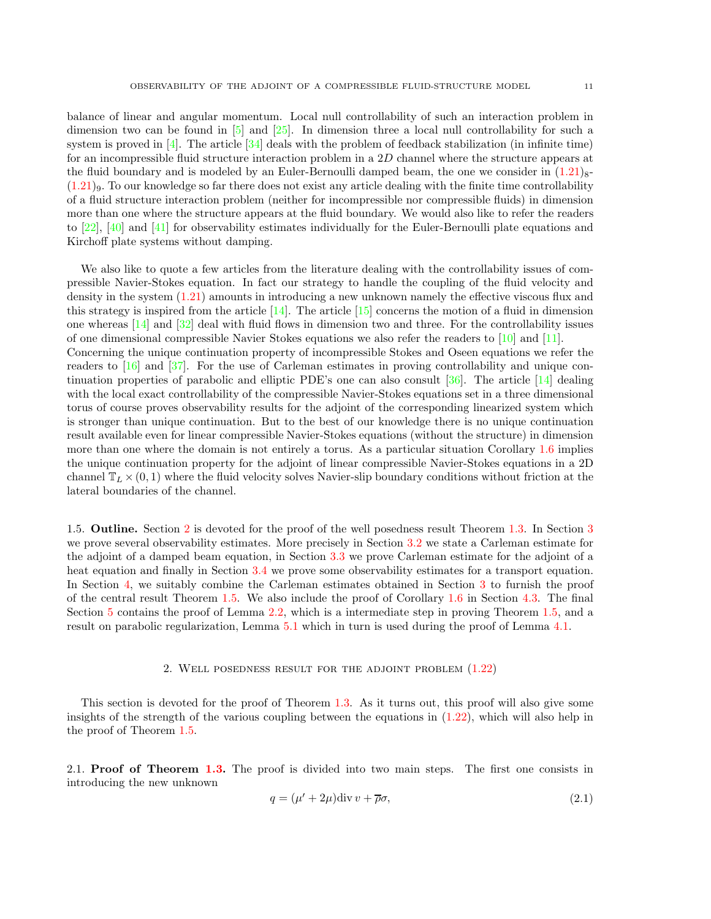balance of linear and angular momentum. Local null controllability of such an interaction problem in dimension two can be found in [\[5\]](#page-40-13) and [\[25\]](#page-41-5). In dimension three a local null controllability for such a system is proved in  $[4]$ . The article  $[34]$  deals with the problem of feedback stabilization (in infinite time) for an incompressible fluid structure interaction problem in a 2D channel where the structure appears at the fluid boundary and is modeled by an Euler-Bernoulli damped beam, the one we consider in  $(1.21)_{8}$ - $(1.21)$ 9. To our knowledge so far there does not exist any article dealing with the finite time controllability of a fluid structure interaction problem (neither for incompressible nor compressible fluids) in dimension more than one where the structure appears at the fluid boundary. We would also like to refer the readers to [\[22\]](#page-40-15), [\[40\]](#page-41-7) and [\[41\]](#page-41-8) for observability estimates individually for the Euler-Bernoulli plate equations and Kirchoff plate systems without damping.

We also like to quote a few articles from the literature dealing with the controllability issues of compressible Navier-Stokes equation. In fact our strategy to handle the coupling of the fluid velocity and density in the system [\(1.21\)](#page-6-0) amounts in introducing a new unknown namely the effective viscous flux and this strategy is inspired from the article  $[14]$ . The article  $[15]$  concerns the motion of a fluid in dimension one whereas [\[14\]](#page-40-2) and [\[32\]](#page-41-1) deal with fluid flows in dimension two and three. For the controllability issues of one dimensional compressible Navier Stokes equations we also refer the readers to [\[10\]](#page-40-17) and [\[11\]](#page-40-18). Concerning the unique continuation property of incompressible Stokes and Oseen equations we refer the readers to [\[16\]](#page-40-19) and [\[37\]](#page-41-9). For the use of Carleman estimates in proving controllability and unique continuation properties of parabolic and elliptic PDE's one can also consult  $[36]$ . The article  $[14]$  dealing with the local exact controllability of the compressible Navier-Stokes equations set in a three dimensional torus of course proves observability results for the adjoint of the corresponding linearized system which is stronger than unique continuation. But to the best of our knowledge there is no unique continuation result available even for linear compressible Navier-Stokes equations (without the structure) in dimension more than one where the domain is not entirely a torus. As a particular situation Corollary [1.6](#page-8-0) implies the unique continuation property for the adjoint of linear compressible Navier-Stokes equations in a 2D channel  $\mathbb{T}_L \times (0,1)$  where the fluid velocity solves Navier-slip boundary conditions without friction at the lateral boundaries of the channel.

1.5. Outline. Section [2](#page-10-1) is devoted for the proof of the well posedness result Theorem [1.3.](#page-6-2) In Section [3](#page-13-1) we prove several observability estimates. More precisely in Section [3.2](#page-15-0) we state a Carleman estimate for the adjoint of a damped beam equation, in Section [3.3](#page-15-1) we prove Carleman estimate for the adjoint of a heat equation and finally in Section [3.4](#page-25-0) we prove some observability estimates for a transport equation. In Section [4,](#page-28-0) we suitably combine the Carleman estimates obtained in Section [3](#page-13-1) to furnish the proof of the central result Theorem [1.5.](#page-7-1) We also include the proof of Corollary [1.6](#page-8-0) in Section [4.3.](#page-32-0) The final Section [5](#page-32-1) contains the proof of Lemma [2.2,](#page-11-2) which is a intermediate step in proving Theorem [1.5,](#page-7-1) and a result on parabolic regularization, Lemma [5.1](#page-39-0) which in turn is used during the proof of Lemma [4.1.](#page-28-1)

# 2. Well posedness result for the adjoint problem [\(1.22\)](#page-6-1)

<span id="page-10-1"></span>This section is devoted for the proof of Theorem [1.3.](#page-6-2) As it turns out, this proof will also give some insights of the strength of the various coupling between the equations in [\(1.22\)](#page-6-1), which will also help in the proof of Theorem [1.5.](#page-7-1)

<span id="page-10-0"></span>2.1. **Proof of Theorem [1.3.](#page-6-2)** The proof is divided into two main steps. The first one consists in introducing the new unknown

<span id="page-10-2"></span>
$$
q = (\mu' + 2\mu) \text{div} \, v + \overline{\rho} \sigma,\tag{2.1}
$$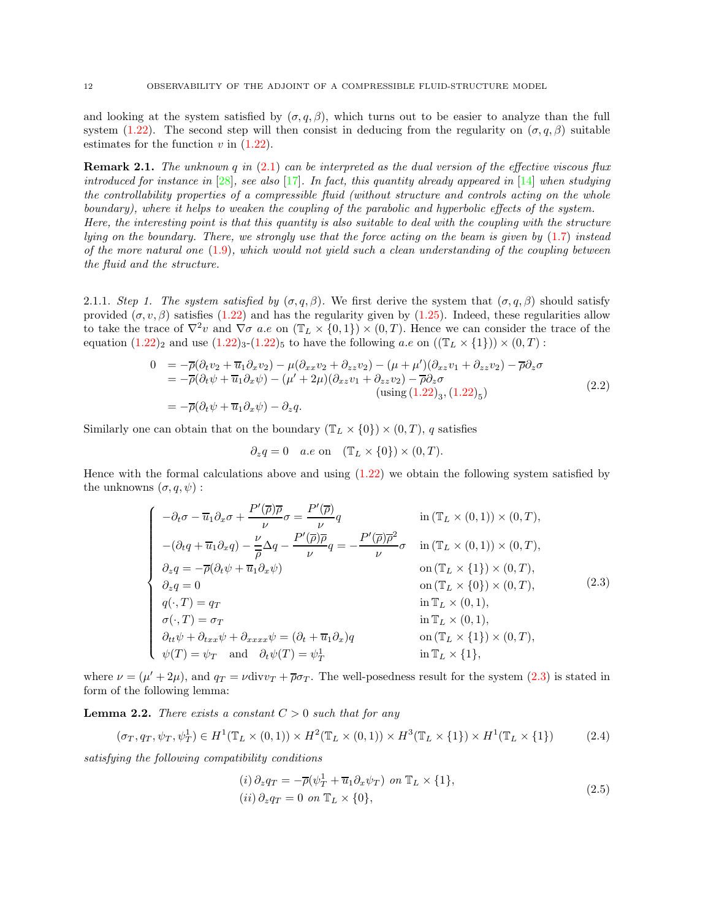and looking at the system satisfied by  $(\sigma, q, \beta)$ , which turns out to be easier to analyze than the full system [\(1.22\)](#page-6-1). The second step will then consist in deducing from the regularity on  $(\sigma, q, \beta)$  suitable estimates for the function  $v$  in  $(1.22)$ .

<span id="page-11-0"></span>**Remark 2.1.** The unknown q in  $(2.1)$  can be interpreted as the dual version of the effective viscous flux introduced for instance in  $[28]$ , see also  $[17]$ . In fact, this quantity already appeared in  $[14]$  when studying the controllability properties of a compressible fluid (without structure and controls acting on the whole boundary), where it helps to weaken the coupling of the parabolic and hyperbolic effects of the system. Here, the interesting point is that this quantity is also suitable to deal with the coupling with the structure lying on the boundary. There, we strongly use that the force acting on the beam is given by [\(1.7\)](#page-2-2) instead of the more natural one  $(1.9)$ , which would not yield such a clean understanding of the coupling between the fluid and the structure.

2.1.1. Step 1. The system satisfied by  $(\sigma, q, \beta)$ . We first derive the system that  $(\sigma, q, \beta)$  should satisfy provided  $(\sigma, v, \beta)$  satisfies [\(1.22\)](#page-6-1) and has the regularity given by [\(1.25\)](#page-7-6). Indeed, these regularities allow to take the trace of  $\nabla^2 v$  and  $\nabla \sigma$  a.e on  $(\mathbb{T}_L \times \{0,1\}) \times (0,T)$ . Hence we can consider the trace of the equation  $(1.22)_2$  $(1.22)_2$  and use  $(1.22)_3$ - $(1.22)_5$  to have the following a.e on  $((\mathbb{T}_L \times \{1\})) \times (0,T)$ :

$$
0 = -\overline{\rho}(\partial_t v_2 + \overline{u}_1 \partial_x v_2) - \mu(\partial_{xx} v_2 + \partial_{zz} v_2) - (\mu + \mu')(\partial_{xz} v_1 + \partial_{zz} v_2) - \overline{\rho} \partial_z \sigma = -\overline{\rho}(\partial_t \psi + \overline{u}_1 \partial_x \psi) - (\mu' + 2\mu)(\partial_{xz} v_1 + \partial_{zz} v_2) - \overline{\rho} \partial_z \sigma (using (1.22)_3, (1.22)_5) = -\overline{\rho}(\partial_t \psi + \overline{u}_1 \partial_x \psi) - \partial_z q.
$$
 (2.2)

Similarly one can obtain that on the boundary  $(\mathbb{T}_L \times \{0\}) \times (0,T)$ , q satisfies

<span id="page-11-3"></span><span id="page-11-1"></span>
$$
\partial_z q = 0
$$
 a.e on  $(\mathbb{T}_L \times \{0\}) \times (0, T)$ .

Hence with the formal calculations above and using  $(1.22)$  we obtain the following system satisfied by the unknowns  $(\sigma, q, \psi)$ :

$$
\begin{cases}\n-\partial_t \sigma - \overline{u}_1 \partial_x \sigma + \frac{P'(\overline{\rho}) \overline{\rho}}{\nu} \sigma = \frac{P'(\overline{\rho})}{\nu} q & \text{in } (\mathbb{T}_L \times (0,1)) \times (0,T), \\
-(\partial_t q + \overline{u}_1 \partial_x q) - \frac{\nu}{\overline{\rho}} \Delta q - \frac{P'(\overline{\rho}) \overline{\rho}}{\nu} q = -\frac{P'(\overline{\rho}) \overline{\rho}^2}{\nu} \sigma & \text{in } (\mathbb{T}_L \times (0,1)) \times (0,T), \\
\partial_z q = -\overline{\rho} (\partial_t \psi + \overline{u}_1 \partial_x \psi) & \text{on } (\mathbb{T}_L \times \{1\}) \times (0,T), \\
\partial_z q = 0 & \text{on } (\mathbb{T}_L \times \{0\}) \times (0,T), \\
q(\cdot, T) = q_T & \text{in } \mathbb{T}_L \times (0,1), \\
\sigma(\cdot, T) = \sigma_T & \text{in } \mathbb{T}_L \times (0,1), \\
\partial_{tt} \psi + \partial_{txx} \psi + \partial_{xxx} \psi = (\partial_t + \overline{u}_1 \partial_x) q & \text{on } (\mathbb{T}_L \times \{1\}) \times (0,T), \\
\psi(T) = \psi_T & \text{and } \partial_t \psi(T) = \psi_T^1 & \text{in } \mathbb{T}_L \times \{1\},\n\end{cases} (2.3)
$$

where  $\nu = (\mu' + 2\mu)$ , and  $q_T = \nu \text{div} v_T + \overline{\rho} \sigma_T$ . The well-posedness result for the system [\(2.3\)](#page-11-1) is stated in form of the following lemma:

<span id="page-11-2"></span>**Lemma 2.2.** There exists a constant  $C > 0$  such that for any

$$
(\sigma_T, q_T, \psi_T, \psi_T^1) \in H^1(\mathbb{T}_L \times (0, 1)) \times H^2(\mathbb{T}_L \times (0, 1)) \times H^3(\mathbb{T}_L \times \{1\}) \times H^1(\mathbb{T}_L \times \{1\})
$$
\n
$$
(2.4)
$$

satisfying the following compatibility conditions

<span id="page-11-5"></span><span id="page-11-4"></span>
$$
(i) \partial_z q_T = -\overline{\rho}(\psi_T^1 + \overline{u}_1 \partial_x \psi_T) \text{ on } \mathbb{T}_L \times \{1\},
$$
  

$$
(ii) \partial_z q_T = 0 \text{ on } \mathbb{T}_L \times \{0\},
$$
  
(2.5)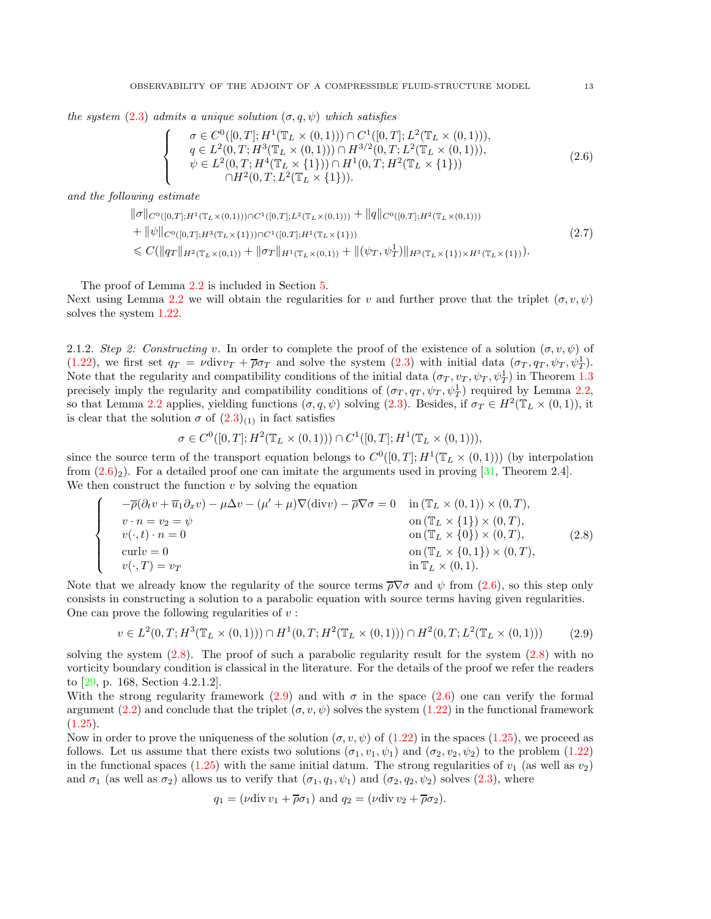the system [\(2.3\)](#page-11-1) admits a unique solution  $(\sigma, q, \psi)$  which satisfies

<span id="page-12-0"></span>
$$
\sigma \in C^{0}([0, T]; H^{1}(\mathbb{T}_{L} \times (0, 1))) \cap C^{1}([0, T]; L^{2}(\mathbb{T}_{L} \times (0, 1))),
$$
\n
$$
q \in L^{2}(0, T; H^{3}(\mathbb{T}_{L} \times (0, 1))) \cap H^{3/2}(0, T; L^{2}(\mathbb{T}_{L} \times (0, 1))),
$$
\n
$$
\psi \in L^{2}(0, T; H^{4}(\mathbb{T}_{L} \times \{1\})) \cap H^{1}(0, T; H^{2}(\mathbb{T}_{L} \times \{1\}))
$$
\n
$$
\cap H^{2}(0, T; L^{2}(\mathbb{T}_{L} \times \{1\})).
$$
\n(2.6)

and the following estimate

 $\sqrt{ }$  $\int$ 

 $\overline{\mathcal{L}}$ 

$$
\|\sigma\|_{C^{0}([0,T];H^{1}(\mathbb{T}_{L}\times(0,1)))\cap C^{1}([0,T];L^{2}(\mathbb{T}_{L}\times(0,1)))}+\|q\|_{C^{0}([0,T];H^{2}(\mathbb{T}_{L}\times(0,1)))}+\|\psi\|_{C^{0}([0,T];H^{3}(\mathbb{T}_{L}\times\{1\}))\cap C^{1}([0,T];H^{1}(\mathbb{T}_{L}\times\{1\}))}\n\leq C(\|q_{T}\|_{H^{2}(\mathbb{T}_{L}\times(0,1))}+\|\sigma_{T}\|_{H^{1}(\mathbb{T}_{L}\times(0,1))}+\|(\psi_{T},\psi_{T}^{1})\|_{H^{3}(\mathbb{T}_{L}\times\{1\})\times H^{1}(\mathbb{T}_{L}\times\{1\})}).
$$
\n(2.7)

The proof of Lemma [2.2](#page-11-2) is included in Section [5.](#page-32-1)

Next using Lemma [2.2](#page-11-2) we will obtain the regularities for v and further prove that the triplet  $(\sigma, v, \psi)$ solves the system [1.22.](#page-6-1)

2.1.2. Step 2: Constructing v. In order to complete the proof of the existence of a solution  $(\sigma, v, \psi)$  of [\(1.22\)](#page-6-1), we first set  $q_T = \nu \text{div} v_T + \overline{\rho} \sigma_T$  and solve the system [\(2.3\)](#page-11-1) with initial data  $(\sigma_T, q_T, \psi_T, \psi_T^1)$ . Note that the regularity and compatibility conditions of the initial data  $(\sigma_T, v_T, \psi_T, \psi_T^1)$  in Theorem [1.3](#page-6-2) precisely imply the regularity and compatibility conditions of  $(\sigma_T, q_T, \psi_T, \psi_T^1)$  required by Lemma [2.2,](#page-11-2) so that Lemma [2.2](#page-11-2) applies, yielding functions  $(\sigma, q, \psi)$  solving [\(2.3\)](#page-11-1). Besides, if  $\sigma_T \in H^2(\mathbb{T}_L \times (0, 1))$ , it is clear that the solution  $\sigma$  of  $(2.3)_{(1)}$  in fact satisfies

<span id="page-12-1"></span>
$$
\sigma \in C^0([0,T];H^2(\mathbb{T}_L \times (0,1))) \cap C^1([0,T];H^1(\mathbb{T}_L \times (0,1))),
$$

since the source term of the transport equation belongs to  $C^0([0,T];H^1(\mathbb{T}_L\times(0,1)))$  (by interpolation from  $(2.6)_2$ ). For a detailed proof one can imitate the arguments used in proving [\[31,](#page-41-11) Theorem 2.4]. We then construct the function  $v$  by solving the equation

$$
\begin{cases}\n-\overline{\rho}(\partial_t v + \overline{u}_1 \partial_x v) - \mu \Delta v - (\mu' + \mu) \nabla(\text{div}v) - \overline{\rho} \nabla \sigma = 0 & \text{in } (\mathbb{T}_L \times (0,1)) \times (0,T), \\
v \cdot n = v_2 = \psi & \text{on } (\mathbb{T}_L \times \{1\}) \times (0,T), \\
v(\cdot, t) \cdot n = 0 & \text{on } (\mathbb{T}_L \times \{0\}) \times (0,T), \\
\text{curl}v = 0 & \text{on } (\mathbb{T}_L \times \{0,1\}) \times (0,T), \\
v(\cdot, T) = v_T & \text{in } \mathbb{T}_L \times (0,1).\n\end{cases}
$$
\n(2.8)

Note that we already know the regularity of the source terms  $\bar{\rho} \nabla \sigma$  and  $\psi$  from [\(2.6\)](#page-12-0), so this step only consists in constructing a solution to a parabolic equation with source terms having given regularities. One can prove the following regularities of  $v$ :

<span id="page-12-2"></span>
$$
v \in L^2(0, T; H^3(\mathbb{T}_L \times (0, 1))) \cap H^1(0, T; H^2(\mathbb{T}_L \times (0, 1))) \cap H^2(0, T; L^2(\mathbb{T}_L \times (0, 1))) \tag{2.9}
$$

solving the system  $(2.8)$ . The proof of such a parabolic regularity result for the system  $(2.8)$  with no vorticity boundary condition is classical in the literature. For the details of the proof we refer the readers to [\[29,](#page-41-0) p. 168, Section 4.2.1.2].

With the strong regularity framework [\(2.9\)](#page-12-2) and with  $\sigma$  in the space [\(2.6\)](#page-12-0) one can verify the formal argument [\(2.2\)](#page-11-3) and conclude that the triplet  $(\sigma, v, \psi)$  solves the system [\(1.22\)](#page-6-1) in the functional framework  $(1.25).$  $(1.25).$ 

Now in order to prove the uniqueness of the solution  $(\sigma, v, \psi)$  of  $(1.22)$  in the spaces  $(1.25)$ , we proceed as follows. Let us assume that there exists two solutions  $(\sigma_1, v_1, \psi_1)$  and  $(\sigma_2, v_2, \psi_2)$  to the problem [\(1.22\)](#page-6-1) in the functional spaces [\(1.25\)](#page-7-6) with the same initial datum. The strong regularities of  $v_1$  (as well as  $v_2$ ) and  $\sigma_1$  (as well as  $\sigma_2$ ) allows us to verify that  $(\sigma_1, q_1, \psi_1)$  and  $(\sigma_2, q_2, \psi_2)$  solves [\(2.3\)](#page-11-1), where

$$
q_1 = (\nu \operatorname{div} v_1 + \overline{\rho} \sigma_1)
$$
 and  $q_2 = (\nu \operatorname{div} v_2 + \overline{\rho} \sigma_2).$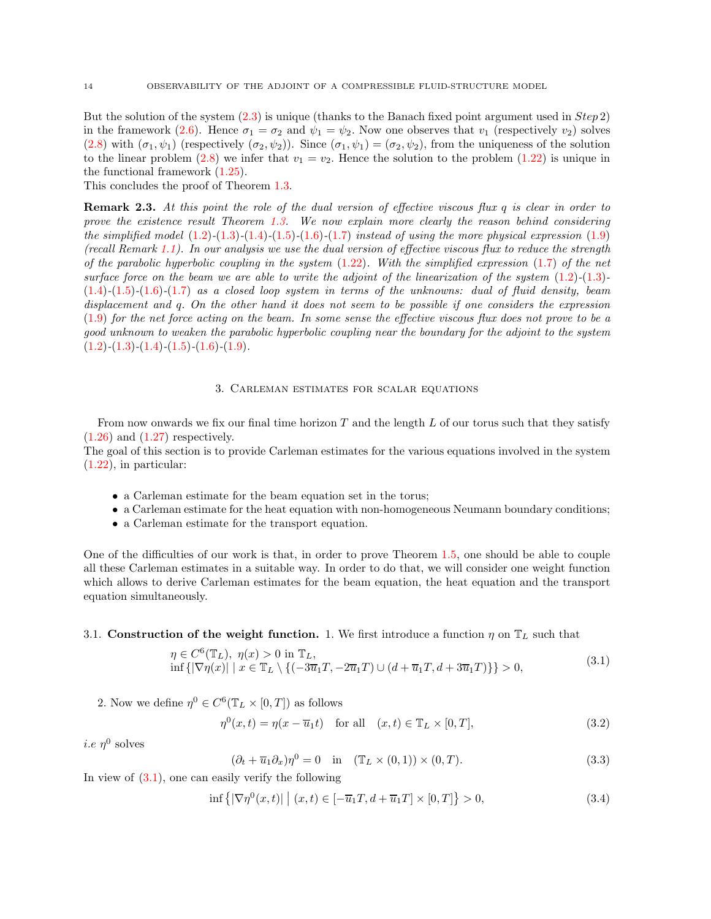But the solution of the system  $(2.3)$  is unique (thanks to the Banach fixed point argument used in  $Step\ 2$ ) in the framework [\(2.6\)](#page-12-0). Hence  $\sigma_1 = \sigma_2$  and  $\psi_1 = \psi_2$ . Now one observes that  $v_1$  (respectively  $v_2$ ) solves [\(2.8\)](#page-12-1) with  $(\sigma_1, \psi_1)$  (respectively  $(\sigma_2, \psi_2)$ ). Since  $(\sigma_1, \psi_1) = (\sigma_2, \psi_2)$ , from the uniqueness of the solution to the linear problem [\(2.8\)](#page-12-1) we infer that  $v_1 = v_2$ . Hence the solution to the problem [\(1.22\)](#page-6-1) is unique in the functional framework [\(1.25\)](#page-7-6).

This concludes the proof of Theorem [1.3.](#page-6-2)

<span id="page-13-0"></span>**Remark 2.3.** At this point the role of the dual version of effective viscous flux  $q$  is clear in order to prove the existence result Theorem [1.3.](#page-6-2) We now explain more clearly the reason behind considering the simplified model  $(1.2)$ - $(1.3)$ - $(1.4)$ - $(1.5)$ - $(1.6)$ - $(1.7)$  instead of using the more physical expression  $(1.9)$ (recall Remark [1.1\)](#page-2-5). In our analysis we use the dual version of effective viscous flux to reduce the strength of the parabolic hyperbolic coupling in the system  $(1.22)$ . With the simplified expression  $(1.7)$  of the net surface force on the beam we are able to write the adjoint of the linearization of the system  $(1.2)$ - $(1.3)$ - $(1.4)-(1.5)-(1.6)$  $(1.4)-(1.5)-(1.6)$  $(1.4)-(1.5)-(1.6)$  $(1.4)-(1.5)-(1.6)$  $(1.4)-(1.5)-(1.6)$ - $(1.7)$  as a closed loop system in terms of the unknowns: dual of fluid density, beam displacement and q. On the other hand it does not seem to be possible if one considers the expression [\(1.9\)](#page-2-1) for the net force acting on the beam. In some sense the effective viscous flux does not prove to be a good unknown to weaken the parabolic hyperbolic coupling near the boundary for the adjoint to the system  $(1.2)$ - $(1.3)$ - $(1.4)$ - $(1.5)$ - $(1.6)$ - $(1.9)$ .

## 3. Carleman estimates for scalar equations

<span id="page-13-1"></span>From now onwards we fix our final time horizon  $T$  and the length  $L$  of our torus such that they satisfy  $(1.26)$  and  $(1.27)$  respectively.

The goal of this section is to provide Carleman estimates for the various equations involved in the system [\(1.22\)](#page-6-1), in particular:

- a Carleman estimate for the beam equation set in the torus;
- a Carleman estimate for the heat equation with non-homogeneous Neumann boundary conditions;
- a Carleman estimate for the transport equation.

One of the difficulties of our work is that, in order to prove Theorem [1.5,](#page-7-1) one should be able to couple all these Carleman estimates in a suitable way. In order to do that, we will consider one weight function which allows to derive Carleman estimates for the beam equation, the heat equation and the transport equation simultaneously.

## <span id="page-13-2"></span>3.1. Construction of the weight function. 1. We first introduce a function  $\eta$  on  $\mathbb{T}_L$  such that

$$
\eta \in C^{6}(\mathbb{T}_{L}), \ \eta(x) > 0 \text{ in } \mathbb{T}_{L},
$$
  
inf { $\left|\nabla \eta(x)\right| \mid x \in \mathbb{T}_{L} \setminus \left\{ \left(-3\overline{u}_{1}T, -2\overline{u}_{1}T\right) \cup \left(d + \overline{u}_{1}T, d + 3\overline{u}_{1}T\right) \right\} \right\} > 0,$  (3.1)

2. Now we define  $\eta^0 \in C^6(\mathbb{T}_L \times [0,T])$  as follows

<span id="page-13-4"></span>
$$
\eta^{0}(x,t) = \eta(x - \overline{u}_{1}t) \quad \text{for all} \quad (x,t) \in \mathbb{T}_{L} \times [0,T],
$$
\n(3.2)

<span id="page-13-6"></span>*i.e*  $\eta^0$  solves

<span id="page-13-5"></span><span id="page-13-3"></span>
$$
(\partial_t + \overline{u}_1 \partial_x)\eta^0 = 0 \quad \text{in} \quad (\mathbb{T}_L \times (0, 1)) \times (0, T). \tag{3.3}
$$

In view of  $(3.1)$ , one can easily verify the following

$$
\inf \{ |\nabla \eta^{0}(x,t)| \mid (x,t) \in [-\overline{u}_{1}T, d+\overline{u}_{1}T] \times [0,T] \} > 0,
$$
\n(3.4)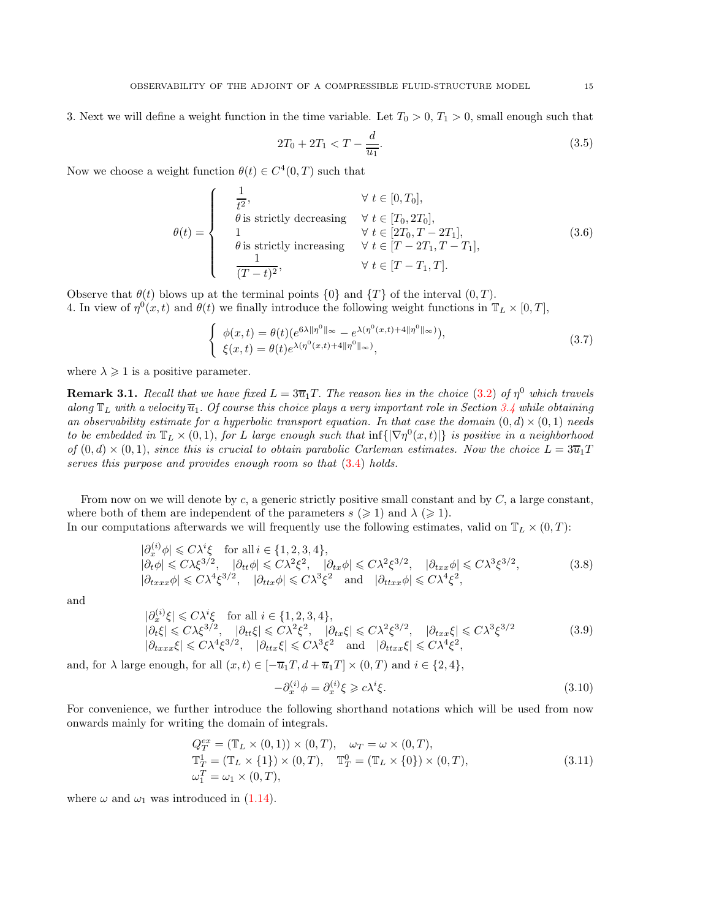3. Next we will define a weight function in the time variable. Let  $T_0 > 0$ ,  $T_1 > 0$ , small enough such that

<span id="page-14-2"></span>
$$
2T_0 + 2T_1 < T - \frac{d}{\overline{u_1}}.\tag{3.5}
$$

Now we choose a weight function  $\theta(t) \in C^4(0,T)$  such that

$$
\theta(t) = \begin{cases}\n\frac{1}{t^2}, & \forall t \in [0, T_0], \\
\theta \text{ is strictly decreasing} & \forall t \in [T_0, 2T_0], \\
1 & \forall t \in [2T_0, T - 2T_1], \\
\theta \text{ is strictly increasing} & \forall t \in [T - 2T_1, T - T_1], \\
\frac{1}{(T - t)^2}, & \forall t \in [T - T_1, T].\n\end{cases}
$$
\n(3.6)

Observe that  $\theta(t)$  blows up at the terminal points  $\{0\}$  and  $\{T\}$  of the interval  $(0, T)$ . 4. In view of  $\eta^0(x,t)$  and  $\theta(t)$  we finally introduce the following weight functions in  $\mathbb{T}_L \times [0,T]$ ,

$$
\begin{cases}\n\phi(x,t) = \theta(t)(e^{6\lambda \|\eta^0\|_{\infty}} - e^{\lambda(\eta^0(x,t) + 4\|\eta^0\|_{\infty})}), \\
\xi(x,t) = \theta(t)e^{\lambda(\eta^0(x,t) + 4\|\eta^0\|_{\infty})},\n\end{cases}
$$
\n(3.7)

where  $\lambda \geq 1$  is a positive parameter.

<span id="page-14-0"></span>**Remark 3.1.** Recall that we have fixed  $L = 3\overline{u}_1T$ . The reason lies in the choice [\(3.2\)](#page-13-4) of  $\eta^0$  which travels along  $\mathbb{T}_L$  with a velocity  $\overline{u}_1$ . Of course this choice plays a very important role in Section [3.4](#page-25-0) while obtaining an observability estimate for a hyperbolic transport equation. In that case the domain  $(0, d) \times (0, 1)$  needs to be embedded in  $\mathbb{T}_L \times (0,1)$ , for L large enough such that  $\inf\{|\nabla \eta^0(x,t)|\}$  is positive in a neighborhood of  $(0, d) \times (0, 1)$ , since this is crucial to obtain parabolic Carleman estimates. Now the choice  $L = 3\overline{u}_1T$ serves this purpose and provides enough room so that  $(3.4)$  holds.

From now on we will denote by c, a generic strictly positive small constant and by  $C$ , a large constant, where both of them are independent of the parameters  $s \geq 1$  and  $\lambda \geq 1$ . In our computations afterwards we will frequently use the following estimates, valid on  $\mathbb{T}_{\tau} \times (0, T)$ .

but computations afterwards we win frequency use the nonowing estimates, value on 
$$
\mathbb{I}_L \times (0,1)
$$
:

$$
|\partial_x^{(i)}\phi| \leq C\lambda^i \xi \quad \text{for all } i \in \{1, 2, 3, 4\},
$$
  
\n
$$
|\partial_t \phi| \leq C\lambda \xi^{3/2}, \quad |\partial_{tt}\phi| \leq C\lambda^2 \xi^2, \quad |\partial_{tx}\phi| \leq C\lambda^2 \xi^{3/2}, \quad |\partial_{txx}\phi| \leq C\lambda^3 \xi^{3/2},
$$
  
\n
$$
|\partial_{txxx}\phi| \leq C\lambda^4 \xi^{3/2}, \quad |\partial_{ttx}\phi| \leq C\lambda^3 \xi^2 \quad \text{and} \quad |\partial_{ttxx}\phi| \leq C\lambda^4 \xi^2,
$$
\n(3.8)

<span id="page-14-4"></span>and

$$
\begin{aligned} |\partial_x^{(i)}\xi| &\leq C\lambda^i\xi \quad \text{for all } i \in \{1,2,3,4\},\\ |\partial_t\xi| &\leq C\lambda\xi^{3/2}, \quad |\partial_{tt}\xi| \leq C\lambda^2\xi^2, \quad |\partial_{tx}\xi| \leq C\lambda^2\xi^{3/2}, \quad |\partial_{txx}\xi| \leq C\lambda^3\xi^{3/2} \\ |\partial_{txxx}\xi| &\leq C\lambda^4\xi^{3/2}, \quad |\partial_{ttx}\xi| \leq C\lambda^3\xi^2 \quad \text{and} \quad |\partial_{ttxx}\xi| \leq C\lambda^4\xi^2, \end{aligned} \tag{3.9}
$$

and, for  $\lambda$  large enough, for all  $(x, t) \in [-\overline{u}_1T, d + \overline{u}_1T] \times (0, T)$  and  $i \in \{2, 4\},$ 

<span id="page-14-5"></span><span id="page-14-3"></span><span id="page-14-1"></span>
$$
-\partial_x^{(i)} \phi = \partial_x^{(i)} \xi \ge c\lambda^i \xi. \tag{3.10}
$$

For convenience, we further introduce the following shorthand notations which will be used from now onwards mainly for writing the domain of integrals.

$$
Q_T^{ex} = (\mathbb{T}_L \times (0, 1)) \times (0, T), \quad \omega_T = \omega \times (0, T),
$$
  
\n
$$
\mathbb{T}_T^1 = (\mathbb{T}_L \times \{1\}) \times (0, T), \quad \mathbb{T}_T^0 = (\mathbb{T}_L \times \{0\}) \times (0, T),
$$
  
\n
$$
\omega_T^T = \omega_1 \times (0, T), \tag{3.11}
$$

where  $\omega$  and  $\omega_1$  was introduced in [\(1.14\)](#page-4-2).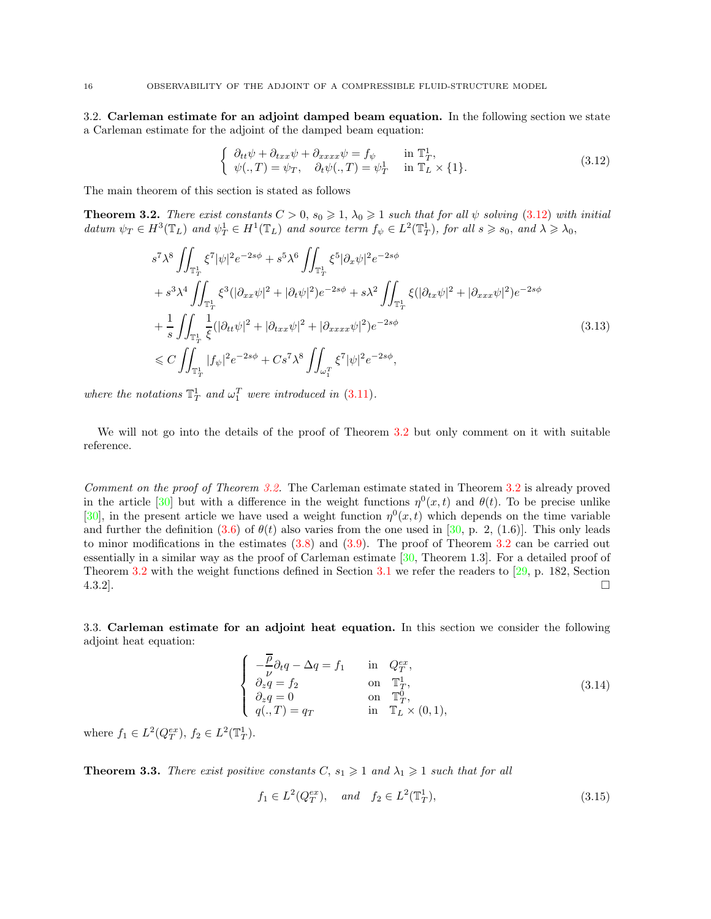<span id="page-15-0"></span>3.2. Carleman estimate for an adjoint damped beam equation. In the following section we state a Carleman estimate for the adjoint of the damped beam equation:

<span id="page-15-2"></span>
$$
\begin{cases}\n\partial_{tt}\psi + \partial_{txx}\psi + \partial_{xxxx}\psi = f_{\psi} & \text{in } \mathbb{T}_T^1, \\
\psi(.,T) = \psi_T, \quad \partial_t\psi(.,T) = \psi_T^1 & \text{in } \mathbb{T}_L \times \{1\}.\n\end{cases}
$$
\n(3.12)

The main theorem of this section is stated as follows

<span id="page-15-3"></span>**Theorem 3.2.** There exist constants  $C > 0$ ,  $s_0 \geq 1$ ,  $\lambda_0 \geq 1$  such that for all  $\psi$  solving [\(3.12\)](#page-15-2) with initial datum  $\psi_T \in H^3(\mathbb{T}_L)$  and  $\psi_T^1 \in H^1(\mathbb{T}_L)$  and source term  $f_{\psi} \in L^2(\mathbb{T}_T^1)$ , for all  $s \geq s_0$ , and  $\lambda \geq \lambda_0$ ,

$$
s^{7} \lambda^{8} \iint_{\mathbb{T}_{T}^{1}} \xi^{7} |\psi|^{2} e^{-2s\phi} + s^{5} \lambda^{6} \iint_{\mathbb{T}_{T}^{1}} \xi^{5} |\partial_{x} \psi|^{2} e^{-2s\phi} + s^{3} \lambda^{4} \iint_{\mathbb{T}_{T}^{1}} \xi^{3} (|\partial_{xx} \psi|^{2} + |\partial_{t} \psi|^{2}) e^{-2s\phi} + s \lambda^{2} \iint_{\mathbb{T}_{T}^{1}} \xi (|\partial_{tx} \psi|^{2} + |\partial_{xxx} \psi|^{2}) e^{-2s\phi} + \frac{1}{s} \iint_{\mathbb{T}_{T}^{1}} \frac{1}{\xi} (|\partial_{tt} \psi|^{2} + |\partial_{txx} \psi|^{2} + |\partial_{xxxx} \psi|^{2}) e^{-2s\phi}  $\leq C \iint_{\mathbb{T}_{T}^{1}} |f_{\psi}|^{2} e^{-2s\phi} + Cs^{7} \lambda^{8} \iint_{\omega_{1}^{T}} \xi^{7} |\psi|^{2} e^{-2s\phi},$  (3.13)
$$

where the notations  $\mathbb{T}_T^1$  and  $\omega_1^T$  were introduced in [\(3.11\)](#page-14-1).

We will not go into the details of the proof of Theorem [3.2](#page-15-3) but only comment on it with suitable reference.

Comment on the proof of Theorem [3.2.](#page-15-3) The Carleman estimate stated in Theorem [3.2](#page-15-3) is already proved in the article [\[30\]](#page-41-3) but with a difference in the weight functions  $\eta^0(x,t)$  and  $\theta(t)$ . To be precise unlike [\[30\]](#page-41-3), in the present article we have used a weight function  $\eta^0(x,t)$  which depends on the time variable and further the definition [\(3.6\)](#page-14-2) of  $\theta(t)$  also varies from the one used in [\[30,](#page-41-3) p. 2, (1.6)]. This only leads to minor modifications in the estimates [\(3.8\)](#page-14-3) and [\(3.9\)](#page-14-4). The proof of Theorem [3.2](#page-15-3) can be carried out essentially in a similar way as the proof of Carleman estimate  $[30,$  Theorem 1.3]. For a detailed proof of Theorem [3.2](#page-15-3) with the weight functions defined in Section [3.1](#page-13-2) we refer the readers to [\[29,](#page-41-0) p. 182, Section  $4.3.2$ ].

<span id="page-15-1"></span>3.3. Carleman estimate for an adjoint heat equation. In this section we consider the following adjoint heat equation:

<span id="page-15-4"></span>
$$
\begin{cases}\n-\frac{\overline{\rho}}{\nu}\partial_t q - \Delta q = f_1 & \text{in } Q_T^{ex}, \\
\partial_z q = f_2 & \text{on } \mathbb{T}_T^1, \\
\partial_z q = 0 & \text{on } \mathbb{T}_T^0, \\
q(.,T) = q_T & \text{in } \mathbb{T}_L \times (0,1),\n\end{cases}
$$
\n(3.14)

where  $f_1 \in L^2(Q_T^{ex}), f_2 \in L^2(\mathbb{T}_T^1)$ .

<span id="page-15-5"></span>**Theorem 3.3.** There exist positive constants  $C$ ,  $s_1 \geq 1$  and  $\lambda_1 \geq 1$  such that for all

$$
f_1 \in L^2(Q_T^{ex}), \quad \text{and} \quad f_2 \in L^2(\mathbb{T}_T^1),
$$
 (3.15)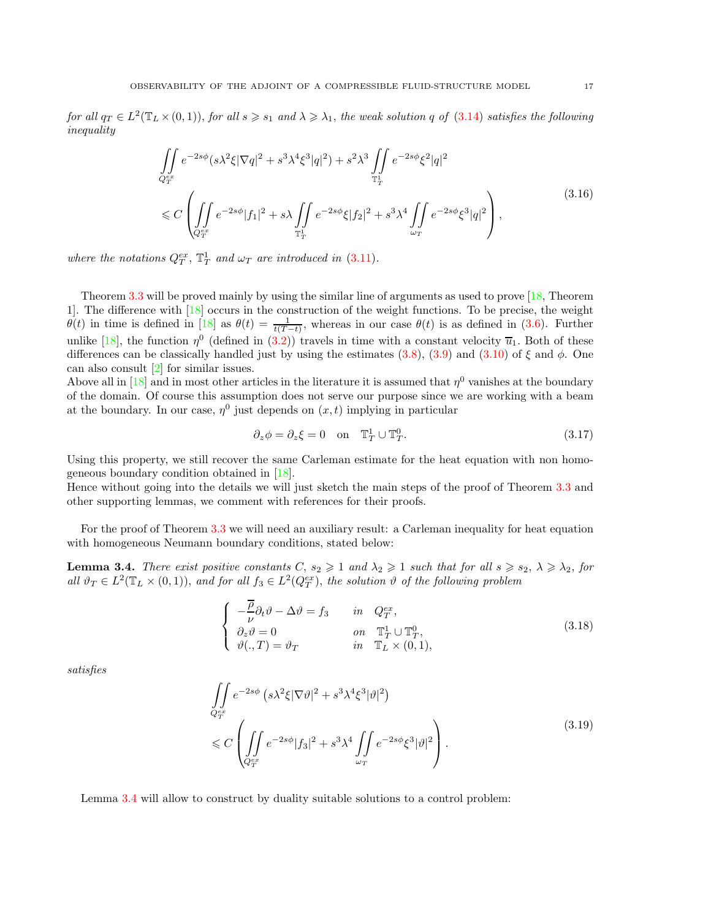for all  $q_T \in L^2(\mathbb{T}_L \times (0,1)),$  for all  $s \geqslant s_1$  and  $\lambda \geqslant \lambda_1$ , the weak solution q of  $(3.14)$  satisfies the following inequality

<span id="page-16-4"></span>
$$
\iint_{Q_T^{ex}} e^{-2s\phi} (s\lambda^2 \xi |\nabla q|^2 + s^3 \lambda^4 \xi^3 |q|^2) + s^2 \lambda^3 \iint_{\mathbb{T}_T^1} e^{-2s\phi} \xi^2 |q|^2
$$
\n
$$
\leq C \left( \iint_{Q_T^{ex}} e^{-2s\phi} |f_1|^2 + s\lambda \iint_{\mathbb{T}_T^1} e^{-2s\phi} \xi |f_2|^2 + s^3 \lambda^4 \iint_{\omega_T} e^{-2s\phi} \xi^3 |q|^2 \right),
$$
\n(3.16)

where the notations  $Q_T^{ex}$ ,  $\mathbb{T}_T^1$  and  $\omega_T$  are introduced in [\(3.11\)](#page-14-1).

Theorem [3.3](#page-15-5) will be proved mainly by using the similar line of arguments as used to prove [\[18,](#page-40-6) Theorem 1]. The difference with [\[18\]](#page-40-6) occurs in the construction of the weight functions. To be precise, the weight  $\theta(t)$  in time is defined in [\[18\]](#page-40-6) as  $\theta(t) = \frac{1}{t(T-t)}$ , whereas in our case  $\theta(t)$  is as defined in [\(3.6\)](#page-14-2). Further unlike [\[18\]](#page-40-6), the function  $\eta^0$  (defined in [\(3.2\)](#page-13-4)) travels in time with a constant velocity  $\overline{u}_1$ . Both of these differences can be classically handled just by using the estimates [\(3.8\)](#page-14-3), [\(3.9\)](#page-14-4) and [\(3.10\)](#page-14-5) of  $\xi$  and  $\phi$ . One can also consult [\[2\]](#page-40-10) for similar issues.

Above all in [\[18\]](#page-40-6) and in most other articles in the literature it is assumed that  $\eta^0$  vanishes at the boundary of the domain. Of course this assumption does not serve our purpose since we are working with a beam at the boundary. In our case,  $\eta^0$  just depends on  $(x, t)$  implying in particular

<span id="page-16-1"></span>
$$
\partial_z \phi = \partial_z \xi = 0 \quad \text{on} \quad \mathbb{T}_T^1 \cup \mathbb{T}_T^0. \tag{3.17}
$$

Using this property, we still recover the same Carleman estimate for the heat equation with non homogeneous boundary condition obtained in [\[18\]](#page-40-6).

Hence without going into the details we will just sketch the main steps of the proof of Theorem [3.3](#page-15-5) and other supporting lemmas, we comment with references for their proofs.

For the proof of Theorem [3.3](#page-15-5) we will need an auxiliary result: a Carleman inequality for heat equation with homogeneous Neumann boundary conditions, stated below:

<span id="page-16-0"></span>**Lemma 3.4.** There exist positive constants  $C$ ,  $s_2 \geq 1$  and  $\lambda_2 \geq 1$  such that for all  $s \geq s_2$ ,  $\lambda \geq \lambda_2$ , for all  $\vartheta_T \in L^2(\mathbb{T}_L \times (0,1)),$  and for all  $f_3 \in L^2(Q_T^{ex}),$  the solution  $\vartheta$  of the following problem

<span id="page-16-2"></span>
$$
\begin{cases}\n-\frac{\overline{\rho}}{\nu}\partial_t\vartheta - \Delta\vartheta = f_3 & \text{in } Q_T^{ex}, \\
\partial_z\vartheta = 0 & \text{on } \mathbb{T}_T^1 \cup \mathbb{T}_T^0, \\
\vartheta(.,T) = \vartheta_T & \text{in } \mathbb{T}_L \times (0,1),\n\end{cases}
$$
\n(3.18)

<span id="page-16-3"></span>satisfies

$$
\iint\limits_{Q_T^{ex}} e^{-2s\phi} \left(s\lambda^2 \xi |\nabla \vartheta|^2 + s^3 \lambda^4 \xi^3 |\vartheta|^2\right)
$$
\n
$$
\leqslant C \left( \iint\limits_{Q_T^{ex}} e^{-2s\phi} |f_3|^2 + s^3 \lambda^4 \iint\limits_{\omega_T} e^{-2s\phi} \xi^3 |\vartheta|^2 \right). \tag{3.19}
$$

Lemma [3.4](#page-16-0) will allow to construct by duality suitable solutions to a control problem: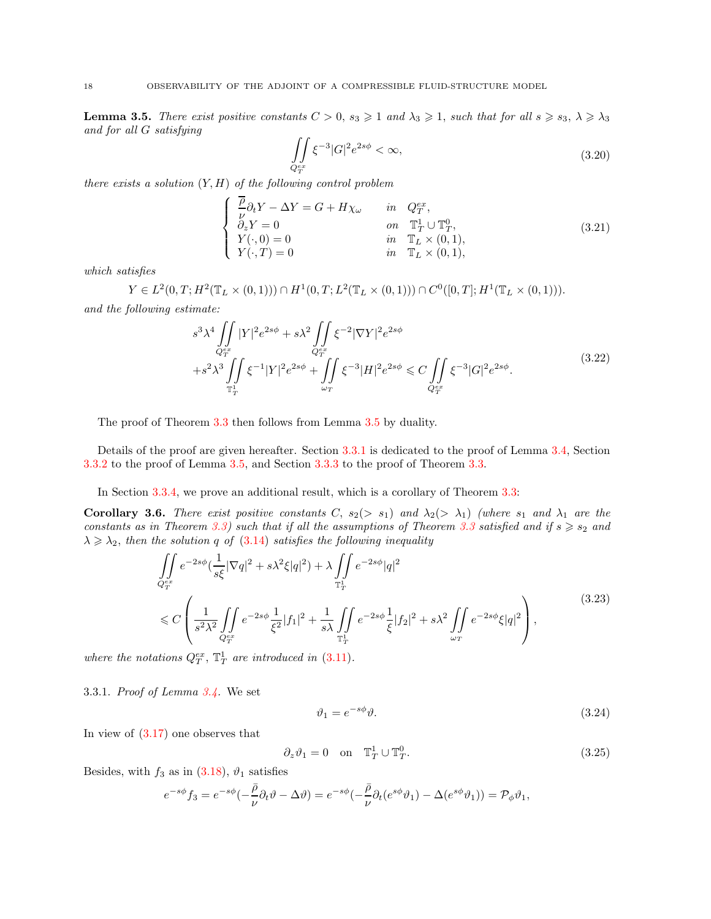<span id="page-17-0"></span>**Lemma 3.5.** There exist positive constants  $C > 0$ ,  $s_3 \geq 1$  and  $\lambda_3 \geq 1$ , such that for all  $s \geq s_3$ ,  $\lambda \geq \lambda_3$ and for all G satisfying

<span id="page-17-2"></span>
$$
\iint\limits_{Q_T^{ex}} \xi^{-3} |G|^2 e^{2s\phi} < \infty,
$$
\n(3.20)

there exists a solution  $(Y, H)$  of the following control problem

<span id="page-17-3"></span>
$$
\begin{cases}\n\frac{\overline{\rho}}{\nu}\partial_t Y - \Delta Y = G + H\chi_\omega & \text{in } Q_T^{ex}, \\
\partial_z Y = 0 & \text{on } \mathbb{T}_T^1 \cup \mathbb{T}_T^0, \\
Y(\cdot, 0) = 0 & \text{in } \mathbb{T}_L \times (0, 1), \\
Y(\cdot, T) = 0 & \text{in } \mathbb{T}_L \times (0, 1),\n\end{cases}
$$
\n(3.21)

which satisfies

 $Y \in L^2(0,T;H^2(\mathbb{T}_L \times (0,1))) \cap H^1(0,T;L^2(\mathbb{T}_L \times (0,1))) \cap C^0([0,T];H^1(\mathbb{T}_L \times (0,1))).$ and the following estimate:

<span id="page-17-4"></span>
$$
s^{3} \lambda^{4} \iint\limits_{Q_{T}^{ex}} |Y|^{2} e^{2s\phi} + s \lambda^{2} \iint\limits_{Q_{T}^{ex}} \xi^{-2} |\nabla Y|^{2} e^{2s\phi} + s^{2} \lambda^{3} \iint\limits_{\mathbb{T}_{T}^{1}} \xi^{-1} |Y|^{2} e^{2s\phi} + \iint\limits_{\omega_{T}} \xi^{-3} |H|^{2} e^{2s\phi} \leq C \iint\limits_{Q_{T}^{ex}} \xi^{-3} |G|^{2} e^{2s\phi}.
$$
\n(3.22)

The proof of Theorem [3.3](#page-15-5) then follows from Lemma [3.5](#page-17-0) by duality.

Details of the proof are given hereafter. Section [3.3.1](#page-17-1) is dedicated to the proof of Lemma [3.4,](#page-16-0) Section [3.3.2](#page-20-0) to the proof of Lemma [3.5,](#page-17-0) and Section [3.3.3](#page-22-0) to the proof of Theorem [3.3.](#page-15-5)

In Section [3.3.4,](#page-24-0) we prove an additional result, which is a corollary of Theorem [3.3:](#page-15-5)

<span id="page-17-5"></span>**Corollary 3.6.** There exist positive constants C,  $s_2(> s_1)$  and  $\lambda_2(> \lambda_1)$  (where  $s_1$  and  $\lambda_1$  are the constants as in Theorem [3.3\)](#page-15-5) such that if all the assumptions of Theorem [3.3](#page-15-5) satisfied and if  $s \geq s_2$  and  $\lambda \geq \lambda_2$ , then the solution q of [\(3.14\)](#page-15-4) satisfies the following inequality

$$
\iint_{Q_T^{ex}} e^{-2s\phi} \left(\frac{1}{s\xi} |\nabla q|^2 + s\lambda^2 \xi |q|^2\right) + \lambda \iint_{\mathbb{T}_T^1} e^{-2s\phi} |q|^2
$$
\n
$$
\leq C \left( \frac{1}{s^2 \lambda^2} \iint_{Q_T^{ex}} e^{-2s\phi} \frac{1}{\xi^2} |f_1|^2 + \frac{1}{s\lambda} \iint_{\mathbb{T}_T^1} e^{-2s\phi} \frac{1}{\xi} |f_2|^2 + s\lambda^2 \iint_{\omega_T} e^{-2s\phi} \xi |q|^2 \right),
$$
\n(3.23)

<span id="page-17-1"></span>where the notations  $Q_T^{ex}$ ,  $\mathbb{T}_T^1$  are introduced in [\(3.11\)](#page-14-1).

3.3.1. Proof of Lemma [3.4.](#page-16-0) We set

$$
\vartheta_1 = e^{-s\phi}\vartheta. \tag{3.24}
$$

In view of [\(3.17\)](#page-16-1) one observes that

$$
\partial_z \vartheta_1 = 0 \quad \text{on} \quad \mathbb{T}_T^1 \cup \mathbb{T}_T^0. \tag{3.25}
$$

Besides, with  $f_3$  as in  $(3.18)$ ,  $\vartheta_1$  satisfies

$$
e^{-s\phi} f_3 = e^{-s\phi} \left(-\frac{\bar{\rho}}{\nu} \partial_t \vartheta - \Delta \vartheta\right) = e^{-s\phi} \left(-\frac{\bar{\rho}}{\nu} \partial_t (e^{s\phi} \vartheta_1) - \Delta (e^{s\phi} \vartheta_1)\right) = \mathcal{P}_{\phi} \vartheta_1,
$$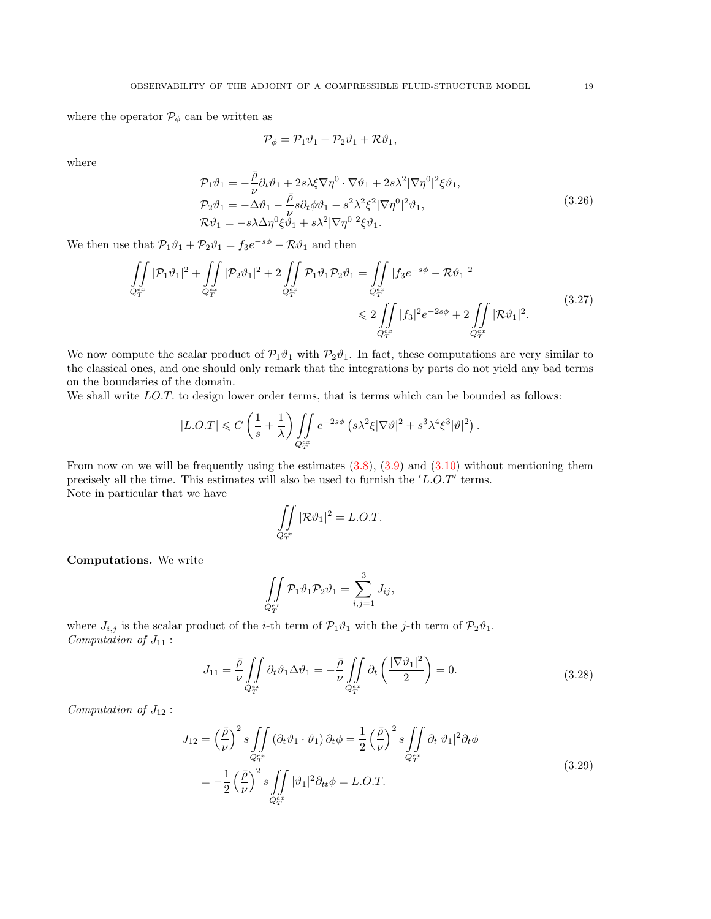where the operator  $\mathcal{P}_{\phi}$  can be written as

<span id="page-18-1"></span>
$$
\mathcal{P}_{\phi} = \mathcal{P}_1 \vartheta_1 + \mathcal{P}_2 \vartheta_1 + \mathcal{R} \vartheta_1,
$$

where

$$
\mathcal{P}_1 \vartheta_1 = -\frac{\bar{\rho}}{\nu} \partial_t \vartheta_1 + 2s\lambda \xi \nabla \eta^0 \cdot \nabla \vartheta_1 + 2s\lambda^2 |\nabla \eta^0|^2 \xi \vartheta_1,
$$
  
\n
$$
\mathcal{P}_2 \vartheta_1 = -\Delta \vartheta_1 - \frac{\bar{\rho}}{\nu} s \partial_t \phi \vartheta_1 - s^2 \lambda^2 \xi^2 |\nabla \eta^0|^2 \vartheta_1,
$$
  
\n
$$
\mathcal{R} \vartheta_1 = -s\lambda \Delta \eta^0 \xi \vartheta_1 + s\lambda^2 |\nabla \eta^0|^2 \xi \vartheta_1.
$$
\n(3.26)

We then use that  $\mathcal{P}_1 \vartheta_1 + \mathcal{P}_2 \vartheta_1 = f_3 e^{-s\phi} - \mathcal{R} \vartheta_1$  and then

$$
\iint\limits_{Q_T^{ex}} |\mathcal{P}_1 \vartheta_1|^2 + \iint\limits_{Q_T^{ex}} |\mathcal{P}_2 \vartheta_1|^2 + 2 \iint\limits_{Q_T^{ex}} \mathcal{P}_1 \vartheta_1 \mathcal{P}_2 \vartheta_1 = \iint\limits_{Q_T^{ex}} |f_3 e^{-s\phi} - \mathcal{R} \vartheta_1|^2
$$
\n
$$
\leq 2 \iint\limits_{Q_T^{ex}} |f_3|^2 e^{-2s\phi} + 2 \iint\limits_{Q_T^{ex}} |\mathcal{R} \vartheta_1|^2.
$$
\n(3.27)

We now compute the scalar product of  $\mathcal{P}_1\vartheta_1$  with  $\mathcal{P}_2\vartheta_1$ . In fact, these computations are very similar to the classical ones, and one should only remark that the integrations by parts do not yield any bad terms on the boundaries of the domain.

We shall write LO.T. to design lower order terms, that is terms which can be bounded as follows:

$$
|L.O.T| \leqslant C\left(\frac{1}{s}+\frac{1}{\lambda}\right)\iint\limits_{Q_T^{ex}} e^{-2s\phi} \left(s\lambda^2\xi|\nabla\vartheta|^2 + s^3\lambda^4\xi^3|\vartheta|^2\right).
$$

From now on we will be frequently using the estimates  $(3.8)$ ,  $(3.9)$  and  $(3.10)$  without mentioning them precisely all the time. This estimates will also be used to furnish the  $'L.O.T'$  terms. Note in particular that we have

$$
\iint\limits_{Q_T^{\rm{or}}} |\mathcal{R}\vartheta_1|^2 = L.O.T.
$$

Computations. We write

$$
\iint\limits_{Q_T^{ex}} \mathcal{P}_1 \vartheta_1 \mathcal{P}_2 \vartheta_1 = \sum_{i,j=1}^3 J_{ij},
$$

where  $J_{i,j}$  is the scalar product of the *i*-th term of  $\mathcal{P}_1\vartheta_1$  with the *j*-th term of  $\mathcal{P}_2\vartheta_1$ . Computation of  $J_{11}$ :

<span id="page-18-0"></span>
$$
J_{11} = \frac{\bar{\rho}}{\nu} \iint\limits_{Q_T^{ex}} \partial_t \vartheta_1 \Delta \vartheta_1 = -\frac{\bar{\rho}}{\nu} \iint\limits_{Q_T^{ex}} \partial_t \left( \frac{|\nabla \vartheta_1|^2}{2} \right) = 0.
$$
 (3.28)

Computation of  $J_{12}$ :

$$
J_{12} = \left(\frac{\bar{\rho}}{\nu}\right)^2 s \iint\limits_{Q_T^{ex}} (\partial_t \vartheta_1 \cdot \vartheta_1) \partial_t \phi = \frac{1}{2} \left(\frac{\bar{\rho}}{\nu}\right)^2 s \iint\limits_{Q_T^{ex}} \partial_t |\vartheta_1|^2 \partial_t \phi
$$
  
= 
$$
-\frac{1}{2} \left(\frac{\bar{\rho}}{\nu}\right)^2 s \iint\limits_{Q_T^{ex}} |\vartheta_1|^2 \partial_{tt} \phi = L.O.T.
$$
 (3.29)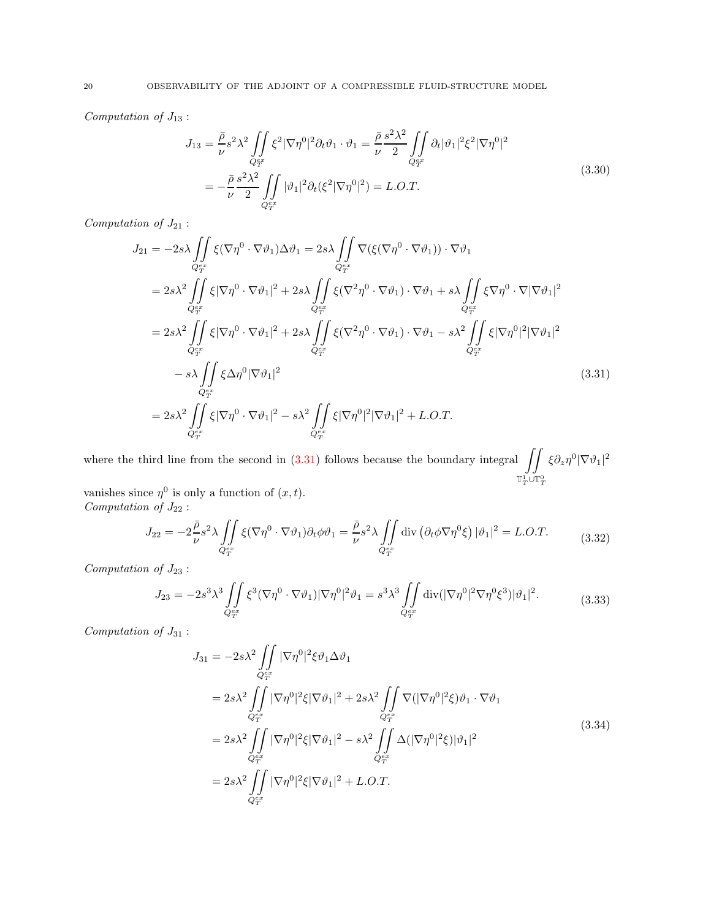Computation of  $J_{13}$ :

<span id="page-19-0"></span>
$$
J_{13} = \frac{\bar{\rho}}{\nu} s^2 \lambda^2 \iint\limits_{Q_T^{ex}} \xi^2 |\nabla \eta^0|^2 \partial_t \vartheta_1 \cdot \vartheta_1 = \frac{\bar{\rho}}{\nu} \frac{s^2 \lambda^2}{2} \iint\limits_{Q_T^{ex}} \partial_t |\vartheta_1|^2 \xi^2 |\nabla \eta^0|^2
$$
  
= 
$$
-\frac{\bar{\rho}}{\nu} \frac{s^2 \lambda^2}{2} \iint\limits_{Q_T^{ex}} |\vartheta_1|^2 \partial_t (\xi^2 |\nabla \eta^0|^2) = L.O.T.
$$
 (3.30)

Computation of  $J_{21}$ :

$$
J_{21} = -2s\lambda \iint_{Q_{T}^{ex}} \xi(\nabla \eta^{0} \cdot \nabla \vartheta_{1}) \Delta \vartheta_{1} = 2s\lambda \iint_{Q_{T}^{ex}} \nabla(\xi(\nabla \eta^{0} \cdot \nabla \vartheta_{1})) \cdot \nabla \vartheta_{1}
$$
  
\n
$$
= 2s\lambda^{2} \iint_{Q_{T}^{ex}} \xi |\nabla \eta^{0} \cdot \nabla \vartheta_{1}|^{2} + 2s\lambda \iint_{Q_{T}^{ex}} \xi(\nabla^{2} \eta^{0} \cdot \nabla \vartheta_{1}) \cdot \nabla \vartheta_{1} + s\lambda \iint_{Q_{T}^{ex}} \xi \nabla \eta^{0} \cdot \nabla |\nabla \vartheta_{1}|^{2}
$$
  
\n
$$
= 2s\lambda^{2} \iint_{Q_{T}^{ex}} \xi |\nabla \eta^{0} \cdot \nabla \vartheta_{1}|^{2} + 2s\lambda \iint_{Q_{T}^{ex}} \xi(\nabla^{2} \eta^{0} \cdot \nabla \vartheta_{1}) \cdot \nabla \vartheta_{1} - s\lambda^{2} \iint_{Q_{T}^{ex}} \xi |\nabla \eta^{0}|^{2} |\nabla \vartheta_{1}|^{2}
$$
  
\n
$$
- s\lambda \iint_{Q_{T}^{ex}} \xi \Delta \eta^{0} |\nabla \vartheta_{1}|^{2}
$$
  
\n
$$
= 2s\lambda^{2} \iint_{Q_{T}^{ex}} \xi |\nabla \eta^{0} \cdot \nabla \vartheta_{1}|^{2} - s\lambda^{2} \iint_{Q_{T}^{ex}} \xi |\nabla \eta^{0}|^{2} |\nabla \vartheta_{1}|^{2} + L.O.T.
$$
  
\n(3.31)

where the third line from the second in [\(3.31\)](#page-19-0) follows because the boundary integral  $\int$  $\mathbb{T}_T^1\cup\mathbb{T}_T^0$  $\xi \partial_z \eta^0 |\nabla \vartheta_1|^2$ 

vanishes since  $\eta^0$  is only a function of  $(x, t)$ . Computation of  $J_{22}$ :

$$
J_{22} = -2\frac{\bar{\rho}}{\nu}s^2 \lambda \iint\limits_{Q_T^{ex}} \xi(\nabla \eta^0 \cdot \nabla \vartheta_1) \partial_t \phi \vartheta_1 = \frac{\bar{\rho}}{\nu}s^2 \lambda \iint\limits_{Q_T^{ex}} \text{div} \left( \partial_t \phi \nabla \eta^0 \xi \right) |\vartheta_1|^2 = L.O.T. \tag{3.32}
$$

Computation of  $J_{23}$ :

$$
J_{23} = -2s^3 \lambda^3 \iint\limits_{Q_T^{ex}} \xi^3 (\nabla \eta^0 \cdot \nabla \vartheta_1) |\nabla \eta^0|^2 \vartheta_1 = s^3 \lambda^3 \iint\limits_{Q_T^{ex}} \text{div}(|\nabla \eta^0|^2 \nabla \eta^0 \xi^3) |\vartheta_1|^2. \tag{3.33}
$$

 $Computation\ of\ J_{31}$ :

$$
J_{31} = -2s\lambda^2 \iint\limits_{Q_T^{ex}} |\nabla \eta^0|^2 \xi \vartheta_1 \Delta \vartheta_1
$$
  
\n
$$
= 2s\lambda^2 \iint\limits_{Q_T^{ex}} |\nabla \eta^0|^2 \xi |\nabla \vartheta_1|^2 + 2s\lambda^2 \iint\limits_{Q_T^{ex}} \nabla (|\nabla \eta^0|^2 \xi) \vartheta_1 \cdot \nabla \vartheta_1
$$
  
\n
$$
= 2s\lambda^2 \iint\limits_{Q_T^{ex}} |\nabla \eta^0|^2 \xi |\nabla \vartheta_1|^2 - s\lambda^2 \iint\limits_{Q_T^{ex}} \Delta (|\nabla \eta^0|^2 \xi) |\vartheta_1|^2
$$
  
\n
$$
= 2s\lambda^2 \iint\limits_{Q_T^{ex}} |\nabla \eta^0|^2 \xi |\nabla \vartheta_1|^2 + L.O.T.
$$
  
\n(3.34)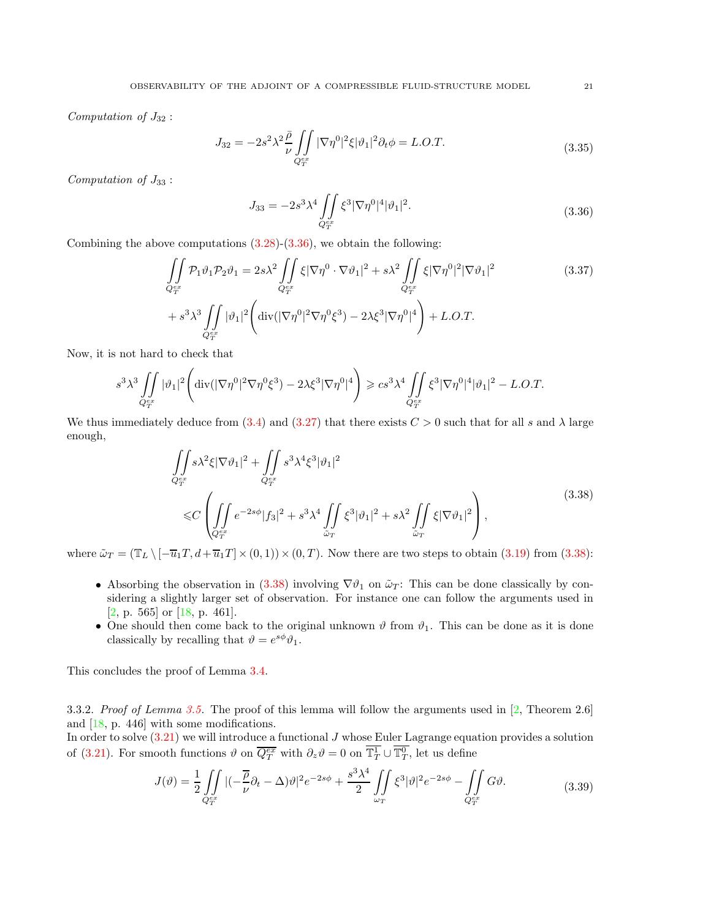Computation of  $J_{32}$ :

<span id="page-20-1"></span>
$$
J_{32} = -2s^2 \lambda^2 \frac{\bar{\rho}}{\nu} \iint\limits_{Q_{T}^{ex}} |\nabla \eta^0|^2 \xi |\vartheta_1|^2 \partial_t \phi = L.O.T.
$$
 (3.35)

Computation of  $J_{33}$ :

$$
J_{33} = -2s^3\lambda^4 \iint\limits_{Q_T^{ex}} \xi^3 |\nabla \eta^0|^4 |\vartheta_1|^2.
$$
 (3.36)

Combining the above computations  $(3.28)-(3.36)$  $(3.28)-(3.36)$ , we obtain the following:

$$
\iint_{Q_T^{ex}} \mathcal{P}_1 \vartheta_1 \mathcal{P}_2 \vartheta_1 = 2s\lambda^2 \iint_{Q_T^{ex}} \xi |\nabla \eta^0 \cdot \nabla \vartheta_1|^2 + s\lambda^2 \iint_{Q_T^{ex}} \xi |\nabla \eta^0|^2 |\nabla \vartheta_1|^2
$$
\n
$$
+ s^3 \lambda^3 \iint_{Q_T^{ex}} |\vartheta_1|^2 \left( \text{div}(|\nabla \eta^0|^2 \nabla \eta^0 \xi^3) - 2\lambda \xi^3 |\nabla \eta^0|^4 \right) + L.O.T.
$$
\n(3.37)

Now, it is not hard to check that

$$
s^3\lambda^3\int\limits_{Q_T^{ex}} |\vartheta_1|^2\Bigg({\rm div}(|\nabla \eta^0|^2\nabla \eta^0 \xi^3)-2\lambda \xi^3|\nabla \eta^0|^4\Bigg)\geqslant c s^3\lambda^4\int\limits_{Q_T^{ex}}\int\limits_{\xi^3} \xi^3|\nabla \eta^0|^4|\vartheta_1|^2-L.O.T.
$$

<span id="page-20-2"></span>We thus immediately deduce from [\(3.4\)](#page-13-5) and [\(3.27\)](#page-18-1) that there exists  $C > 0$  such that for all s and  $\lambda$  large enough,

$$
\iint_{Q_T^{ex}} s\lambda^2 \xi |\nabla \vartheta_1|^2 + \iint_{Q_T^{ex}} s^3 \lambda^4 \xi^3 |\vartheta_1|^2
$$
\n
$$
\leq C \left( \iint_{Q_T^{ex}} e^{-2s\phi} |f_3|^2 + s^3 \lambda^4 \iint_{\tilde{\omega}_T} \xi^3 |\vartheta_1|^2 + s\lambda^2 \iint_{\tilde{\omega}_T} \xi |\nabla \vartheta_1|^2 \right),
$$
\n(3.38)

where  $\tilde{\omega}_T = (\mathbb{T}_L \setminus [-\overline{u}_1T, d+\overline{u}_1T] \times (0, 1)) \times (0, T)$ . Now there are two steps to obtain [\(3.19\)](#page-16-3) from [\(3.38\)](#page-20-2):

- Absorbing the observation in [\(3.38\)](#page-20-2) involving  $\nabla \vartheta_1$  on  $\tilde{\omega}_T$ : This can be done classically by considering a slightly larger set of observation. For instance one can follow the arguments used in [\[2,](#page-40-10) p. 565] or [\[18,](#page-40-6) p. 461].
- One should then come back to the original unknown  $\vartheta$  from  $\vartheta_1$ . This can be done as it is done classically by recalling that  $\vartheta = e^{s\phi}\vartheta_1$ .

<span id="page-20-0"></span>This concludes the proof of Lemma [3.4.](#page-16-0)

3.3.2. Proof of Lemma [3.5.](#page-17-0) The proof of this lemma will follow the arguments used in [\[2,](#page-40-10) Theorem 2.6] and  $[18, p. 446]$  with some modifications.

In order to solve  $(3.21)$  we will introduce a functional  $J$  whose Euler Lagrange equation provides a solution of [\(3.21\)](#page-17-2). For smooth functions  $\vartheta$  on  $\overline{Q_T^{ex}}$  with  $\partial_z \vartheta = 0$  on  $\overline{\mathbb{T}_T^1} \cup \overline{\mathbb{T}_T^0}$ , let us define

$$
J(\vartheta) = \frac{1}{2} \iint\limits_{Q_T^{ex}} |(-\frac{\overline{\rho}}{\nu} \partial_t - \Delta)\vartheta|^2 e^{-2s\phi} + \frac{s^3 \lambda^4}{2} \iint\limits_{\omega_T} \xi^3 |\vartheta|^2 e^{-2s\phi} - \iint\limits_{Q_T^{ex}} G\vartheta. \tag{3.39}
$$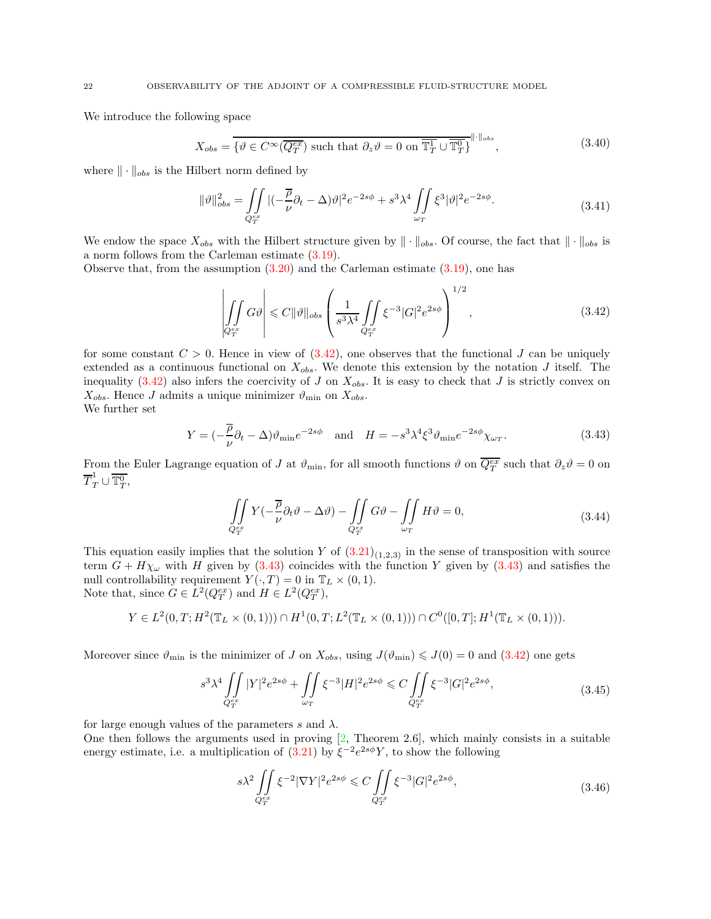We introduce the following space

$$
X_{obs} = \overline{\{\vartheta \in C^{\infty}(\overline{Q_T^{ex}}) \text{ such that } \partial_z \vartheta = 0 \text{ on } \overline{\mathbb{T}_T^1} \cup \overline{\mathbb{T}_T^0}\}}^{\|\cdot\|_{obs}},\tag{3.40}
$$

where  $\|\cdot\|_{obs}$  is the Hilbert norm defined by

$$
\|\vartheta\|_{obs}^2 = \iint\limits_{Q_T^{ex}} |(-\frac{\overline{\rho}}{\nu}\partial_t - \Delta)\vartheta|^2 e^{-2s\phi} + s^3 \lambda^4 \iint\limits_{\omega_T} \xi^3 |\vartheta|^2 e^{-2s\phi}.
$$
 (3.41)

We endow the space  $X_{obs}$  with the Hilbert structure given by  $\|\cdot\|_{obs}$ . Of course, the fact that  $\|\cdot\|_{obs}$  is a norm follows from the Carleman estimate [\(3.19\)](#page-16-3).

Observe that, from the assumption  $(3.20)$  and the Carleman estimate  $(3.19)$ , one has

<span id="page-21-0"></span>
$$
\left| \iint\limits_{Q_T^{ex}} G\vartheta \right| \leqslant C \|\vartheta\|_{obs} \left( \frac{1}{s^3 \lambda^4} \iint\limits_{Q_T^{ex}} \xi^{-3} |G|^2 e^{2s\phi} \right)^{1/2}, \tag{3.42}
$$

for some constant  $C > 0$ . Hence in view of  $(3.42)$ , one observes that the functional J can be uniquely extended as a continuous functional on  $X_{obs}$ . We denote this extension by the notation J itself. The inequality  $(3.42)$  also infers the coercivity of J on  $X_{obs}$ . It is easy to check that J is strictly convex on  $X_{obs}$ . Hence J admits a unique minimizer  $\vartheta_{\min}$  on  $X_{obs}$ .

We further set

<span id="page-21-1"></span>
$$
Y = \left(-\frac{\overline{\rho}}{\nu}\partial_t - \Delta\right)\vartheta_{\min}e^{-2s\phi} \quad \text{and} \quad H = -s^3\lambda^4\xi^3\vartheta_{\min}e^{-2s\phi}\chi_{\omega_T}.\tag{3.43}
$$

From the Euler Lagrange equation of J at  $\vartheta_{\min}$ , for all smooth functions  $\vartheta$  on  $\overline{Q_T^{ex}}$  such that  $\partial_z\vartheta=0$  on  $\overline{T}_T^1 \cup \overline{\mathbb{T}_T^0},$ 

$$
\iint\limits_{Q_T^{ex}} Y(-\frac{\overline{\rho}}{\nu}\partial_t \vartheta - \Delta \vartheta) - \iint\limits_{Q_T^{ex}} G \vartheta - \iint\limits_{\omega_T} H \vartheta = 0,
$$
\n(3.44)

This equation easily implies that the solution Y of  $(3.21)_{(1,2,3)}$  in the sense of transposition with source term  $G + H\chi_{\omega}$  with H given by [\(3.43\)](#page-21-1) coincides with the function Y given by (3.43) and satisfies the null controllability requirement  $Y(\cdot, T) = 0$  in  $\mathbb{T}_L \times (0, 1)$ . Note that, since  $G \in L^2(Q_T^{ex})$  and  $H \in L^2(Q_T^{ex})$ ,

$$
Y \in L^{2}(0,T; H^{2}(\mathbb{T}_{L}\times(0,1)))\cap H^{1}(0,T; L^{2}(\mathbb{T}_{L}\times(0,1)))\cap C^{0}([0,T]; H^{1}(\mathbb{T}_{L}\times(0,1))).
$$

Moreover since  $\vartheta_{\min}$  is the minimizer of J on  $X_{obs}$ , using  $J(\vartheta_{\min}) \leq J(0) = 0$  and  $(3.42)$  one gets

$$
s^3 \lambda^4 \iint\limits_{Q_T^{ex}} |Y|^2 e^{2s\phi} + \iint\limits_{\omega_T} \xi^{-3} |H|^2 e^{2s\phi} \leq C \iint\limits_{Q_T^{ex}} \xi^{-3} |G|^2 e^{2s\phi},\tag{3.45}
$$

for large enough values of the parameters s and  $\lambda$ .

One then follows the arguments used in proving [\[2,](#page-40-10) Theorem 2.6], which mainly consists in a suitable energy estimate, i.e. a multiplication of  $(3.21)$  by  $\xi^{-2}e^{2s\phi}Y$ , to show the following

<span id="page-21-3"></span><span id="page-21-2"></span>
$$
s\lambda^2 \iint\limits_{Q_T^{ex}} \xi^{-2} |\nabla Y|^2 e^{2s\phi} \leq C \iint\limits_{Q_T^{ex}} \xi^{-3} |G|^2 e^{2s\phi},\tag{3.46}
$$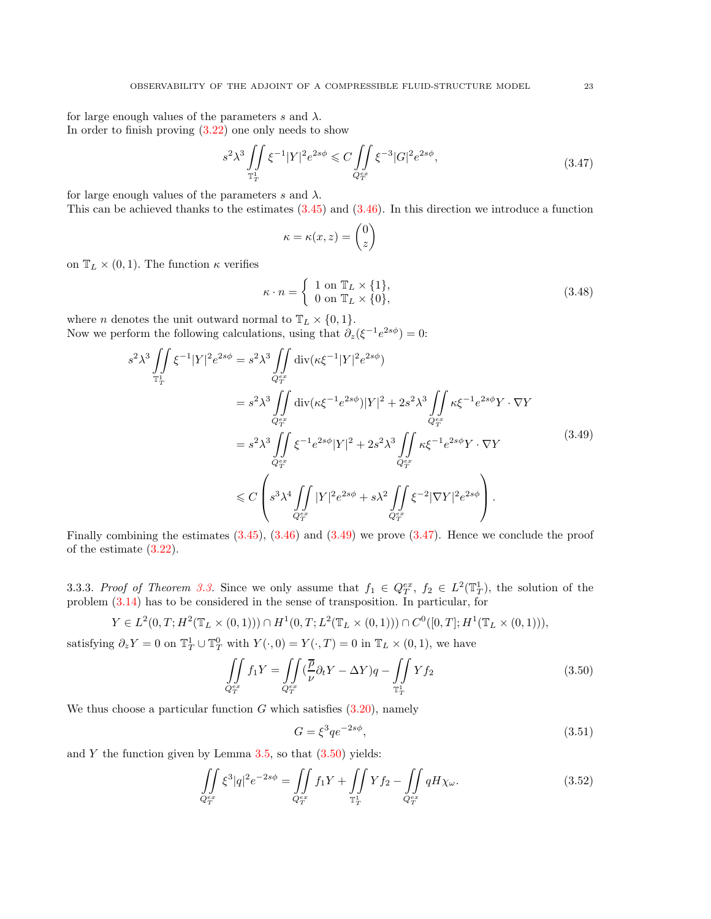for large enough values of the parameters s and  $\lambda$ . In order to finish proving  $(3.22)$  one only needs to show

$$
s^2 \lambda^3 \iint\limits_{\mathbb{T}_T^1} \xi^{-1} |Y|^2 e^{2s\phi} \leq C \iint\limits_{Q_T^{ex}} \xi^{-3} |G|^2 e^{2s\phi},\tag{3.47}
$$

for large enough values of the parameters s and  $\lambda$ . This can be achieved thanks to the estimates  $(3.45)$  and  $(3.46)$ . In this direction we introduce a function

<span id="page-22-2"></span>
$$
\kappa = \kappa(x, z) = \begin{pmatrix} 0 \\ z \end{pmatrix}
$$

on  $\mathbb{T}_L \times (0,1)$ . The function  $\kappa$  verifies

<span id="page-22-1"></span>
$$
\kappa \cdot n = \begin{cases} 1 \text{ on } \mathbb{T}_L \times \{1\}, \\ 0 \text{ on } \mathbb{T}_L \times \{0\}, \end{cases}
$$
 (3.48)

where *n* denotes the unit outward normal to  $\mathbb{T}_L \times \{0,1\}.$ Now we perform the following calculations, using that  $\partial_z(\xi^{-1}e^{2s\phi}) = 0$ :

$$
s^{2} \lambda^{3} \iint_{\mathbb{T}_{T}^{1}} \xi^{-1} |Y|^{2} e^{2s\phi} = s^{2} \lambda^{3} \iint_{Q_{T}^{ex}} \operatorname{div}(\kappa \xi^{-1} |Y|^{2} e^{2s\phi})
$$
  
\n
$$
= s^{2} \lambda^{3} \iint_{Q_{T}^{ex}} \operatorname{div}(\kappa \xi^{-1} e^{2s\phi}) |Y|^{2} + 2s^{2} \lambda^{3} \iint_{Q_{T}^{ex}} \kappa \xi^{-1} e^{2s\phi} Y \cdot \nabla Y
$$
  
\n
$$
= s^{2} \lambda^{3} \iint_{Q_{T}^{ex}} \xi^{-1} e^{2s\phi} |Y|^{2} + 2s^{2} \lambda^{3} \iint_{Q_{T}^{ex}} \kappa \xi^{-1} e^{2s\phi} Y \cdot \nabla Y
$$
  
\n
$$
\leq C \left( s^{3} \lambda^{4} \iint_{Q_{T}^{ex}} |Y|^{2} e^{2s\phi} + s \lambda^{2} \iint_{Q_{T}^{ex}} \xi^{-2} |\nabla Y|^{2} e^{2s\phi} \right).
$$
\n(3.49)

Finally combining the estimates  $(3.45)$ ,  $(3.46)$  and  $(3.49)$  we prove  $(3.47)$ . Hence we conclude the proof of the estimate [\(3.22\)](#page-17-4).

<span id="page-22-0"></span>[3.3.](#page-15-5)3. Proof of Theorem 3.3. Since we only assume that  $f_1 \in Q_T^{ex}$ ,  $f_2 \in L^2(\mathbb{T}_T^1)$ , the solution of the problem [\(3.14\)](#page-15-4) has to be considered in the sense of transposition. In particular, for

$$
Y \in L^{2}(0,T; H^{2}(\mathbb{T}_{L} \times (0,1))) \cap H^{1}(0,T; L^{2}(\mathbb{T}_{L} \times (0,1))) \cap C^{0}([0,T]; H^{1}(\mathbb{T}_{L} \times (0,1))),
$$

satisfying  $\partial_z Y = 0$  on  $\mathbb{T}_T^1 \cup \mathbb{T}_T^0$  with  $Y(\cdot, 0) = Y(\cdot, T) = 0$  in  $\mathbb{T}_L \times (0, 1)$ , we have

$$
\iint\limits_{Q_T^{ex}} f_1 Y = \iint\limits_{Q_T^{ex}} (\frac{\overline{\rho}}{\nu} \partial_t Y - \Delta Y) q - \iint\limits_{\mathbb{T}_T^1} Y f_2
$$
\n(3.50)

We thus choose a particular function  $G$  which satisfies  $(3.20)$ , namely

<span id="page-22-5"></span><span id="page-22-4"></span><span id="page-22-3"></span>
$$
G = \xi^3 q e^{-2s\phi},\tag{3.51}
$$

and  $Y$  the function given by Lemma [3.5,](#page-17-0) so that  $(3.50)$  yields:

$$
\iint\limits_{Q_T^{ex}} \xi^3 |q|^2 e^{-2s\phi} = \iint\limits_{Q_T^{ex}} f_1 Y + \iint\limits_{\mathbb{T}_T^1} Y f_2 - \iint\limits_{Q_T^{ex}} q H \chi_\omega. \tag{3.52}
$$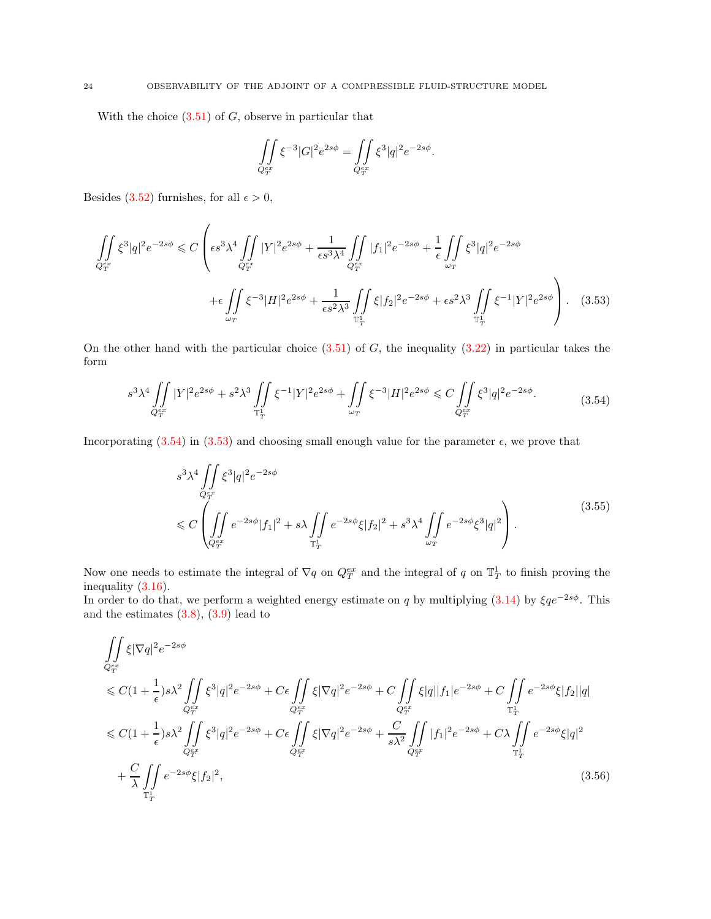With the choice  $(3.51)$  of  $G$ , observe in particular that

$$
\iint\limits_{Q_T^{ex}} \xi^{-3} |G|^2 e^{2s\phi} = \iint\limits_{Q_T^{ex}} \xi^3 |q|^2 e^{-2s\phi}
$$

<span id="page-23-3"></span><span id="page-23-1"></span>.

Besides [\(3.52\)](#page-22-5) furnishes, for all  $\epsilon > 0$ ,

$$
\iint\limits_{Q_T^{ex}} \xi^3 |q|^2 e^{-2s\phi} \leq C \left( \epsilon s^3 \lambda^4 \iint\limits_{Q_T^{ex}} |Y|^2 e^{2s\phi} + \frac{1}{\epsilon s^3 \lambda^4} \iint\limits_{Q_T^{ex}} |f_1|^2 e^{-2s\phi} + \frac{1}{\epsilon} \iint\limits_{\omega_T} \xi^3 |q|^2 e^{-2s\phi} \right. \\ \left. + \epsilon \iint\limits_{\omega_T} \xi^{-3} |H|^2 e^{2s\phi} + \frac{1}{\epsilon s^2 \lambda^3} \iint\limits_{\mathbb{T}_T^1} \xi |f_2|^2 e^{-2s\phi} + \epsilon s^2 \lambda^3 \iint\limits_{\mathbb{T}_T^1} \xi^{-1} |Y|^2 e^{2s\phi} \right). \tag{3.53}
$$

On the other hand with the particular choice  $(3.51)$  of G, the inequality  $(3.22)$  in particular takes the form

<span id="page-23-0"></span>
$$
s^3 \lambda^4 \iint\limits_{Q_T^{ex}} |Y|^2 e^{2s\phi} + s^2 \lambda^3 \iint\limits_{\mathbb{T}_T^1} \xi^{-1} |Y|^2 e^{2s\phi} + \iint\limits_{\omega_T} \xi^{-3} |H|^2 e^{2s\phi} \leq C \iint\limits_{Q_T^{ex}} \xi^3 |q|^2 e^{-2s\phi}.
$$
 (3.54)

Incorporating [\(3.54\)](#page-23-0) in [\(3.53\)](#page-23-1) and choosing small enough value for the parameter  $\epsilon$ , we prove that

$$
s^{3} \lambda^{4} \iint\limits_{Q_{T}^{ex}} \xi^{3} |q|^{2} e^{-2s\phi}
$$
  
\$\leqslant C \left( \iint\limits\_{Q\_{T}^{ex}} e^{-2s\phi} |f\_{1}|^{2} + s \lambda \iint\limits\_{\mathbb{T}\_{T}^{1}} e^{-2s\phi} \xi |f\_{2}|^{2} + s^{3} \lambda^{4} \iint\limits\_{\omega\_{T}} e^{-2s\phi} \xi^{3} |q|^{2} \right).\$ (3.55)

Now one needs to estimate the integral of  $\nabla q$  on  $Q_T^{ex}$  and the integral of q on  $\mathbb{T}_T^1$  to finish proving the inequality [\(3.16\)](#page-16-4).

In order to do that, we perform a weighted energy estimate on q by multiplying [\(3.14\)](#page-15-4) by  $\xi q e^{-2s\phi}$ . This and the estimates  $(3.8), (3.9)$  $(3.8), (3.9)$  lead to

<span id="page-23-2"></span>
$$
\iint_{Q_T^{ex}} \xi |\nabla q|^2 e^{-2s\phi} \n\leq C \left(1 + \frac{1}{\epsilon}\right) s \lambda^2 \iint_{Q_T^{ex}} \xi^3 |q|^2 e^{-2s\phi} + C \epsilon \iint_{Q_T^{ex}} \xi |\nabla q|^2 e^{-2s\phi} + C \iint_{Q_T^{ex}} \xi |q| |f_1| e^{-2s\phi} + C \iint_{\mathbb{T}_T^1} e^{-2s\phi} \xi |f_2||q| \n\leq C \left(1 + \frac{1}{\epsilon}\right) s \lambda^2 \iint_{Q_T^{ex}} \xi^3 |q|^2 e^{-2s\phi} + C \epsilon \iint_{Q_T^{ex}} \xi |\nabla q|^2 e^{-2s\phi} + \frac{C}{s \lambda^2} \iint_{Q_T^{ex}} |f_1|^2 e^{-2s\phi} + C \lambda \iint_{\mathbb{T}_T^1} e^{-2s\phi} \xi |q|^2 \n+ \frac{C}{\lambda} \iint_{\mathbb{T}_T^1} e^{-2s\phi} \xi |f_2|^2, \tag{3.56}
$$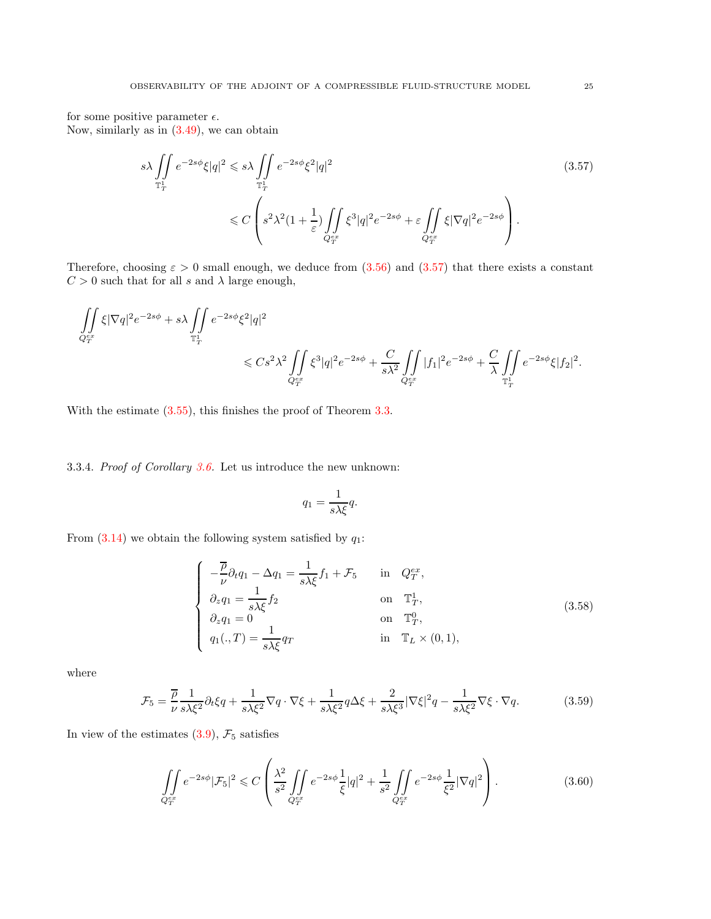for some positive parameter  $\epsilon$ . Now, similarly as in [\(3.49\)](#page-22-1), we can obtain

<span id="page-24-1"></span>
$$
s\lambda \iint\limits_{\mathbb{T}_T^1} e^{-2s\phi} \xi |q|^2 \leq s\lambda \iint\limits_{\mathbb{T}_T^1} e^{-2s\phi} \xi^2 |q|^2
$$
\n
$$
\leq C \left( s^2 \lambda^2 (1 + \frac{1}{\varepsilon}) \iint\limits_{Q_T^{ex}} \xi^3 |q|^2 e^{-2s\phi} + \varepsilon \iint\limits_{Q_T^{ex}} \xi |\nabla q|^2 e^{-2s\phi} \right).
$$
\n(3.57)

Therefore, choosing  $\varepsilon > 0$  small enough, we deduce from  $(3.56)$  and  $(3.57)$  that there exists a constant  $C > 0$  such that for all s and  $\lambda$  large enough,

$$
\begin{split} \iint\limits_{Q_T^{ex}} \xi |\nabla q|^2 e^{-2s\phi} + s\lambda \iint\limits_{\mathbb{T}_T^1} e^{-2s\phi} \xi^2 |q|^2 \\ \leqslant &\ C s^2 \lambda^2 \iint\limits_{Q_T^{ex}} \xi^3 |q|^2 e^{-2s\phi} + \frac{C}{s\lambda^2} \iint\limits_{Q_T^{ex}} |f_1|^2 e^{-2s\phi} + \frac{C}{\lambda} \iint\limits_{\mathbb{T}_T^1} e^{-2s\phi} \xi |f_2|^2. \end{split}
$$

With the estimate  $(3.55)$ , this finishes the proof of Theorem [3.3.](#page-15-5)

<span id="page-24-0"></span>3.3.4. Proof of Corollary [3.6.](#page-17-5) Let us introduce the new unknown:

<span id="page-24-2"></span>
$$
q_1 = \frac{1}{s\lambda\xi}q.
$$

From  $(3.14)$  we obtain the following system satisfied by  $q_1$ :

$$
\begin{cases}\n-\frac{\overline{\rho}}{\nu}\partial_t q_1 - \Delta q_1 = \frac{1}{s\lambda\xi} f_1 + \mathcal{F}_5 & \text{in } Q_T^{ex}, \\
\partial_z q_1 = \frac{1}{s\lambda\xi} f_2 & \text{on } \mathbb{T}_T^1, \\
\partial_z q_1 = 0 & \text{on } \mathbb{T}_T^0, \\
q_1(.,T) = \frac{1}{s\lambda\xi} q_T & \text{in } \mathbb{T}_L \times (0,1),\n\end{cases}
$$
\n(3.58)

where

$$
\mathcal{F}_5 = \frac{\overline{\rho}}{\nu} \frac{1}{s\lambda\xi^2} \partial_t \xi q + \frac{1}{s\lambda\xi^2} \nabla q \cdot \nabla \xi + \frac{1}{s\lambda\xi^2} q \Delta \xi + \frac{2}{s\lambda\xi^3} |\nabla \xi|^2 q - \frac{1}{s\lambda\xi^2} \nabla \xi \cdot \nabla q. \tag{3.59}
$$

In view of the estimates  $(3.9)$ ,  $\mathcal{F}_5$  satisfies

<span id="page-24-3"></span>
$$
\iint\limits_{Q_T^{ex}} e^{-2s\phi} |\mathcal{F}_5|^2 \leq C \left( \frac{\lambda^2}{s^2} \iint\limits_{Q_T^{ex}} e^{-2s\phi} \frac{1}{\xi} |q|^2 + \frac{1}{s^2} \iint\limits_{Q_T^{ex}} e^{-2s\phi} \frac{1}{\xi^2} |\nabla q|^2 \right). \tag{3.60}
$$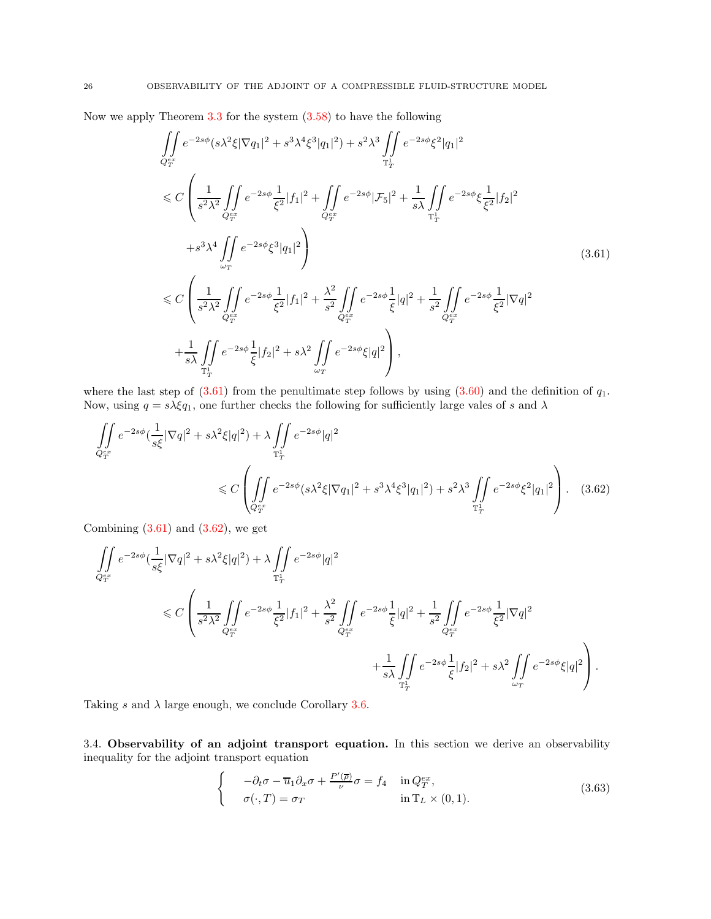Now we apply Theorem [3.3](#page-15-5) for the system [\(3.58\)](#page-24-2) to have the following

<span id="page-25-1"></span>
$$
\iint_{Q_{T}^{ex}} e^{-2s\phi} (s\lambda^{2} \xi |\nabla q_{1}|^{2} + s^{3} \lambda^{4} \xi^{3} |q_{1}|^{2}) + s^{2} \lambda^{3} \iint_{\mathbb{T}_{T}^{1}} e^{-2s\phi} \xi^{2} |q_{1}|^{2}
$$
\n
$$
\leq C \left( \frac{1}{s^{2} \lambda^{2}} \iint_{Q_{T}^{ex}} e^{-2s\phi} \frac{1}{\xi^{2}} |f_{1}|^{2} + \iint_{Q_{T}^{ex}} e^{-2s\phi} |\mathcal{F}_{5}|^{2} + \frac{1}{s\lambda} \iint_{\mathbb{T}_{T}^{1}} e^{-2s\phi} \xi \frac{1}{\xi^{2}} |f_{2}|^{2} \right.
$$
\n
$$
+ s^{3} \lambda^{4} \iint_{\omega_{T}} e^{-2s\phi} \xi^{3} |q_{1}|^{2} \right) \tag{3.61}
$$
\n
$$
\leq C \left( \frac{1}{s^{2} \lambda^{2}} \iint_{Q_{T}^{ex}} e^{-2s\phi} \frac{1}{\xi^{2}} |f_{1}|^{2} + \frac{\lambda^{2}}{s^{2}} \iint_{Q_{T}^{ex}} e^{-2s\phi} \frac{1}{\xi} |q|^{2} + \frac{1}{s^{2}} \iint_{Q_{T}^{ex}} e^{-2s\phi} \frac{1}{\xi^{2}} |\nabla q|^{2} \right.
$$
\n
$$
+ \frac{1}{s\lambda} \iint_{\mathbb{T}_{T}^{1}} e^{-2s\phi} \frac{1}{\xi} |f_{2}|^{2} + s\lambda^{2} \iint_{\omega_{T}} e^{-2s\phi} \xi |q|^{2} \right),
$$

where the last step of  $(3.61)$  from the penultimate step follows by using  $(3.60)$  and the definition of  $q_1$ . Now, using  $q = s\lambda \xi q_1$ , one further checks the following for sufficiently large vales of s and  $\lambda$ 

$$
\iint_{Q_T^{ex}} e^{-2s\phi} \left(\frac{1}{s\xi} |\nabla q|^2 + s\lambda^2 \xi |q|^2\right) + \lambda \iint_{\mathbb{T}_T^1} e^{-2s\phi} |q|^2
$$
\n
$$
\leq C \left( \iint_{Q_T^{ex}} e^{-2s\phi} \left(s\lambda^2 \xi |\nabla q_1|^2 + s^3 \lambda^4 \xi^3 |q_1|^2\right) + s^2 \lambda^3 \iint_{\mathbb{T}_T^1} e^{-2s\phi} \xi^2 |q_1|^2 \right). \tag{3.62}
$$

Combining  $(3.61)$  and  $(3.62)$ , we get

$$
\begin{split} \iint\limits_{Q_T^{ex}} e^{-2s\phi} (\frac{1}{s\xi}|\nabla q|^2 + s\lambda^2\xi|q|^2) &+ \lambda \iint\limits_{\mathbb{T}_T^1} e^{-2s\phi} |q|^2 \\ &\leqslant C \left( \frac{1}{s^2\lambda^2} \iint\limits_{Q_T^{ex}} e^{-2s\phi} \frac{1}{\xi^2} |f_1|^2 + \frac{\lambda^2}{s^2} \iint\limits_{Q_T^{ex}} e^{-2s\phi} \frac{1}{\xi} |q|^2 + \frac{1}{s^2} \iint\limits_{Q_T^{ex}} e^{-2s\phi} \frac{1}{\xi^2} |\nabla q|^2 \\ &\qquad \qquad + \frac{1}{s\lambda} \iint\limits_{\mathbb{T}_T^1} e^{-2s\phi} \frac{1}{\xi} |f_2|^2 + s\lambda^2 \iint\limits_{\omega_T} e^{-2s\phi} \xi |q|^2 \right). \end{split}
$$

<span id="page-25-0"></span>Taking s and  $\lambda$  large enough, we conclude Corollary [3.6.](#page-17-5)

3.4. Observability of an adjoint transport equation. In this section we derive an observability inequality for the adjoint transport equation

<span id="page-25-3"></span><span id="page-25-2"></span>
$$
\begin{cases}\n-\partial_t \sigma - \overline{u}_1 \partial_x \sigma + \frac{P'(\overline{\rho})}{\nu} \sigma = f_4 & \text{in } Q_T^{ex}, \\
\sigma(\cdot, T) = \sigma_T & \text{in } \mathbb{T}_L \times (0, 1).\n\end{cases}
$$
\n(3.63)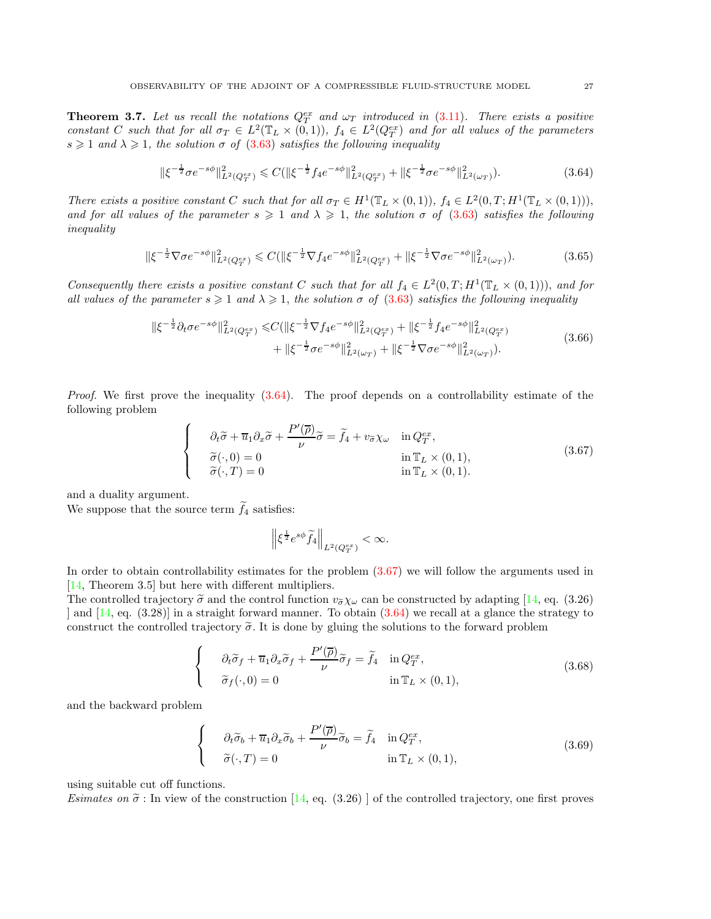<span id="page-26-5"></span>**Theorem 3.7.** Let us recall the notations  $Q_T^{ex}$  and  $\omega_T$  introduced in [\(3.11\)](#page-14-1). There exists a positive constant C such that for all  $\sigma_T \in L^2(\mathbb{T}_L \times (0,1)), f_4 \in L^2(Q_T^{ex})$  and for all values of the parameters  $s \geq 1$  and  $\lambda \geq 1$ , the solution  $\sigma$  of [\(3.63\)](#page-25-3) satisfies the following inequality

<span id="page-26-0"></span>
$$
\|\xi^{-\frac{1}{2}}\sigma e^{-s\phi}\|_{L^2(Q_T^{ex})}^2 \leq C(\|\xi^{-\frac{1}{2}}f_4e^{-s\phi}\|_{L^2(Q_T^{ex})}^2 + \|\xi^{-\frac{1}{2}}\sigma e^{-s\phi}\|_{L^2(\omega_T)}^2). \tag{3.64}
$$

There exists a positive constant C such that for all  $\sigma_T \in H^1(\mathbb{T}_L \times (0,1)), f_4 \in L^2(0,T;H^1(\mathbb{T}_L \times (0,1))),$ and for all values of the parameter  $s \geqslant 1$  and  $\lambda \geqslant 1$ , the solution  $\sigma$  of [\(3.63\)](#page-25-3) satisfies the following inequality

<span id="page-26-3"></span>
$$
\|\xi^{-\frac{1}{2}}\nabla\sigma e^{-s\phi}\|_{L^2(Q_T^{ex})}^2 \leq C(\|\xi^{-\frac{1}{2}}\nabla f_4 e^{-s\phi}\|_{L^2(Q_T^{ex})}^2 + \|\xi^{-\frac{1}{2}}\nabla\sigma e^{-s\phi}\|_{L^2(\omega_T)}^2). \tag{3.65}
$$

Consequently there exists a positive constant C such that for all  $f_4 \in L^2(0,T;H^1(\mathbb{T}_L \times (0,1))),$  and for all values of the parameter  $s \geqslant 1$  and  $\lambda \geqslant 1$ , the solution  $\sigma$  of [\(3.63\)](#page-25-3) satisfies the following inequality

$$
\|\xi^{-\frac{1}{2}}\partial_t \sigma e^{-s\phi}\|_{L^2(Q_T^{ex})}^2 \leq C(\|\xi^{-\frac{1}{2}}\nabla f_4 e^{-s\phi}\|_{L^2(Q_T^{ex})}^2 + \|\xi^{-\frac{1}{2}}f_4 e^{-s\phi}\|_{L^2(Q_T^{ex})}^2 + \|\xi^{-\frac{1}{2}}\sigma e^{-s\phi}\|_{L^2(\omega_T)}^2 + \|\xi^{-\frac{1}{2}}\nabla \sigma e^{-s\phi}\|_{L^2(\omega_T)}^2). \tag{3.66}
$$

Proof. We first prove the inequality  $(3.64)$ . The proof depends on a controllability estimate of the following problem

<span id="page-26-1"></span>
$$
\begin{cases}\n\partial_t \tilde{\sigma} + \overline{u}_1 \partial_x \tilde{\sigma} + \frac{P'(\overline{\rho})}{\nu} \tilde{\sigma} = \tilde{f}_4 + v_{\tilde{\sigma}} \chi_{\omega} & \text{in } Q_T^{ex}, \\
\tilde{\sigma}(\cdot, 0) = 0 & \text{in } \mathbb{T}_L \times (0, 1), \\
\tilde{\sigma}(\cdot, T) = 0 & \text{in } \mathbb{T}_L \times (0, 1).\n\end{cases}
$$
\n(3.67)

and a duality argument.

We suppose that the source term  $\widetilde{f}_4$  satisfies:

<span id="page-26-4"></span><span id="page-26-2"></span>
$$
\left\|\xi^{\frac{1}{2}}e^{s\phi}\widetilde{f}_4\right\|_{L^2(Q_T^{ex})}<\infty.
$$

In order to obtain controllability estimates for the problem [\(3.67\)](#page-26-1) we will follow the arguments used in [\[14,](#page-40-2) Theorem 3.5] but here with different multipliers.

The controlled trajectory  $\tilde{\sigma}$  and the control function  $v_{\tilde{\sigma}} \chi_{\omega}$  can be constructed by adapting [\[14,](#page-40-2) eq. (3.26) | and  $[14, \text{eq. } (3.28)]$  in a straight forward manner. To obtain  $(3.64)$  we recall at a glance the strategy to construct the controlled trajectory  $\tilde{\sigma}$ . It is done by gluing the solutions to the forward problem

$$
\begin{cases}\n\partial_t \tilde{\sigma}_f + \overline{u}_1 \partial_x \tilde{\sigma}_f + \frac{P'(\overline{\rho})}{\nu} \tilde{\sigma}_f = \tilde{f}_4 & \text{in } Q_T^{ex}, \\
\tilde{\sigma}_f(\cdot, 0) = 0 & \text{in } \mathbb{T}_L \times (0, 1),\n\end{cases}
$$
\n(3.68)

and the backward problem

$$
\begin{cases}\n\partial_t \tilde{\sigma}_b + \overline{u}_1 \partial_x \tilde{\sigma}_b + \frac{P'(\overline{\rho})}{\nu} \tilde{\sigma}_b = \tilde{f}_4 & \text{in } Q_T^{ex}, \\
\tilde{\sigma}(\cdot, T) = 0 & \text{in } \mathbb{T}_L \times (0, 1),\n\end{cases}
$$
\n(3.69)

using suitable cut off functions.

Esimates on  $\tilde{\sigma}$ : In view of the construction [\[14,](#page-40-2) eq. (3.26)] of the controlled trajectory, one first proves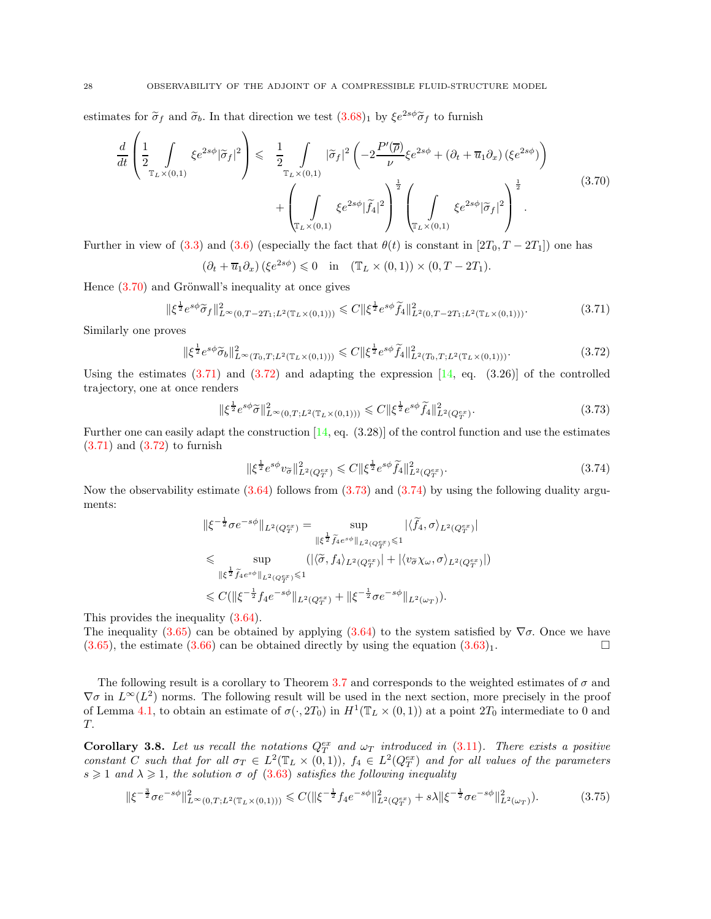estimates for  $\tilde{\sigma}_f$  and  $\tilde{\sigma}_b$ . In that direction we test  $(3.68)_1$  by  $\xi e^{2s\phi} \tilde{\sigma}_f$  to furnish

$$
\frac{d}{dt} \left( \frac{1}{2} \int_{\mathbb{T}_L \times (0,1)} \xi e^{2s\phi} |\tilde{\sigma}_f|^2 \right) \leq \frac{1}{2} \int_{\mathbb{T}_L \times (0,1)} |\tilde{\sigma}_f|^2 \left( -2 \frac{P'(\overline{\rho})}{\nu} \xi e^{2s\phi} + (\partial_t + \overline{u}_1 \partial_x) (\xi e^{2s\phi}) \right) + \left( \int_{\mathbb{T}_L \times (0,1)} \xi e^{2s\phi} |\tilde{f}_4|^2 \right)^{\frac{1}{2}} \left( \int_{\mathbb{T}_L \times (0,1)} \xi e^{2s\phi} |\tilde{\sigma}_f|^2 \right)^{\frac{1}{2}}.
$$
\n(3.70)

Further in view of [\(3.3\)](#page-13-6) and [\(3.6\)](#page-14-2) (especially the fact that  $\theta(t)$  is constant in [2T<sub>0</sub>, T – 2T<sub>1</sub>]) one has

<span id="page-27-1"></span><span id="page-27-0"></span>
$$
(\partial_t + \overline{u}_1 \partial_x) (\xi e^{2s\phi}) \leq 0 \quad \text{in} \quad (\mathbb{T}_L \times (0, 1)) \times (0, T - 2T_1).
$$

Hence  $(3.70)$  and Grönwall's inequality at once gives

$$
\|\xi^{\frac{1}{2}}e^{s\phi}\widetilde{\sigma}_f\|_{L^{\infty}(0,T-2T_1;L^2(\mathbb{T}_L\times(0,1)))}^2 \leq C\|\xi^{\frac{1}{2}}e^{s\phi}\widetilde{f}_4\|_{L^2(0,T-2T_1;L^2(\mathbb{T}_L\times(0,1)))}^2.
$$
 (3.71)

Similarly one proves

<span id="page-27-2"></span>
$$
\|\xi^{\frac{1}{2}}e^{s\phi}\widetilde{\sigma}_b\|_{L^{\infty}(T_0,T;L^2(\mathbb{T}_L\times(0,1)))}^2 \leq C\|\xi^{\frac{1}{2}}e^{s\phi}\widetilde{f}_4\|_{L^2(T_0,T;L^2(\mathbb{T}_L\times(0,1)))}^2.
$$
 (3.72)

Using the estimates  $(3.71)$  and  $(3.72)$  and adapting the expression  $[14, eq. (3.26)]$  of the controlled trajectory, one at once renders

<span id="page-27-3"></span>
$$
\|\xi^{\frac{1}{2}}e^{s\phi}\widetilde{\sigma}\|_{L^{\infty}(0,T;L^{2}(\mathbb{T}_{L}\times(0,1)))}^{2} \leq C\|\xi^{\frac{1}{2}}e^{s\phi}\widetilde{f}_{4}\|_{L^{2}(Q_{T}^{ex})}^{2}.
$$
\n(3.73)

Further one can easily adapt the construction  $[14, \text{ eq. } (3.28)]$  of the control function and use the estimates  $(3.71)$  and  $(3.72)$  to furnish

<span id="page-27-4"></span>
$$
\|\xi^{\frac{1}{2}}e^{s\phi}v_{\widetilde{\sigma}}\|_{L^{2}(Q_{T}^{ex})}^{2} \leq C\|\xi^{\frac{1}{2}}e^{s\phi}\widetilde{f}_{4}\|_{L^{2}(Q_{T}^{ex})}^{2}.
$$
\n(3.74)

Now the observability estimate [\(3.64\)](#page-26-0) follows from [\(3.73\)](#page-27-3) and [\(3.74\)](#page-27-4) by using the following duality arguments:

$$
\|\xi^{-\frac{1}{2}}\sigma e^{-s\phi}\|_{L^2(Q_T^{ex})} = \sup_{\|\xi^{\frac{1}{2}}\tilde{f}_4e^{s\phi}\|_{L^2(Q_T^{ex})}\leq 1} |\langle \tilde{f}_4, \sigma \rangle_{L^2(Q_T^{ex})}|
$$
  
\$\leq\$ 
$$
\sup_{\|\xi^{\frac{1}{2}}\tilde{f}_4e^{s\phi}\|_{L^2(Q_T^{ex})}\leq 1} (|\langle \tilde{\sigma}, f_4 \rangle_{L^2(Q_T^{ex})}| + |\langle v_{\tilde{\sigma}}\chi_{\omega}, \sigma \rangle_{L^2(Q_T^{ex})}|)
$$
  
\$\leq C(\|\xi^{-\frac{1}{2}}f\_4e^{-s\phi}\|\_{L^2(Q\_T^{ex})} + \|\xi^{-\frac{1}{2}}\sigma e^{-s\phi}\|\_{L^2(\omega\_T)}).

This provides the inequality [\(3.64\)](#page-26-0).

The inequality [\(3.65\)](#page-26-3) can be obtained by applying [\(3.64\)](#page-26-0) to the system satisfied by  $\nabla\sigma$ . Once we have  $(3.65)$ , the estimate  $(3.66)$  can be obtained directly by using the equation  $(3.63)_1$ .

The following result is a corollary to Theorem [3.7](#page-26-5) and corresponds to the weighted estimates of  $\sigma$  and  $\nabla\sigma$  in  $L^{\infty}(L^2)$  norms. The following result will be used in the next section, more precisely in the proof of Lemma [4.1,](#page-28-1) to obtain an estimate of  $\sigma(\cdot, 2T_0)$  in  $H^1(\mathbb{T}_L \times (0, 1))$  at a point  $2T_0$  intermediate to 0 and T.

<span id="page-27-6"></span>**Corollary 3.8.** Let us recall the notations  $Q_T^{ex}$  and  $\omega_T$  introduced in [\(3.11\)](#page-14-1). There exists a positive constant C such that for all  $\sigma_T \in L^2(\mathbb{T}_L \times (0,1)), f_4 \in L^2(Q_T^{ex})$  and for all values of the parameters  $s \geq 1$  and  $\lambda \geq 1$ , the solution  $\sigma$  of [\(3.63\)](#page-25-3) satisfies the following inequality

<span id="page-27-5"></span>
$$
\|\xi^{-\frac{3}{2}}\sigma e^{-s\phi}\|_{L^{\infty}(0,T;L^2(\mathbb{T}_L\times(0,1)))}^2 \leq C(\|\xi^{-\frac{1}{2}}f_4e^{-s\phi}\|_{L^2(Q_T^{ex})}^2 + s\lambda \|\xi^{-\frac{1}{2}}\sigma e^{-s\phi}\|_{L^2(\omega_T)}^2). \tag{3.75}
$$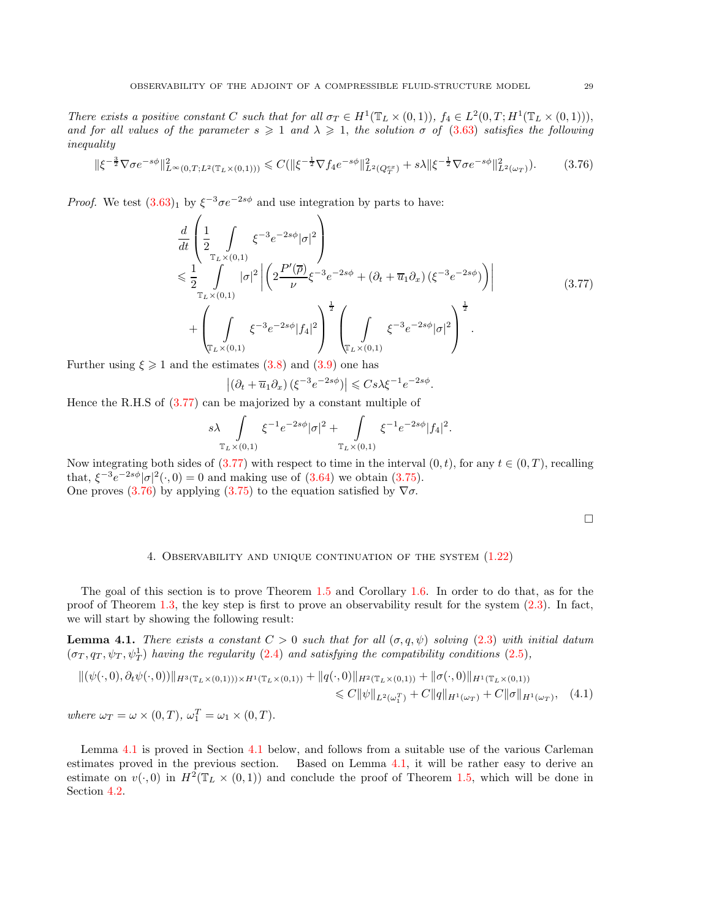There exists a positive constant C such that for all  $\sigma_T \in H^1(\mathbb{T}_L \times (0,1)), f_4 \in L^2(0,T;H^1(\mathbb{T}_L \times (0,1))),$ and for all values of the parameter  $s \geqslant 1$  and  $\lambda \geqslant 1$ , the solution  $\sigma$  of [\(3.63\)](#page-25-3) satisfies the following inequality

<span id="page-28-3"></span>
$$
\|\xi^{-\frac{3}{2}}\nabla\sigma e^{-s\phi}\|_{L^{\infty}(0,T;L^{2}(\mathbb{T}_{L}\times(0,1)))}^{2} \leq C(\|\xi^{-\frac{1}{2}}\nabla f_{4}e^{-s\phi}\|_{L^{2}(Q_{T}^{ex})}^{2} + s\lambda\|\xi^{-\frac{1}{2}}\nabla\sigma e^{-s\phi}\|_{L^{2}(\omega_{T})}^{2}).
$$
 (3.76)

*Proof.* We test  $(3.63)_1$  by  $\xi^{-3}\sigma e^{-2s\phi}$  and use integration by parts to have:

<span id="page-28-2"></span>
$$
\frac{d}{dt} \left( \frac{1}{2} \int_{\mathbb{T}_L \times (0,1)} \xi^{-3} e^{-2s\phi} |\sigma|^2 \right) \n\leq \frac{1}{2} \int_{\mathbb{T}_L \times (0,1)} |\sigma|^2 \left| \left( 2 \frac{P'(\overline{\rho})}{\nu} \xi^{-3} e^{-2s\phi} + (\partial_t + \overline{u}_1 \partial_x) (\xi^{-3} e^{-2s\phi}) \right) \right| \n+ \left( \int_{\mathbb{T}_L \times (0,1)} \xi^{-3} e^{-2s\phi} |f_4|^2 \right)^{\frac{1}{2}} \left( \int_{\mathbb{T}_L \times (0,1)} \xi^{-3} e^{-2s\phi} |\sigma|^2 \right)^{\frac{1}{2}}.
$$
\n(3.77)

Further using  $\xi \geq 1$  and the estimates [\(3.8\)](#page-14-3) and [\(3.9\)](#page-14-4) one has

$$
\left| \left( \partial_t + \overline{u}_1 \partial_x \right) \left( \xi^{-3} e^{-2s\phi} \right) \right| \leqslant C s \lambda \xi^{-1} e^{-2s\phi}.
$$

Hence the R.H.S of [\(3.77\)](#page-28-2) can be majorized by a constant multiple of

$$
s\lambda \int_{\mathbb{T}_L \times (0,1)} \xi^{-1} e^{-2s\phi} |\sigma|^2 + \int_{\mathbb{T}_L \times (0,1)} \xi^{-1} e^{-2s\phi} |f_4|^2.
$$

Now integrating both sides of [\(3.77\)](#page-28-2) with respect to time in the interval  $(0, t)$ , for any  $t \in (0, T)$ , recalling that,  $\xi^{-3}e^{-2s\phi}|\sigma|^2(\cdot,0) = 0$  and making use of  $(3.64)$  we obtain  $(3.75)$ . One proves [\(3.76\)](#page-28-3) by applying [\(3.75\)](#page-27-5) to the equation satisfied by  $\nabla \sigma$ .

<span id="page-28-5"></span>

### 4. Observability and unique continuation of the system [\(1.22\)](#page-6-1)

<span id="page-28-0"></span>The goal of this section is to prove Theorem [1.5](#page-7-1) and Corollary [1.6.](#page-8-0) In order to do that, as for the proof of Theorem [1.3,](#page-6-2) the key step is first to prove an observability result for the system [\(2.3\)](#page-11-1). In fact, we will start by showing the following result:

<span id="page-28-1"></span>**Lemma 4.1.** There exists a constant  $C > 0$  such that for all  $(\sigma, q, \psi)$  solving [\(2.3\)](#page-11-1) with initial datum  $(\sigma_T, q_T, \psi_T, \psi_T^1)$  having the regularity [\(2.4\)](#page-11-4) and satisfying the compatibility conditions [\(2.5\)](#page-11-5),

$$
\|(\psi(\cdot,0),\partial_t\psi(\cdot,0))\|_{H^3(\mathbb{T}_L\times(0,1)))\times H^1(\mathbb{T}_L\times(0,1))} + \|q(\cdot,0)\|_{H^2(\mathbb{T}_L\times(0,1))} + \|\sigma(\cdot,0)\|_{H^1(\mathbb{T}_L\times(0,1))}
$$
  
\n
$$
\leq C \|\psi\|_{L^2(\omega_1^T)} + C \|q\|_{H^1(\omega_T)} + C \|\sigma\|_{H^1(\omega_T)}, \quad (4.1)
$$
  
\nwhere  $\omega_T = \omega \times (0,T)$ ,  $\omega_1^T = \omega_1 \times (0,T)$ .

<span id="page-28-4"></span>Lemma [4.1](#page-28-1) is proved in Section [4.1](#page-28-4) below, and follows from a suitable use of the various Carleman estimates proved in the previous section. Based on Lemma [4.1,](#page-28-1) it will be rather easy to derive an estimate on  $v(\cdot,0)$  in  $H^2(\mathbb{T}_L \times (0,1))$  and conclude the proof of Theorem [1.5,](#page-7-1) which will be done in Section [4.2.](#page-31-2)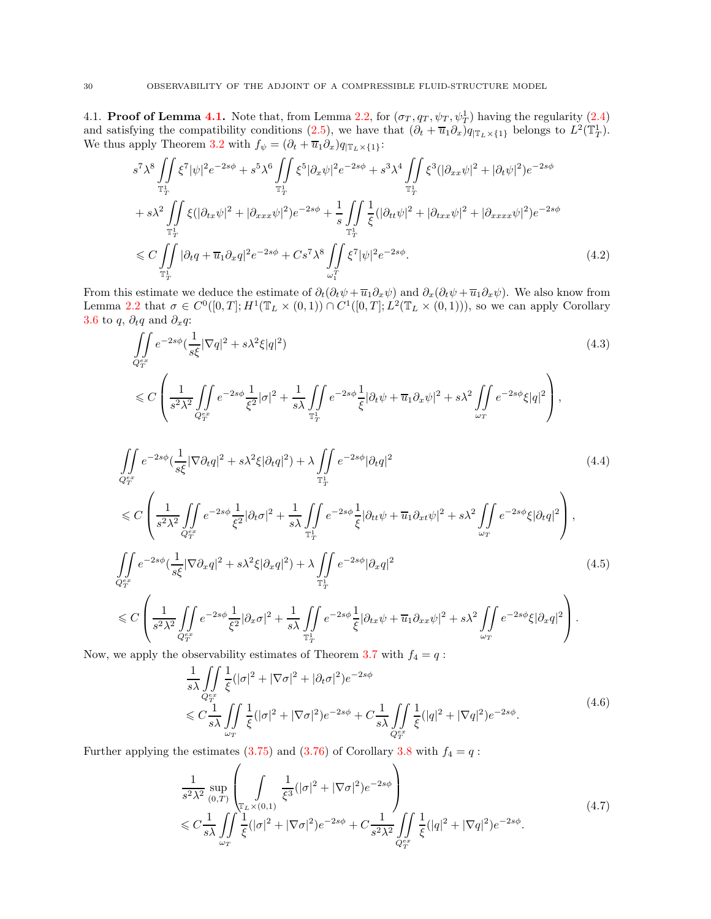[4.1.](#page-28-1) **Proof of Lemma 4.1.** Note that, from Lemma [2.2,](#page-11-2) for  $(\sigma_T, q_T, \psi_T, \psi_T^1)$  having the regularity  $(2.4)$ and satisfying the compatibility conditions [\(2.5\)](#page-11-5), we have that  $(\partial_t + \overline{u}_1 \partial_x)q_{|\mathbb{T}_L \times \{1\}}$  belongs to  $L^2(\mathbb{T}_T^1)$ . We thus apply Theorem [3.2](#page-15-3) with  $f_{\psi} = (\partial_t + \overline{u}_1 \partial_x) q_{\vert \mathbb{T}_L \times \{1\}}$ :

<span id="page-29-0"></span>
$$
s^{7} \lambda^{8} \iint_{\mathbb{T}_{T}^{1}} \xi^{7} |\psi|^{2} e^{-2s\phi} + s^{5} \lambda^{6} \iint_{\mathbb{T}_{T}^{1}} \xi^{5} |\partial_{x} \psi|^{2} e^{-2s\phi} + s^{3} \lambda^{4} \iint_{\mathbb{T}_{T}^{1}} \xi^{3} (|\partial_{xx} \psi|^{2} + |\partial_{t} \psi|^{2}) e^{-2s\phi}
$$
  
+  $s \lambda^{2} \iint_{\mathbb{T}_{T}^{1}} \xi (|\partial_{tx} \psi|^{2} + |\partial_{xxx} \psi|^{2}) e^{-2s\phi} + \frac{1}{s} \iint_{\mathbb{T}_{T}^{1}} \frac{1}{\xi} (|\partial_{tt} \psi|^{2} + |\partial_{txx} \psi|^{2} + |\partial_{xxxx} \psi|^{2}) e^{-2s\phi}$   
 $\leq C \iint_{\mathbb{T}_{T}^{1}} |\partial_{t} q + \overline{u}_{1} \partial_{x} q|^{2} e^{-2s\phi} + Cs^{7} \lambda^{8} \iint_{\omega_{1}^{T}} \xi^{7} |\psi|^{2} e^{-2s\phi}.$  (4.2)

From this estimate we deduce the estimate of  $\partial_t(\partial_t\psi + \overline{u}_1\partial_x\psi)$  and  $\partial_x(\partial_t\psi + \overline{u}_1\partial_x\psi)$ . We also know from Lemma [2.2](#page-11-2) that  $\sigma \in C^0([0,T]; H^1(\mathbb{T}_L \times (0,1)) \cap C^1([0,T]; L^2(\mathbb{T}_L \times (0,1))),$  so we can apply Corollary [3.6](#page-17-5) to q,  $\partial_t q$  and  $\partial_x q$ :

<span id="page-29-1"></span>
$$
\iint_{Q_T^{ex}} e^{-2s\phi} \left(\frac{1}{s\xi} |\nabla q|^2 + s\lambda^2 \xi |q|^2\right)
$$
\n
$$
\leq C \left( \frac{1}{s^2 \lambda^2} \iint_{Q_T^{ex}} e^{-2s\phi} \frac{1}{\xi^2} |\sigma|^2 + \frac{1}{s\lambda} \iint_{\mathbb{T}_T^1} e^{-2s\phi} \frac{1}{\xi} |\partial_t \psi + \overline{u}_1 \partial_x \psi|^2 + s\lambda^2 \iint_{\omega_T} e^{-2s\phi} \xi |q|^2 \right),
$$
\n(4.3)

$$
\iint_{Q_T^{ex}} e^{-2s\phi} \left(\frac{1}{s\xi} |\nabla \partial_t q|^2 + s\lambda^2 \xi |\partial_t q|^2\right) + \lambda \iint_{\mathbb{T}_T^1} e^{-2s\phi} |\partial_t q|^2
$$
\n
$$
\leq C \left( \frac{1}{\sqrt{\int_{-\infty}^{\infty} e^{-2s\phi} |\partial_t q|^2 + \frac{1}{\sqrt{\int_{-\infty}^{\infty} e^{-2s\phi} |\partial_t q|^2 + \frac{\pi}{2\sqrt{\int_{-\infty}^{\infty} e^{-2s\phi} |\partial_t q|^2}}}} \right)
$$
\n
$$
\leq C \left( \frac{1}{\sqrt{\int_{-\infty}^{\infty} e^{-2s\phi} |\partial_t q|^2 + \frac{1}{\sqrt{\int_{-\infty}^{\infty} e^{-2s\phi} |\partial_t q|^2 + \frac{\pi}{2\sqrt{\int_{-\infty}^{\infty} e^{-2s\phi} |\partial_t q|^2}}}} \right)
$$
\n
$$
(4.4)
$$

$$
\leq C \left( \frac{1}{s^2 \lambda^2} \iint\limits_{Q_T^{ex}} e^{-2s\phi} \frac{1}{\xi^2} |\partial_t \sigma|^2 + \frac{1}{s\lambda} \iint\limits_{\mathbb{T}_T^1} e^{-2s\phi} \frac{1}{\xi} |\partial_{tt} \psi + \overline{u}_1 \partial_{xt} \psi|^2 + s\lambda^2 \iint\limits_{\omega_T} e^{-2s\phi} \xi |\partial_t q|^2 \right),
$$
  

$$
\iint\limits_{Q_T^{ex}} e^{-2s\phi} (\frac{1}{s\xi} |\nabla \partial_x q|^2 + s\lambda^2 \xi |\partial_x q|^2) + \lambda \iint\limits_{\mathbb{T}_T^1} e^{-2s\phi} |\partial_x q|^2
$$
(4.5)

$$
\leq C\left(\frac{1}{s^2\lambda^2}\iint\limits_{Q_T^{ex}}e^{-2s\phi}\frac{1}{\xi^2}|\partial_x\sigma|^2+\frac{1}{s\lambda}\iint\limits_{\mathbb{T}_T^1}e^{-2s\phi}\frac{1}{\xi}|\partial_{tx}\psi+\overline{u}_1\partial_{xx}\psi|^2+s\lambda^2\iint\limits_{\omega_T}e^{-2s\phi}\xi|\partial_xq|^2\right).
$$

Now, we apply the observability estimates of Theorem [3.7](#page-26-5) with  $f_4 = q$ :

<span id="page-29-4"></span><span id="page-29-3"></span><span id="page-29-2"></span>
$$
\frac{1}{s\lambda} \iint\limits_{Q_T^{ex}} \frac{1}{\xi} (|\sigma|^2 + |\nabla \sigma|^2 + |\partial_t \sigma|^2) e^{-2s\phi}
$$
\n
$$
\leq C \frac{1}{s\lambda} \iint\limits_{\omega_T} \frac{1}{\xi} (|\sigma|^2 + |\nabla \sigma|^2) e^{-2s\phi} + C \frac{1}{s\lambda} \iint\limits_{Q_T^{ex}} \frac{1}{\xi} (|q|^2 + |\nabla q|^2) e^{-2s\phi}.
$$
\n(4.6)

Further applying the estimates [\(3.75\)](#page-27-5) and [\(3.76\)](#page-28-3) of Corollary [3.8](#page-27-6) with  $f_4 = q$ :

<span id="page-29-5"></span>
$$
\frac{1}{s^2\lambda^2} \sup_{(0,T)} \left( \int_{\substack{\mathbb{T}_L \times (0,1) \\ \xi \\ \omega_T}} \frac{1}{\xi^3} (|\sigma|^2 + |\nabla \sigma|^2) e^{-2s\phi} \right) \tag{4.7}
$$
\n
$$
\leq C \frac{1}{s\lambda} \iint_{\omega_T} \frac{1}{\xi} (|\sigma|^2 + |\nabla \sigma|^2) e^{-2s\phi} + C \frac{1}{s^2\lambda^2} \iint_{Q_T^{\epsilon}^x} \frac{1}{\xi} (|q|^2 + |\nabla q|^2) e^{-2s\phi}.
$$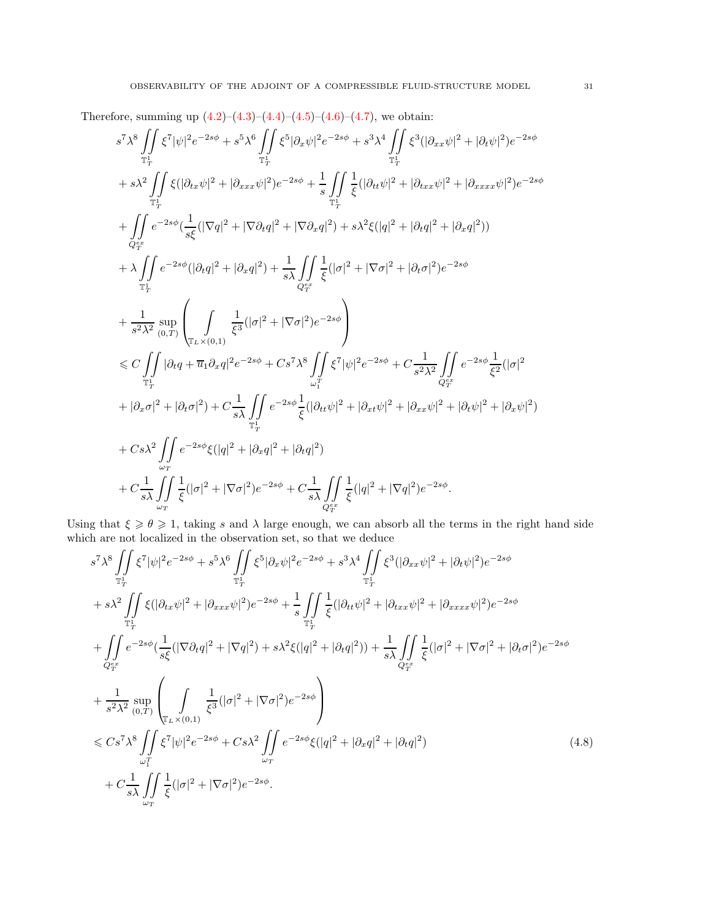Therefore, summing up  $(4.2)$ – $(4.3)$ – $(4.4)$ – $(4.5)$ – $(4.6)$ – $(4.7)$ , we obtain:

$$
s^7 \lambda^8 \iint_{\mathbb{T}_T^1} \xi^7 |\psi|^2 e^{-2s\phi} + s^5 \lambda^6 \iint_{\mathbb{T}_T^1} \xi^5 |\partial_x \psi|^2 e^{-2s\phi} + s^3 \lambda^4 \iint_{\mathbb{T}_T^1} \xi^3 (|\partial_{xx}\psi|^2 + |\partial_t \psi|^2) e^{-2s\phi}
$$
  
+
$$
+ s \lambda^2 \iint_{\mathbb{T}_T^1} \xi (|\partial_{tx}\psi|^2 + |\partial_{xxx}\psi|^2) e^{-2s\phi} + \frac{1}{s} \iint_{\mathbb{T}_T^1} \xi (|\partial_{tt}\psi|^2 + |\partial_{txx}\psi|^2 + |\partial_{xxxx}\psi|^2) e^{-2s\phi}
$$
  
+
$$
\iint_{\mathcal{Q}_{\mathbb{F}}^{\pi^2}} e^{-2s\phi} (\frac{1}{s\xi} (|\nabla q|^2 + |\nabla \partial_t q|^2 + |\nabla \partial_x q|^2) + s \lambda^2 \xi (|q|^2 + |\partial_t q|^2 + |\partial_x q|^2))
$$
  
+
$$
\lambda \iint_{\mathbb{T}_T^1} e^{-2s\phi} (|\partial_t q|^2 + |\partial_x q|^2) + \frac{1}{s \lambda} \iint_{\mathcal{Q}_{\mathbb{F}}^{\pi^2}} \xi (|\sigma|^2 + |\nabla \sigma|^2 + |\partial_t \sigma|^2) e^{-2s\phi}
$$
  
+
$$
\frac{1}{s^2 \lambda^2} \sup_{(0,T)} \left( \iint_{\mathbb{T}_L \times (0,1)} \frac{1}{\xi^3} (|\sigma|^2 + |\nabla \sigma|^2) e^{-2s\phi} \right)
$$
  

$$
\leq C \iint_{\mathbb{T}_T^1} |\partial_t q + \overline{u}_1 \partial_x q|^2 e^{-2s\phi} + Cs^7 \lambda^8 \iint_{\mathbb{F}_1^1} \xi^7 |\psi|^2 e^{-2s\phi} + C \frac{1}{s^2 \lambda^2} \iint_{\mathcal{Q}_{\mathbb{F}}^{\pi^2}} e^{-2s\phi} \frac{1}{\xi^2} (|\sigma|^2 + |\partial_x \sigma|^2 + |\partial_t \sigma|^2) + |\partial_x \sigma|^2 + |\partial_t \sigma|^2) + C \frac{1}{s \lambda} \iint_{\mathbb{F}_T^1} e^{-2s\phi} \frac{
$$

Using that  $\xi \geq \theta \geq 1$ , taking s and  $\lambda$  large enough, we can absorb all the terms in the right hand side which are not localized in the observation set, so that we deduce

<span id="page-30-0"></span>
$$
s^{7} \lambda^{8} \iint_{\mathbb{T}_{T}^{+}} \xi^{7} |\psi|^{2} e^{-2s\phi} + s^{5} \lambda^{6} \iint_{\mathbb{T}_{T}^{+}} \xi^{5} |\partial_{x} \psi|^{2} e^{-2s\phi} + s^{3} \lambda^{4} \iint_{\mathbb{T}_{T}^{1}} \xi^{3} (|\partial_{xx} \psi|^{2} + |\partial_{t} \psi|^{2}) e^{-2s\phi} + s \lambda^{2} \iint_{\mathbb{T}_{T}^{1}} \xi (|\partial_{tx} \psi|^{2} + |\partial_{xxx} \psi|^{2}) e^{-2s\phi} + \frac{1}{s} \iint_{\mathbb{T}_{T}^{1}} \xi (|\partial_{tt} \psi|^{2} + |\partial_{txx} \psi|^{2} + |\partial_{xxx} \psi|^{2}) e^{-2s\phi} + \iint_{\mathbb{T}_{T}^{1}} e^{-2s\phi} (\frac{1}{s\xi} (|\nabla \partial_{t} q|^{2} + |\nabla q|^{2}) + s \lambda^{2} \xi (|q|^{2} + |\partial_{t} q|^{2})) + \frac{1}{s \lambda} \iint_{\mathbb{Q}_{T}^{ex}} \xi (|\sigma|^{2} + |\nabla \sigma|^{2} + |\partial_{t} \sigma|^{2}) e^{-2s\phi} + \frac{1}{s^{2} \lambda^{2}} \sup_{(0,T)} \left( \iint_{\mathbb{T}_{L} \times (0,1)} \frac{1}{\xi^{3}} (|\sigma|^{2} + |\nabla \sigma|^{2}) e^{-2s\phi} \right) < \leq C s^{7} \lambda^{8} \iint_{\omega_{1}^{T}} \xi^{7} |\psi|^{2} e^{-2s\phi} + C s \lambda^{2} \iint_{\omega_{T}} e^{-2s\phi} \xi (|q|^{2} + |\partial_{x} q|^{2} + |\partial_{t} q|^{2}) + C \frac{1}{s \lambda} \iint_{\omega_{T}} \frac{1}{\xi} (|\sigma|^{2} + |\nabla \sigma|^{2}) e^{-2s\phi}.
$$
 (4.8)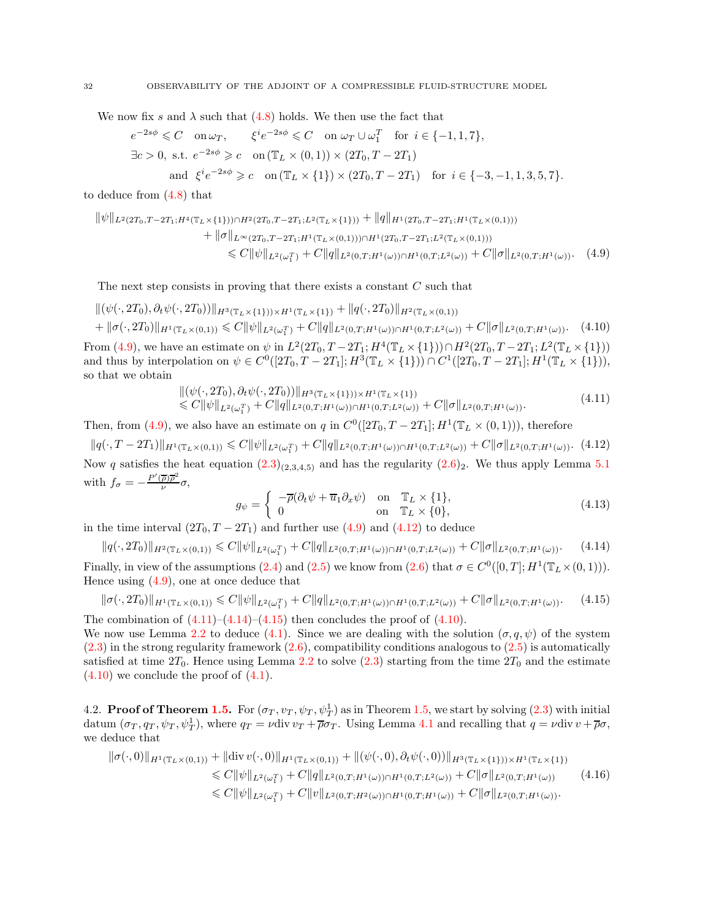We now fix s and  $\lambda$  such that [\(4.8\)](#page-30-0) holds. We then use the fact that

$$
e^{-2s\phi} \leq C \quad \text{on } \omega_T, \qquad \xi^i e^{-2s\phi} \leq C \quad \text{on } \omega_T \cup \omega_1^T \quad \text{for } i \in \{-1, 1, 7\},
$$
  
\n
$$
\exists c > 0, \text{ s.t. } e^{-2s\phi} \geq c \quad \text{on } (\mathbb{T}_L \times (0, 1)) \times (2T_0, T - 2T_1)
$$
  
\nand 
$$
\xi^i e^{-2s\phi} \geq c \quad \text{on } (\mathbb{T}_L \times \{1\}) \times (2T_0, T - 2T_1) \quad \text{for } i \in \{-3, -1, 1, 3, 5, 7\}.
$$

to deduce from [\(4.8\)](#page-30-0) that

$$
\|\psi\|_{L^{2}(2T_{0},T-2T_{1};H^{4}(\mathbb{T}_{L}\times\{1\}))\cap H^{2}(2T_{0},T-2T_{1};L^{2}(\mathbb{T}_{L}\times\{1\}))}+\|q\|_{H^{1}(2T_{0},T-2T_{1};H^{1}(\mathbb{T}_{L}\times(0,1)))}\n+ \|\sigma\|_{L^{\infty}(2T_{0},T-2T_{1};H^{1}(\mathbb{T}_{L}\times(0,1)))\cap H^{1}(2T_{0},T-2T_{1};L^{2}(\mathbb{T}_{L}\times(0,1)))}\n\leq C\|\psi\|_{L^{2}(\omega_{1}^{T})}+C\|q\|_{L^{2}(0,T;H^{1}(\omega))\cap H^{1}(0,T;L^{2}(\omega))}+C\|\sigma\|_{L^{2}(0,T;H^{1}(\omega))}.\tag{4.9}
$$

The next step consists in proving that there exists a constant  $C$  such that

$$
\begin{aligned} &\|(\psi(\cdot,2T_0),\partial_t\psi(\cdot,2T_0))\|_{H^3(\mathbb{T}_L\times\{1\})\times H^1(\mathbb{T}_L\times\{1\})} + \|q(\cdot,2T_0)\|_{H^2(\mathbb{T}_L\times(0,1))} \\ &+ \|\sigma(\cdot,2T_0)\|_{H^1(\mathbb{T}_L\times(0,1))} \leq C \|\psi\|_{L^2(\omega_1^T)} + C \|q\|_{L^2(0,T;H^1(\omega))\cap H^1(0,T;L^2(\omega))} + C \|\sigma\|_{L^2(0,T;H^1(\omega))}. \end{aligned} \tag{4.10}
$$

From [\(4.9\)](#page-31-0), we have an estimate on  $\psi$  in  $L^2(2T_0, T - 2T_1; H^4(\mathbb{T}_L \times \{1\})) \cap H^2(2T_0, T - 2T_1; L^2(\mathbb{T}_L \times \{1\}))$ and thus by interpolation on  $\psi \in C^0([2T_0, T - 2T_1]; H^3(\mathbb{T}_L \times \{1\})) \cap C^1([2T_0, T - 2T_1]; H^1(\mathbb{T}_L \times \{1\})),$ so that we obtain

<span id="page-31-4"></span>
$$
\|(\psi(\cdot, 2T_0), \partial_t \psi(\cdot, 2T_0))\|_{H^3(\mathbb{T}_L \times \{1\}) \times H^1(\mathbb{T}_L \times \{1\})} \n\leq C \|\psi\|_{L^2(\omega_1^T)} + C \|q\|_{L^2(0,T;H^1(\omega)) \cap H^1(0,T;L^2(\omega))} + C \|\sigma\|_{L^2(0,T;H^1(\omega))}.
$$
\n(4.11)

Then, from [\(4.9\)](#page-31-0), we also have an estimate on q in  $C^0([2T_0, T-2T_1]; H^1(\mathbb{T}_L \times (0,1))),$  therefore

$$
\|q(\cdot,T-2T_1)\|_{H^1(\mathbb{T}_L\times(0,1))} \leq C \|\psi\|_{L^2(\omega_1^T)} + C \|q\|_{L^2(0,T;H^1(\omega))\cap H^1(0,T;L^2(\omega))} + C \|\sigma\|_{L^2(0,T;H^1(\omega))}.
$$
 (4.12)

Now q satisfies the heat equation  $(2.3)(2,3,4,5)$  and has the regularity  $(2.6)_2$ . We thus apply Lemma [5.1](#page-39-0) with  $f_{\sigma} = -\frac{P'(\overline{\rho})\overline{\rho}^2}{\nu}$  $\frac{\rho/\rho}{\nu}$ σ,

<span id="page-31-7"></span><span id="page-31-6"></span><span id="page-31-5"></span><span id="page-31-3"></span><span id="page-31-1"></span><span id="page-31-0"></span>
$$
g_{\psi} = \begin{cases} -\overline{\rho}(\partial_t \psi + \overline{u}_1 \partial_x \psi) & \text{on} \quad \mathbb{T}_L \times \{1\}, \\ 0 & \text{on} \quad \mathbb{T}_L \times \{0\}, \end{cases}
$$
(4.13)

in the time interval  $(2T_0, T - 2T_1)$  and further use  $(4.9)$  and  $(4.12)$  to deduce

$$
||q(\cdot,2T_0)||_{H^2(\mathbb{T}_L\times(0,1))} \leq C||\psi||_{L^2(\omega_1^T)} + C||q||_{L^2(0,T;H^1(\omega))\cap H^1(0,T;L^2(\omega))} + C||\sigma||_{L^2(0,T;H^1(\omega))}.
$$
 (4.14)

Finally, in view of the assumptions [\(2.4\)](#page-11-4) and [\(2.5\)](#page-11-5) we know from [\(2.6\)](#page-12-0) that  $\sigma \in C^0([0,T]; H^1(\mathbb{T}_L \times (0,1))).$ Hence using [\(4.9\)](#page-31-0), one at once deduce that

$$
\|\sigma(\cdot, 2T_0)\|_{H^1(\mathbb{T}_L \times (0,1))} \leq C \|\psi\|_{L^2(\omega_1^T)} + C \|q\|_{L^2(0,T;H^1(\omega)) \cap H^1(0,T;L^2(\omega))} + C \|\sigma\|_{L^2(0,T;H^1(\omega))}.
$$
 (4.15)  
The combination of (4.11)–(4.14)–(4.15) then concludes the proof of (4.10).

We now use Lemma [2.2](#page-11-2) to deduce [\(4.1\)](#page-28-5). Since we are dealing with the solution  $(\sigma, q, \psi)$  of the system  $(2.3)$  in the strong regularity framework  $(2.6)$ , compatibility conditions analogous to  $(2.5)$  is automatically satisfied at time  $2T_0$ . Hence using Lemma [2.2](#page-11-2) to solve [\(2.3\)](#page-11-1) starting from the time  $2T_0$  and the estimate  $(4.10)$  we conclude the proof of  $(4.1)$ .

<span id="page-31-2"></span>4.2. **Proof of Theorem [1.5.](#page-7-1)** For  $(\sigma_T, v_T, \psi_T, \psi_T^1)$  as in Theorem [1.5,](#page-7-1) we start by solving  $(2.3)$  with initial datum  $(\sigma_T, q_T, \psi_T, \psi_T^1)$ , where  $q_T = \nu \text{div } v_T + \overline{\rho} \sigma_T$ . Using Lemma [4.1](#page-28-1) and recalling that  $q = \nu \text{div } v + \overline{\rho} \sigma$ , we deduce that

$$
\|\sigma(\cdot,0)\|_{H^1(\mathbb{T}_L\times(0,1))} + \|\text{div}\,v(\cdot,0)\|_{H^1(\mathbb{T}_L\times(0,1))} + \|(\psi(\cdot,0),\partial_t\psi(\cdot,0))\|_{H^3(\mathbb{T}_L\times\{1\})\times H^1(\mathbb{T}_L\times\{1\})} \leq C \|\psi\|_{L^2(\omega_1^T)} + C \|q\|_{L^2(0,T;H^1(\omega))\cap H^1(0,T;L^2(\omega))} + C \|\sigma\|_{L^2(0,T;H^1(\omega))} \leq C \|\psi\|_{L^2(\omega_1^T)} + C \|v\|_{L^2(0,T;H^2(\omega))\cap H^1(0,T;H^1(\omega))} + C \|\sigma\|_{L^2(0,T;H^1(\omega))}.
$$
\n(4.16)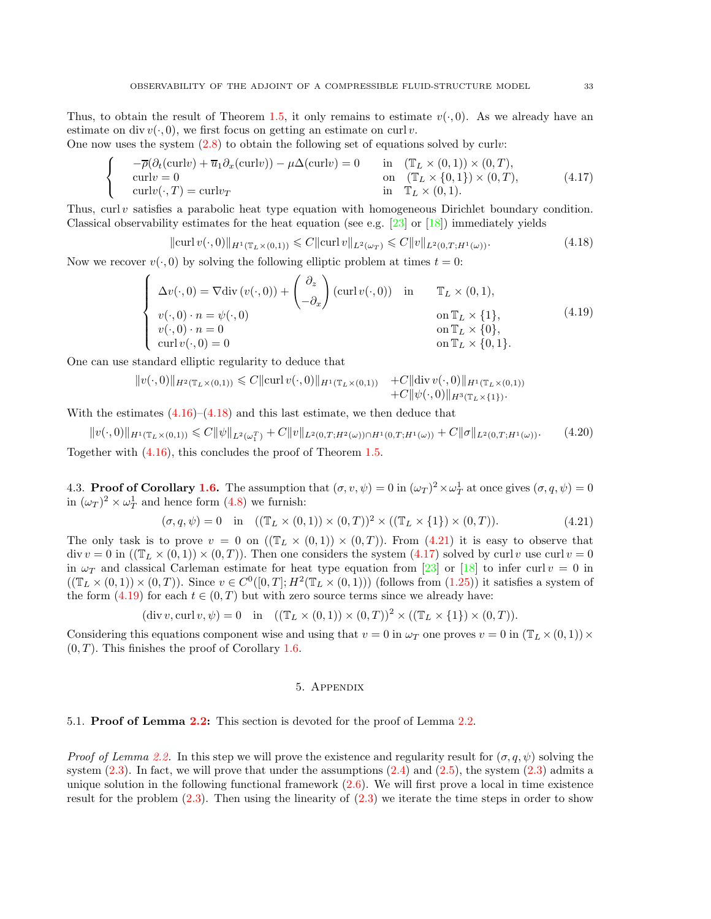One now uses the system  $(2.8)$  to obtain the following set of equations solved by curly:

$$
\begin{cases}\n-\overline{\rho}(\partial_t(\text{curl}v) + \overline{u}_1 \partial_x(\text{curl}v)) - \mu \Delta(\text{curl}v) = 0 & \text{in } (\mathbb{T}_L \times (0,1)) \times (0,T), \\
\text{curl}v = 0 & \text{on } (\mathbb{T}_L \times \{0,1\}) \times (0,T), \\
\text{curl}v(\cdot,T) = \text{curl}v_T & \text{in } \mathbb{T}_L \times (0,1).\n\end{cases}
$$
\n(4.17)

Thus,  $curl v$  satisfies a parabolic heat type equation with homogeneous Dirichlet boundary condition. Classical observability estimates for the heat equation (see e.g.  $[23]$  or  $[18]$ ) immediately yields

<span id="page-32-5"></span><span id="page-32-4"></span><span id="page-32-2"></span>
$$
\|\operatorname{curl} v(\cdot,0)\|_{H^1(\mathbb{T}_L \times (0,1))} \leq C \|\operatorname{curl} v\|_{L^2(\omega_T)} \leq C \|v\|_{L^2(0,T;H^1(\omega))}.
$$
\n(4.18)

Now we recover  $v(\cdot, 0)$  by solving the following elliptic problem at times  $t = 0$ :

$$
\begin{cases}\n\Delta v(\cdot,0) = \nabla \text{div}\left(v(\cdot,0)\right) + \begin{pmatrix} \partial_z \\ -\partial_x \end{pmatrix} (\text{curl}\,v(\cdot,0)) & \text{in} & \mathbb{T}_L \times (0,1), \\
v(\cdot,0) \cdot n = \psi(\cdot,0) & \text{on} \mathbb{T}_L \times \{1\}, \\
v(\cdot,0) \cdot n = 0 & \text{on} \mathbb{T}_L \times \{0\}, \\
\text{curl}\,v(\cdot,0) = 0 & \text{on} \mathbb{T}_L \times \{0,1\}.\n\end{cases}
$$
\n(4.19)

One can use standard elliptic regularity to deduce that

$$
||v(\cdot,0)||_{H^2(\mathbb{T}_L\times(0,1))} \leq C||\operatorname{curl} v(\cdot,0)||_{H^1(\mathbb{T}_L\times(0,1))} + C||\operatorname{div} v(\cdot,0)||_{H^1(\mathbb{T}_L\times(0,1))} + C||\psi(\cdot,0)||_{H^3(\mathbb{T}_L\times\{1\})}.
$$

With the estimates  $(4.16)$ – $(4.18)$  and this last estimate, we then deduce that

 $||v(\cdot,0)||_{H^1(\mathbb{T}_L\times(0,1))} \leq C||\psi||_{L^2(\omega_1^T)} + C||v||_{L^2(0,T;H^2(\omega))\cap H^1(0,T;H^1(\omega))} + C||\sigma||_{L^2(0,T;H^1(\omega))}.$  (4.20) Together with [\(4.16\)](#page-31-7), this concludes the proof of Theorem [1.5.](#page-7-1)

<span id="page-32-0"></span>4.3. Proof of Corollary [1.6.](#page-8-0) The assumption that  $(\sigma, v, \psi) = 0$  in  $(\omega_T)^2 \times \omega_T^1$  at once gives  $(\sigma, q, \psi) = 0$ in  $(\omega_T)^2 \times \omega_T^1$  and hence form  $(4.8)$  we furnish:

<span id="page-32-3"></span>
$$
(\sigma, q, \psi) = 0 \quad \text{in} \quad ((\mathbb{T}_L \times (0, 1)) \times (0, T))^2 \times ((\mathbb{T}_L \times \{1\}) \times (0, T)). \tag{4.21}
$$

The only task is to prove  $v = 0$  on  $((\mathbb{T}_L \times (0,1)) \times (0,T))$ . From  $(4.21)$  it is easy to observe that  $\text{div } v = 0$  in  $(\text{T}_L \times (0, 1)) \times (0, T)$ . Then one considers the system [\(4.17\)](#page-32-4) solved by curl v use curl  $v = 0$ in  $\omega_T$  and classical Carleman estimate for heat type equation from [\[23\]](#page-40-7) or [\[18\]](#page-40-6) to infer curl  $v = 0$  in  $((\mathbb{T}_L \times (0,1)) \times (0,T))$ . Since  $v \in C^0([0,T]; H^2(\mathbb{T}_L \times (0,1)))$  (follows from  $(1.25)$ ) it satisfies a system of the form  $(4.19)$  for each  $t \in (0, T)$  but with zero source terms since we already have:

$$
(\operatorname{div} v, \operatorname{curl} v, \psi) = 0 \quad \text{in} \quad ((\mathbb{T}_L \times (0, 1)) \times (0, T))^2 \times ((\mathbb{T}_L \times \{1\}) \times (0, T)).
$$

<span id="page-32-1"></span>Considering this equations component wise and using that  $v = 0$  in  $\omega_T$  one proves  $v = 0$  in  $(\mathbb{T}_L \times (0, 1)) \times$  $(0, T)$ . This finishes the proof of Corollary [1.6.](#page-8-0)

### 5. Appendix

5.1. **Proof of Lemma [2.2:](#page-11-2)** This section is devoted for the proof of Lemma [2.2.](#page-11-2)

*Proof of Lemma [2.2.](#page-11-2)* In this step we will prove the existence and regularity result for  $(\sigma, q, \psi)$  solving the system  $(2.3)$ . In fact, we will prove that under the assumptions  $(2.4)$  and  $(2.5)$ , the system  $(2.3)$  admits a unique solution in the following functional framework  $(2.6)$ . We will first prove a local in time existence result for the problem  $(2.3)$ . Then using the linearity of  $(2.3)$  we iterate the time steps in order to show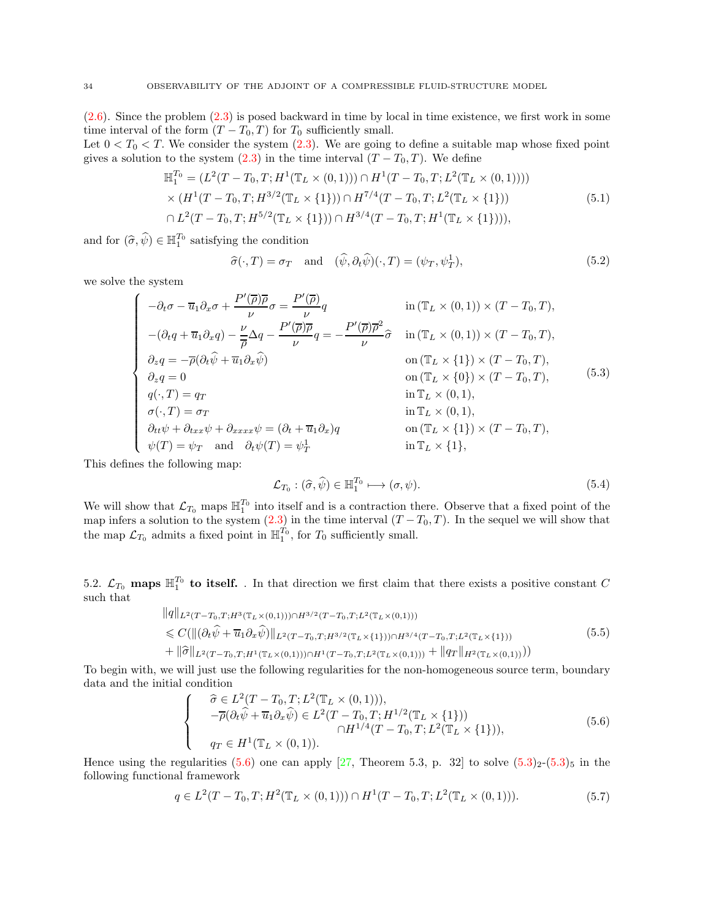$(2.6)$ . Since the problem  $(2.3)$  is posed backward in time by local in time existence, we first work in some time interval of the form  $(T - T_0, T)$  for  $T_0$  sufficiently small.

Let  $0 < T_0 < T$ . We consider the system [\(2.3\)](#page-11-1). We are going to define a suitable map whose fixed point gives a solution to the system  $(2.3)$  in the time interval  $(T - T_0, T)$ . We define

$$
\mathbb{H}_{1}^{T_{0}} = (L^{2}(T - T_{0}, T; H^{1}(\mathbb{T}_{L} \times (0, 1))) \cap H^{1}(T - T_{0}, T; L^{2}(\mathbb{T}_{L} \times (0, 1)))) \times (H^{1}(T - T_{0}, T; H^{3/2}(\mathbb{T}_{L} \times \{1\})) \cap H^{7/4}(T - T_{0}, T; L^{2}(\mathbb{T}_{L} \times \{1\})) \cap L^{2}(T - T_{0}, T; H^{5/2}(\mathbb{T}_{L} \times \{1\})) \cap H^{3/4}(T - T_{0}, T; H^{1}(\mathbb{T}_{L} \times \{1\}))),
$$
\n(5.1)

and for  $(\widehat{\sigma}, \widehat{\psi}) \in \mathbb{H}_1^{T_0}$  satisfying the condition

<span id="page-33-5"></span><span id="page-33-3"></span><span id="page-33-1"></span>
$$
\widehat{\sigma}(\cdot,T) = \sigma_T \quad \text{and} \quad (\widehat{\psi}, \partial_t \widehat{\psi})(\cdot,T) = (\psi_T, \psi_T^1), \tag{5.2}
$$

we solve the system

$$
\begin{cases}\n-\partial_t \sigma - \overline{u}_1 \partial_x \sigma + \frac{P'(\overline{\rho}) \overline{\rho}}{\nu} \sigma = \frac{P'(\overline{\rho})}{\nu} q & \text{in } (\mathbb{T}_L \times (0,1)) \times (T - T_0, T), \\
-(\partial_t q + \overline{u}_1 \partial_x q) - \frac{\nu}{\overline{\rho}} \Delta q - \frac{P'(\overline{\rho}) \overline{\rho}}{\nu} q = -\frac{P'(\overline{\rho}) \overline{\rho}^2}{\nu} \widehat{\sigma} & \text{in } (\mathbb{T}_L \times (0,1)) \times (T - T_0, T), \\
\partial_z q = -\overline{\rho} (\partial_t \widehat{\psi} + \overline{u}_1 \partial_x \widehat{\psi}) & \text{on } (\mathbb{T}_L \times \{1\}) \times (T - T_0, T), \\
\partial_z q = 0 & \text{on } (\mathbb{T}_L \times \{0\}) \times (T - T_0, T), \\
q(\cdot, T) = q_T & \text{in } \mathbb{T}_L \times (0, 1), \\
\sigma(\cdot, T) = \sigma_T & \text{in } \mathbb{T}_L \times (0, 1), \\
\partial_{tt} \psi + \partial_{txx} \psi + \partial_{xxx} \psi = (\partial_t + \overline{u}_1 \partial_x) q & \text{on } (\mathbb{T}_L \times \{1\}) \times (T - T_0, T), \\
\psi(T) = \psi_T & \text{and } \partial_t \psi(T) = \psi_T^1 & \text{in } \mathbb{T}_L \times \{1\},\n\end{cases} (5.3)
$$

This defines the following map:

<span id="page-33-4"></span>
$$
\mathcal{L}_{T_0} : (\hat{\sigma}, \hat{\psi}) \in \mathbb{H}_1^{T_0} \longrightarrow (\sigma, \psi). \tag{5.4}
$$

We will show that  $\mathcal{L}_{T_0}$  maps  $\mathbb{H}_1^{T_0}$  into itself and is a contraction there. Observe that a fixed point of the map infers a solution to the system  $(2.3)$  in the time interval  $(T - T_0, T)$ . In the sequel we will show that the map  $\mathcal{L}_{T_0}$  admits a fixed point in  $\mathbb{H}_1^{T_0}$ , for  $T_0$  sufficiently small.

5.2.  $\mathcal{L}_{T_0}$  maps  $\mathbb{H}_1^{T_0}$  to itself. . In that direction we first claim that there exists a positive constant C such that

<span id="page-33-2"></span>
$$
||q||_{L^{2}(T-T_{0},T;H^{3}(\mathbb{T}_{L}\times(0,1)))\cap H^{3/2}(T-T_{0},T;L^{2}(\mathbb{T}_{L}\times(0,1)))}
$$
  
\n
$$
\leq C(||(\partial_{t}\hat{\psi}+\overline{u}_{1}\partial_{x}\hat{\psi})||_{L^{2}(T-T_{0},T;H^{3/2}(\mathbb{T}_{L}\times\{1\}))\cap H^{3/4}(T-T_{0},T;L^{2}(\mathbb{T}_{L}\times\{1\}))})
$$
  
\n
$$
+||\hat{\sigma}||_{L^{2}(T-T_{0},T;H^{1}(\mathbb{T}_{L}\times(0,1)))\cap H^{1}(T-T_{0},T;L^{2}(\mathbb{T}_{L}\times(0,1)))}+||q_{T}||_{H^{2}(\mathbb{T}_{L}\times(0,1))})
$$
\n(5.5)

To begin with, we will just use the following regularities for the non-homogeneous source term, boundary data and the initial condition

<span id="page-33-0"></span>
$$
\begin{cases}\n\hat{\sigma} \in L^{2}(T - T_{0}, T; L^{2}(\mathbb{T}_{L} \times (0, 1))),\n-\overline{\rho}(\partial_{t}\hat{\psi} + \overline{u}_{1}\partial_{x}\hat{\psi}) \in L^{2}(T - T_{0}, T; H^{1/2}(\mathbb{T}_{L} \times \{1\}))\n\Omega H^{1/4}(T - T_{0}, T; L^{2}(\mathbb{T}_{L} \times \{1\})),\n\eta_{T} \in H^{1}(\mathbb{T}_{L} \times (0, 1)).\n\end{cases}
$$
\n(5.6)

Hence using the regularities [\(5.6\)](#page-33-0) one can apply [\[27,](#page-41-12) Theorem 5.3, p. 32] to solve  $(5.3)_2$  $(5.3)_2$ - $(5.3)_5$  in the following functional framework

$$
q \in L^{2}(T - T_{0}, T; H^{2}(\mathbb{T}_{L} \times (0, 1))) \cap H^{1}(T - T_{0}, T; L^{2}(\mathbb{T}_{L} \times (0, 1))).
$$
\n(5.7)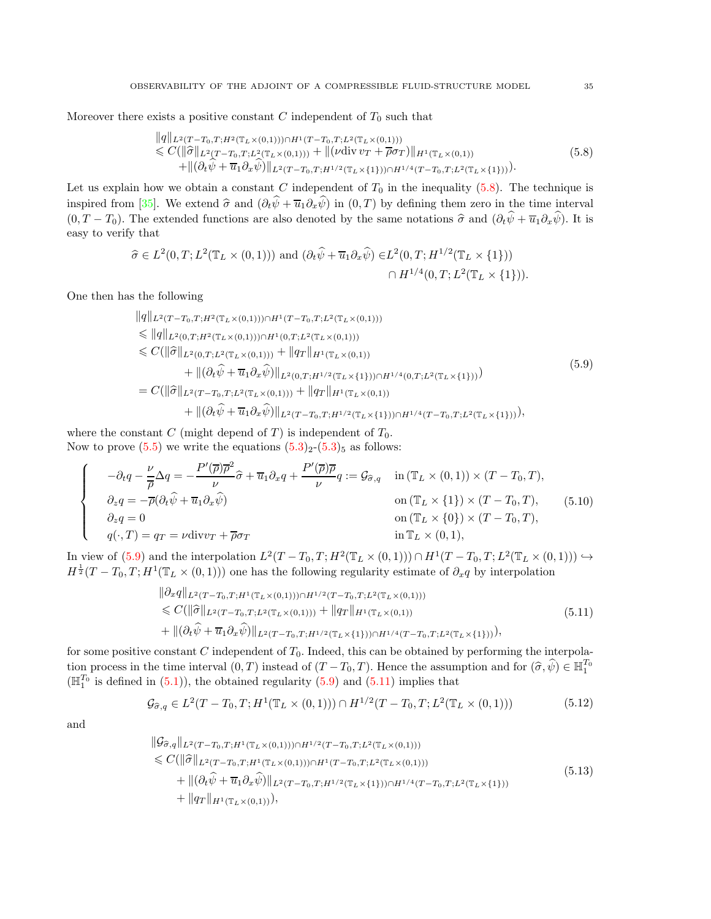Moreover there exists a positive constant C independent of  $T_0$  such that

<span id="page-34-0"></span>
$$
\|q\|_{L^{2}(T-T_{0},T;H^{2}(\mathbb{T}_{L}\times(0,1)))\cap H^{1}(T-T_{0},T;L^{2}(\mathbb{T}_{L}\times(0,1)))}\n\leq C(\|\hat{\sigma}\|_{L^{2}(T-T_{0},T;L^{2}(\mathbb{T}_{L}\times(0,1)))} + \|(\nu \operatorname{div} v_{T} + \overline{\rho}\sigma_{T})\|_{H^{1}(\mathbb{T}_{L}\times(0,1))}\n+ \|(\partial_{t}\hat{\psi} + \overline{u}_{1}\partial_{x}\hat{\psi})\|_{L^{2}(T-T_{0},T;H^{1/2}(\mathbb{T}_{L}\times\{1\}))\cap H^{1/4}(T-T_{0},T;L^{2}(\mathbb{T}_{L}\times\{1\}))}.
$$
\n(5.8)

Let us explain how we obtain a constant C independent of  $T_0$  in the inequality [\(5.8\)](#page-34-0). The technique is inspired from [\[35\]](#page-41-13). We extend  $\hat{\sigma}$  and  $(\partial_t \hat{\psi} + \overline{u}_1 \partial_x \hat{\psi})$  in  $(0, T)$  by defining them zero in the time interval  $(0, T - T_0)$ . The extended functions are also denoted by the same notations  $\hat{\sigma}$  and  $(\partial_t \hat{\psi} + \overline{u}_1 \partial_x \hat{\psi})$ . It is easy to verify that

$$
\hat{\sigma} \in L^{2}(0,T; L^{2}(\mathbb{T}_{L} \times (0,1))) \text{ and } (\partial_{t}\hat{\psi} + \overline{u}_{1}\partial_{x}\hat{\psi}) \in L^{2}(0,T; H^{1/2}(\mathbb{T}_{L} \times \{1\}))
$$

$$
\cap H^{1/4}(0,T; L^{2}(\mathbb{T}_{L} \times \{1\})).
$$

One then has the following

<span id="page-34-1"></span>
$$
||q||_{L^{2}(T-T_{0},T;H^{2}(\mathbb{T}_{L}\times(0,1)))\cap H^{1}(T-T_{0},T;L^{2}(\mathbb{T}_{L}\times(0,1)))}
$$
  
\n
$$
\leq ||q||_{L^{2}(0,T;H^{2}(\mathbb{T}_{L}\times(0,1)))\cap H^{1}(0,T;L^{2}(\mathbb{T}_{L}\times(0,1)))
$$
  
\n
$$
\leq C(||\hat{\sigma}||_{L^{2}(0,T;L^{2}(\mathbb{T}_{L}\times(0,1)))} + ||q_{T}||_{H^{1}(\mathbb{T}_{L}\times(0,1))}
$$
  
\n
$$
+ ||(\partial_{t}\hat{\psi} + \overline{u}_{1}\partial_{x}\hat{\psi})||_{L^{2}(0,T;H^{1/2}(\mathbb{T}_{L}\times\{1\}))\cap H^{1/4}(0,T;L^{2}(\mathbb{T}_{L}\times\{1\}))})
$$
  
\n
$$
= C(||\hat{\sigma}||_{L^{2}(T-T_{0},T;L^{2}(\mathbb{T}_{L}\times(0,1)))} + ||q_{T}||_{H^{1}(\mathbb{T}_{L}\times(0,1))}
$$
  
\n
$$
+ ||(\partial_{t}\hat{\psi} + \overline{u}_{1}\partial_{x}\hat{\psi})||_{L^{2}(T-T_{0},T;H^{1/2}(\mathbb{T}_{L}\times\{1\}))\cap H^{1/4}(T-T_{0},T;L^{2}(\mathbb{T}_{L}\times\{1\}))}),
$$
  
\n(5.9)

where the constant C (might depend of T) is independent of  $T_0$ . Now to prove  $(5.5)$  we write the equations  $(5.3)_2$  $(5.3)_2$ - $(5.3)_5$  as follows:

$$
\begin{cases}\n-\partial_t q - \frac{\nu}{\overline{\rho}} \Delta q = -\frac{P'(\overline{\rho})\overline{\rho}^2}{\nu} \hat{\sigma} + \overline{u}_1 \partial_x q + \frac{P'(\overline{\rho})\overline{\rho}}{\nu} q := \mathcal{G}_{\hat{\sigma},q} & \text{in } (\mathbb{T}_L \times (0,1)) \times (T - T_0, T), \\
\partial_z q = -\overline{\rho} (\partial_t \hat{\psi} + \overline{u}_1 \partial_x \hat{\psi}) & \text{on } (\mathbb{T}_L \times \{1\}) \times (T - T_0, T), \\
\partial_z q = 0 & \text{on } (\mathbb{T}_L \times \{0\}) \times (T - T_0, T), \\
q(\cdot, T) = q_T = \nu \text{div} v_T + \overline{\rho} \sigma_T & \text{in } \mathbb{T}_L \times (0,1),\n\end{cases}
$$
\n(5.10)

In view of  $(5.9)$  and the interpolation  $L^2(T-T_0,T;H^2(\mathbb{T}_L\times(0,1)))\cap H^1(T-T_0,T;L^2(\mathbb{T}_L\times(0,1)))\hookrightarrow$  $H^{\frac{1}{2}}(T-T_0,T;H^1(\mathbb{T}_L\times(0,1)))$  one has the following regularity estimate of  $\partial_x q$  by interpolation

<span id="page-34-5"></span><span id="page-34-4"></span><span id="page-34-2"></span>
$$
\|\partial_x q\|_{L^2(T-T_0,T;H^1(\mathbb{T}_L\times(0,1)))\cap H^{1/2}(T-T_0,T;L^2(\mathbb{T}_L\times(0,1)))}\n\leq C(\|\hat{\sigma}\|_{L^2(T-T_0,T;L^2(\mathbb{T}_L\times(0,1)))} + \|q_T\|_{H^1(\mathbb{T}_L\times(0,1))}\n+ \|(\partial_t \hat{\psi} + \overline{u}_1 \partial_x \hat{\psi})\|_{L^2(T-T_0,T;H^{1/2}(\mathbb{T}_L\times\{1\}))\cap H^{1/4}(T-T_0,T;L^2(\mathbb{T}_L\times\{1\})))},
$$
\n(5.11)

for some positive constant  $C$  independent of  $T_0$ . Indeed, this can be obtained by performing the interpolation process in the time interval  $(0, T)$  instead of  $(T - T_0, T)$ . Hence the assumption and for  $(\widehat{\sigma}, \widehat{\psi}) \in \mathbb{H}_1^{T_0}$  $(\mathbb{H}_{1}^{T_0}$  is defined in [\(5.1\)](#page-33-3)), the obtained regularity [\(5.9\)](#page-34-1) and [\(5.11\)](#page-34-2) implies that

$$
\mathcal{G}_{\hat{\sigma},q} \in L^2(T - T_0, T; H^1(\mathbb{T}_L \times (0,1))) \cap H^{1/2}(T - T_0, T; L^2(\mathbb{T}_L \times (0,1))) \tag{5.12}
$$

<span id="page-34-3"></span>and

$$
\|G_{\widehat{\sigma},q}\|_{L^2(T-T_0,T;H^1(\mathbb{T}_L\times(0,1)))\cap H^{1/2}(T-T_0,T;L^2(\mathbb{T}_L\times(0,1)))}
$$
  
\n
$$
\leq C(\|\widehat{\sigma}\|_{L^2(T-T_0,T;H^1(\mathbb{T}_L\times(0,1)))\cap H^1(T-T_0,T;L^2(\mathbb{T}_L\times(0,1)))}
$$
  
\n
$$
+\|(\partial_t\widehat{\psi}+\overline{u}_1\partial_x\widehat{\psi})\|_{L^2(T-T_0,T;H^{1/2}(\mathbb{T}_L\times\{1\}))\cap H^{1/4}(T-T_0,T;L^2(\mathbb{T}_L\times\{1\}))}
$$
  
\n
$$
+\|q_T\|_{H^1(\mathbb{T}_L\times(0,1)))},
$$
\n(5.13)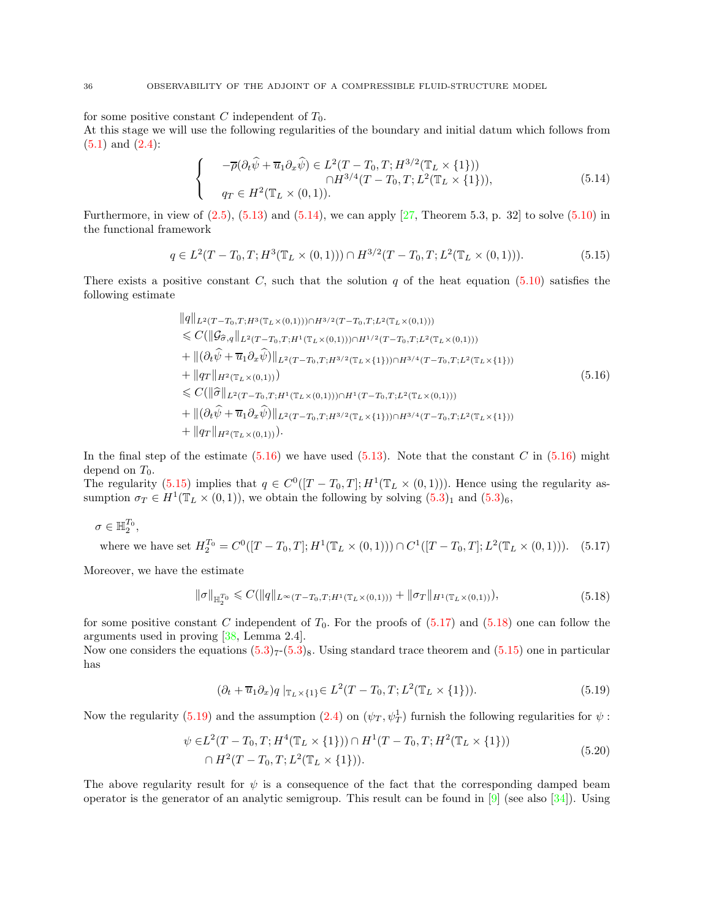for some positive constant C independent of  $T_0$ .

At this stage we will use the following regularities of the boundary and initial datum which follows from  $(5.1)$  and  $(2.4)$ :

<span id="page-35-0"></span>
$$
\begin{cases}\n-\overline{\rho}(\partial_t\widehat{\psi} + \overline{u}_1\partial_x\widehat{\psi}) \in L^2(T - T_0, T; H^{3/2}(\mathbb{T}_L \times \{1\})) \\
\Omega T \in H^{3/4}(T - T_0, T; L^2(\mathbb{T}_L \times \{1\})),\n\end{cases} (5.14)
$$

Furthermore, in view of  $(2.5)$ ,  $(5.13)$  and  $(5.14)$ , we can apply  $[27,$  Theorem 5.3, p. 32 to solve  $(5.10)$  in the functional framework

<span id="page-35-2"></span>
$$
q \in L^{2}(T - T_{0}, T; H^{3}(\mathbb{T}_{L} \times (0, 1))) \cap H^{3/2}(T - T_{0}, T; L^{2}(\mathbb{T}_{L} \times (0, 1))).
$$
\n(5.15)

There exists a positive constant C, such that the solution q of the heat equation [\(5.10\)](#page-34-4) satisfies the following estimate

<span id="page-35-1"></span>
$$
||q||_{L^{2}(T-T_{0},T;H^{3}(\mathbb{T}_{L}\times(0,1)))\cap H^{3/2}(T-T_{0},T;L^{2}(\mathbb{T}_{L}\times(0,1)))}
$$
  
\n
$$
\leq C(||\mathcal{G}_{\widehat{\sigma},q}||_{L^{2}(T-T_{0},T;H^{1}(\mathbb{T}_{L}\times(0,1)))\cap H^{1/2}(T-T_{0},T;L^{2}(\mathbb{T}_{L}\times(0,1)))}
$$
  
\n
$$
+ ||(\partial_{t}\widehat{\psi} + \overline{u}_{1}\partial_{x}\widehat{\psi})||_{L^{2}(T-T_{0},T;H^{3/2}(\mathbb{T}_{L}\times\{1\}))\cap H^{3/4}(T-T_{0},T;L^{2}(\mathbb{T}_{L}\times\{1\}))}
$$
  
\n
$$
+ ||q_{T}||_{H^{2}(\mathbb{T}_{L}\times(0,1)))}
$$
  
\n
$$
\leq C(||\widehat{\sigma}||_{L^{2}(T-T_{0},T;H^{1}(\mathbb{T}_{L}\times(0,1)))\cap H^{1}(T-T_{0},T;L^{2}(\mathbb{T}_{L}\times(0,1)))}
$$
  
\n
$$
+ ||(\partial_{t}\widehat{\psi} + \overline{u}_{1}\partial_{x}\widehat{\psi})||_{L^{2}(T-T_{0},T;H^{3/2}(\mathbb{T}_{L}\times\{1\}))\cap H^{3/4}(T-T_{0},T;L^{2}(\mathbb{T}_{L}\times\{1\}))
$$
  
\n
$$
+ ||q_{T}||_{H^{2}(\mathbb{T}_{L}\times(0,1))}).
$$
  
\n(5.16)

In the final step of the estimate  $(5.16)$  we have used  $(5.13)$ . Note that the constant C in  $(5.16)$  might depend on  $T_0$ .

The regularity  $(5.15)$  implies that  $q \in C^{0}([T - T_0, T]; H^{1}(\mathbb{T}_L \times (0, 1)))$ . Hence using the regularity assumption  $\sigma_T \in H^1(\mathbb{T}_L \times (0,1))$ , we obtain the following by solving  $(5.3)_1$  and  $(5.3)_6$ ,

$$
\sigma\in \mathbb{H}_2^{T_0},
$$

where we have set  $H_2^{T_0} = C^0([T - T_0, T]; H^1(\mathbb{T}_L \times (0, 1))) \cap C^1([T - T_0, T]; L^2(\mathbb{T}_L \times (0, 1))).$  (5.17)

Moreover, we have the estimate

<span id="page-35-4"></span><span id="page-35-3"></span>
$$
\|\sigma\|_{\mathbb{H}_2^{T_0}} \leqslant C(\|q\|_{L^\infty(T-T_0,T;H^1(\mathbb{T}_L\times(0,1)))} + \|\sigma_T\|_{H^1(\mathbb{T}_L\times(0,1))}),\tag{5.18}
$$

for some positive constant C independent of  $T_0$ . For the proofs of  $(5.17)$  and  $(5.18)$  one can follow the arguments used in proving [\[38,](#page-41-14) Lemma 2.4].

<span id="page-35-5"></span>Now one considers the equations  $(5.3)_{7}(5.3)_{8}$  $(5.3)_{7}(5.3)_{8}$ . Using standard trace theorem and  $(5.15)$  one in particular has

<span id="page-35-6"></span>
$$
(\partial_t + \overline{u}_1 \partial_x)q \mid_{\mathbb{T}_L \times \{1\}} \in L^2(T - T_0, T; L^2(\mathbb{T}_L \times \{1\})).
$$
\n
$$
(5.19)
$$

Now the regularity [\(5.19\)](#page-35-5) and the assumption [\(2.4\)](#page-11-4) on  $(\psi_T, \psi_T^1)$  furnish the following regularities for  $\psi$ :

$$
\psi \in L^2(T - T_0, T; H^4(\mathbb{T}_L \times \{1\})) \cap H^1(T - T_0, T; H^2(\mathbb{T}_L \times \{1\}))
$$
  
 
$$
\cap H^2(T - T_0, T; L^2(\mathbb{T}_L \times \{1\})).
$$
 (5.20)

The above regularity result for  $\psi$  is a consequence of the fact that the corresponding damped beam operator is the generator of an analytic semigroup. This result can be found in  $[9]$  (see also  $[34]$ ). Using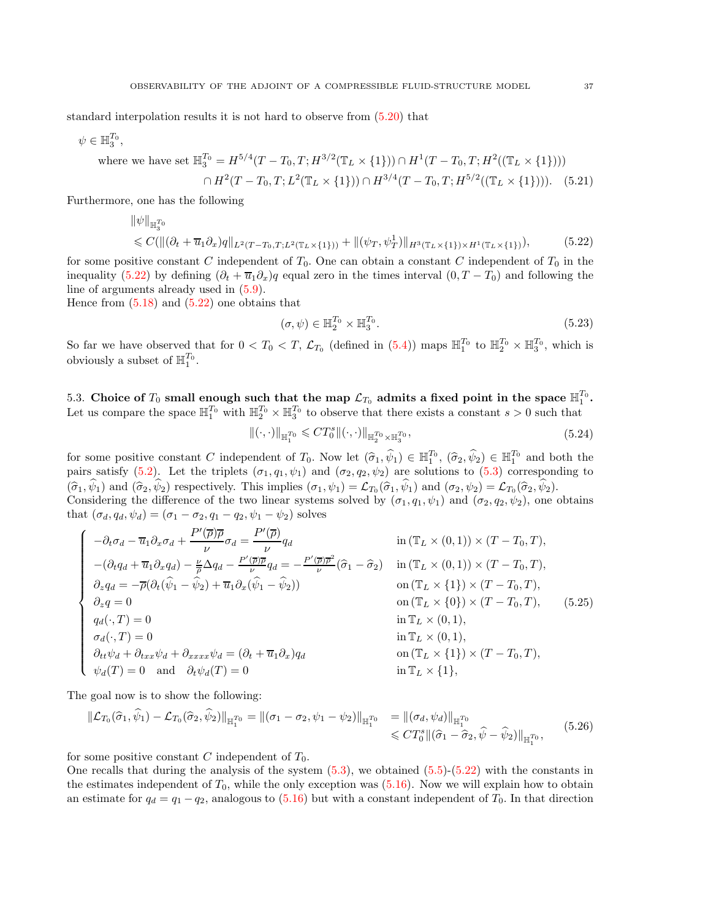standard interpolation results it is not hard to observe from [\(5.20\)](#page-35-6) that

$$
\psi \in \mathbb{H}_3^{T_0},
$$

where we have set 
$$
\mathbb{H}_{3}^{T_0} = H^{5/4}(T - T_0, T; H^{3/2}(\mathbb{T}_L \times \{1\})) \cap H^1(T - T_0, T; H^2((\mathbb{T}_L \times \{1\})))
$$
  
 $\cap H^2(T - T_0, T; L^2(\mathbb{T}_L \times \{1\})) \cap H^{3/4}(T - T_0, T; H^{5/2}((\mathbb{T}_L \times \{1\}))).$  (5.21)

Furthermore, one has the following

$$
\|\psi\|_{\mathbb{H}_3^{T_0}}\n\leq C(\|(\partial_t + \overline{u}_1 \partial_x)q\|_{L^2(T-T_0,T;L^2(\mathbb{T}_L\times\{1\}))} + \|(\psi_T, \psi_T^1)\|_{H^3(\mathbb{T}_L\times\{1\})\times H^1(\mathbb{T}_L\times\{1\})}),
$$
\n(5.22)

for some positive constant C independent of  $T_0$ . One can obtain a constant C independent of  $T_0$  in the inequality [\(5.22\)](#page-36-0) by defining  $(\partial_t + \overline{u}_1 \partial_x)q$  equal zero in the times interval  $(0, T - T_0)$  and following the line of arguments already used in [\(5.9\)](#page-34-1).

Hence from  $(5.18)$  and  $(5.22)$  one obtains that

<span id="page-36-2"></span><span id="page-36-0"></span>
$$
(\sigma, \psi) \in \mathbb{H}_2^{T_0} \times \mathbb{H}_3^{T_0}.
$$
\n
$$
(5.23)
$$

So far we have observed that for  $0 < T_0 < T$ ,  $\mathcal{L}_{T_0}$  (defined in  $(5.4)$ ) maps  $\mathbb{H}_1^{T_0}$  to  $\mathbb{H}_2^{T_0} \times \mathbb{H}_3^{T_0}$ , which is obviously a subset of  $\mathbb{H}_1^{T_0}$ .

5.3. Choice of  $T_0$  small enough such that the map  $\mathcal{L}_{T_0}$  admits a fixed point in the space  $\mathbb{H}^{T_0}_1$ . Let us compare the space  $\mathbb{H}_1^{T_0}$  with  $\mathbb{H}_2^{T_0} \times \mathbb{H}_3^{T_0}$  to observe that there exists a constant  $s > 0$  such that

<span id="page-36-1"></span>
$$
\|(\cdot,\cdot)\|_{\mathbb{H}_1^{T_0}} \leqslant C T_0^s \|(\cdot,\cdot)\|_{\mathbb{H}_2^{T_0} \times \mathbb{H}_3^{T_0}},\tag{5.24}
$$

for some positive constant C independent of  $T_0$ . Now let  $(\hat{\sigma}_1, \hat{\psi}_1) \in \mathbb{H}_1^{T_0}$ ,  $(\hat{\sigma}_2, \hat{\psi}_2) \in \mathbb{H}_1^{T_0}$  and both the pairs satisfy [\(5.2\)](#page-33-5). Let the triplets  $(\sigma_1, q_1, \psi_1)$  and  $(\sigma_2, q_2, \psi_2)$  are solutions to [\(5.3\)](#page-33-1) corresponding to  $(\widehat{\sigma}_1, \psi_1)$  and  $(\widehat{\sigma}_2, \psi_2)$  respectively. This implies  $(\sigma_1, \psi_1) = \mathcal{L}_{T_0}(\widehat{\sigma}_1, \psi_1)$  and  $(\sigma_2, \psi_2) = \mathcal{L}_{T_0}(\widehat{\sigma}_2, \psi_2)$ . Considering the difference of the two linear systems solved by  $(\sigma_1, q_1, \psi_1)$  and  $(\sigma_2, q_2, \psi_2)$ , one obtains that  $(\sigma_d, q_d, \psi_d) = (\sigma_1 - \sigma_2, q_1 - q_2, \psi_1 - \psi_2)$  solves

$$
\begin{cases}\n-\partial_t \sigma_d - \overline{u}_1 \partial_x \sigma_d + \frac{P'(\overline{\rho}) \overline{\rho}}{\nu} \sigma_d = \frac{P'(\overline{\rho})}{\nu} q_d & \text{in } (\mathbb{T}_L \times (0,1)) \times (T - T_0, T), \\
-(\partial_t q_d + \overline{u}_1 \partial_x q_d) - \frac{\nu}{\rho} \Delta q_d - \frac{P'(\overline{\rho}) \overline{\rho}}{\nu} q_d = -\frac{P'(\overline{\rho}) \overline{\rho}^2}{\nu} (\widehat{\sigma}_1 - \widehat{\sigma}_2) & \text{in } (\mathbb{T}_L \times (0,1)) \times (T - T_0, T), \\
\partial_z q_d = -\overline{\rho} (\partial_t (\widehat{\psi}_1 - \widehat{\psi}_2) + \overline{u}_1 \partial_x (\widehat{\psi}_1 - \widehat{\psi}_2)) & \text{on } (\mathbb{T}_L \times \{1\}) \times (T - T_0, T), \\
\partial_z q = 0 & \text{on } (\mathbb{T}_L \times \{0\}) \times (T - T_0, T), \\
q_d(\cdot, T) = 0 & \text{in } \mathbb{T}_L \times (0, 1), \\
\partial_{tt} \psi_d + \partial_{txx} \psi_d + \partial_{xxx} \psi_d = (\partial_t + \overline{u}_1 \partial_x) q_d & \text{on } (\mathbb{T}_L \times \{1\}) \times (T - T_0, T), \\
\psi_d(T) = 0 & \text{and } \partial_t \psi_d(T) = 0 & \text{in } \mathbb{T}_L \times \{1\}, \\
\end{cases}
$$
\n(5.25)

The goal now is to show the following:

<span id="page-36-3"></span>
$$
\|\mathcal{L}_{T_0}(\hat{\sigma}_1, \hat{\psi}_1) - \mathcal{L}_{T_0}(\hat{\sigma}_2, \hat{\psi}_2)\|_{\mathbb{H}_1^{T_0}} = \|(\sigma_1 - \sigma_2, \psi_1 - \psi_2)\|_{\mathbb{H}_1^{T_0}} = \|(\sigma_d, \psi_d)\|_{\mathbb{H}_1^{T_0}} \leq CT_0^s \|(\hat{\sigma}_1 - \hat{\sigma}_2, \hat{\psi} - \hat{\psi}_2)\|_{\mathbb{H}_1^{T_0}}, \tag{5.26}
$$

for some positive constant C independent of  $T_0$ .

One recalls that during the analysis of the system  $(5.3)$ , we obtained  $(5.5)-(5.22)$  $(5.5)-(5.22)$  with the constants in the estimates independent of  $T_0$ , while the only exception was  $(5.16)$ . Now we will explain how to obtain an estimate for  $q_d = q_1 - q_2$ , analogous to [\(5.16\)](#page-35-1) but with a constant independent of  $T_0$ . In that direction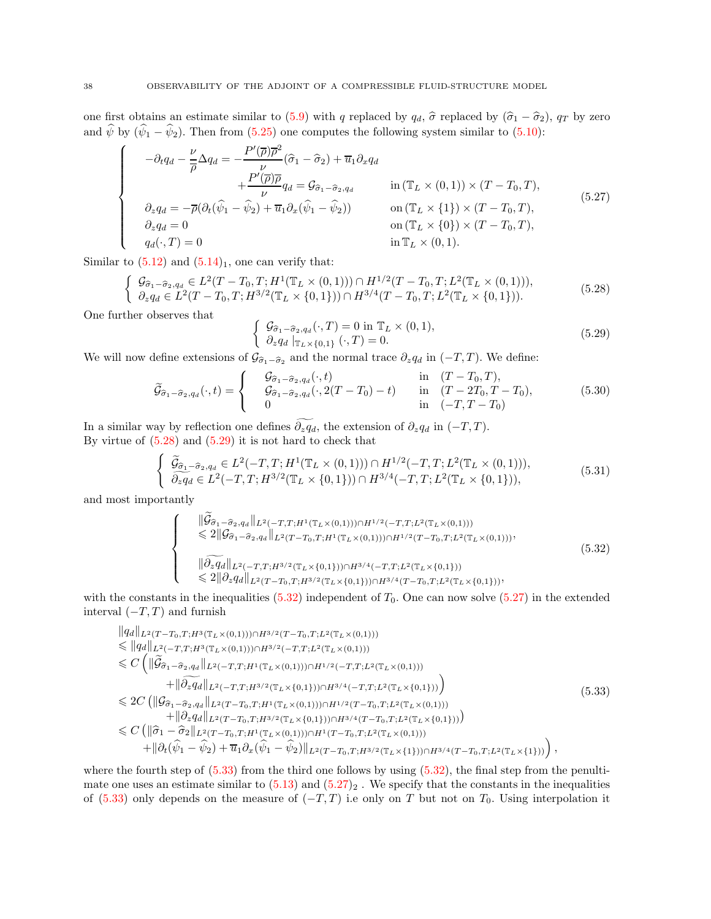one first obtains an estimate similar to [\(5.9\)](#page-34-1) with q replaced by  $q_d$ ,  $\hat{\sigma}$  replaced by  $(\hat{\sigma}_1 - \hat{\sigma}_2)$ ,  $q_T$  by zero and  $\hat{\psi}$  by  $(\hat{\psi}_1 - \hat{\psi}_2)$ . Then from [\(5.25\)](#page-36-1) one computes the following system similar to [\(5.10\)](#page-34-4):

$$
\begin{cases}\n-\partial_t q_d - \frac{\nu}{\overline{\rho}} \Delta q_d = -\frac{P'(\overline{\rho}) \overline{\rho}^2}{\nu} (\widehat{\sigma}_1 - \widehat{\sigma}_2) + \overline{u}_1 \partial_x q_d \\
+ \frac{P'(\overline{\rho}) \overline{\rho}}{\nu} q_d = \mathcal{G}_{\widehat{\sigma}_1 - \widehat{\sigma}_2, q_d} \quad \text{in } (\mathbb{T}_L \times (0, 1)) \times (T - T_0, T), \\
\partial_z q_d = -\overline{\rho} (\partial_t (\widehat{\psi}_1 - \widehat{\psi}_2) + \overline{u}_1 \partial_x (\widehat{\psi}_1 - \widehat{\psi}_2)) \quad \text{on } (\mathbb{T}_L \times \{1\}) \times (T - T_0, T), \\
\partial_z q_d = 0 \quad \text{on } (\mathbb{T}_L \times \{0\}) \times (T - T_0, T), \\
q_d(\cdot, T) = 0 \quad \text{in } \mathbb{T}_L \times (0, 1).\n\end{cases} (5.27)
$$

Similar to  $(5.12)$  and  $(5.14)_1$ , one can verify that:

$$
\begin{cases}\n\mathcal{G}_{\widehat{\sigma}_1-\widehat{\sigma}_2,q_d} \in L^2(T-T_0,T;H^1(\mathbb{T}_L \times (0,1))) \cap H^{1/2}(T-T_0,T;L^2(\mathbb{T}_L \times (0,1))),\\ \n\partial_z q_d \in L^2(T-T_0,T;H^{3/2}(\mathbb{T}_L \times \{0,1\})) \cap H^{3/4}(T-T_0,T;L^2(\mathbb{T}_L \times \{0,1\})).\n\end{cases} (5.28)
$$

One further observes that

<span id="page-37-3"></span><span id="page-37-1"></span><span id="page-37-0"></span>
$$
\begin{cases}\n\mathcal{G}_{\widehat{\sigma}_1-\widehat{\sigma}_2,q_d}(\cdot,T)=0 \text{ in } \mathbb{T}_L \times (0,1), \\
\partial_z q_d \big|_{\mathbb{T}_L \times \{0,1\}} (\cdot,T)=0.\n\end{cases}
$$
\n(5.29)

We will now define extensions of  $\mathcal{G}_{\hat{\sigma}_1-\hat{\sigma}_2}$  and the normal trace  $\partial_z q_d$  in  $(-T, T)$ . We define:

$$
\widetilde{\mathcal{G}}_{\widehat{\sigma}_1-\widehat{\sigma}_2,q_d}(\cdot,t) = \begin{cases}\n\mathcal{G}_{\widehat{\sigma}_1-\widehat{\sigma}_2,q_d}(\cdot,t) & \text{in} \quad (T-T_0,T), \\
\mathcal{G}_{\widehat{\sigma}_1-\widehat{\sigma}_2,q_d}(\cdot,2(T-T_0)-t) & \text{in} \quad (T-2T_0,T-T_0), \\
0 & \text{in} \quad (-T,T-T_0)\n\end{cases}
$$
\n(5.30)

In a similar way by reflection one defines  $\widetilde{\partial_z q_d}$ , the extension of  $\partial_z q_d$  in  $(-T, T)$ . By virtue of  $(5.28)$  and  $(5.29)$  it is not hard to check that

$$
\begin{cases} \ \tilde{\mathcal{G}}_{\hat{\sigma}_1 - \hat{\sigma}_2, q_d} \in L^2(-T, T; H^1(\mathbb{T}_L \times (0, 1))) \cap H^{1/2}(-T, T; L^2(\mathbb{T}_L \times (0, 1))), \\ \ \tilde{\partial}_z q_d \in L^2(-T, T; H^{3/2}(\mathbb{T}_L \times \{0, 1\})) \cap H^{3/4}(-T, T; L^2(\mathbb{T}_L \times \{0, 1\})), \end{cases} \tag{5.31}
$$

and most importantly

<span id="page-37-4"></span><span id="page-37-2"></span>
$$
\begin{cases}\n\|\widetilde{\mathcal{G}}_{\widehat{\sigma}_1-\widehat{\sigma}_2,q_d}\|_{L^2(-T,T;H^1(\mathbb{T}_L\times(0,1)))\cap H^{1/2}(-T,T;L^2(\mathbb{T}_L\times(0,1))) \\
\leq 2\|\mathcal{G}_{\widehat{\sigma}_1-\widehat{\sigma}_2,q_d}\|_{L^2(T-T_0,T;H^1(\mathbb{T}_L\times(0,1)))\cap H^{1/2}(T-T_0,T;L^2(\mathbb{T}_L\times(0,1)))}, \\
\|\widehat{\partial_z q_d}\|_{L^2(-T,T;H^{3/2}(\mathbb{T}_L\times\{0,1\}))\cap H^{3/4}(-T,T;L^2(\mathbb{T}_L\times\{0,1\}))} \\
\leq 2\|\partial_z q_d\|_{L^2(T-T_0,T;H^{3/2}(\mathbb{T}_L\times\{0,1\}))\cap H^{3/4}(T-T_0,T;L^2(\mathbb{T}_L\times\{0,1\}))},\n\end{cases} (5.32)
$$

with the constants in the inequalities  $(5.32)$  independent of  $T_0$ . One can now solve  $(5.27)$  in the extended interval  $(-T, T)$  and furnish

$$
\|q_d\|_{L^2(T-T_0,T;H^3(\mathbb{T}_L\times(0,1)))\cap H^{3/2}(T-T_0,T;L^2(\mathbb{T}_L\times(0,1)))}
$$
\n
$$
\leq \|q_d\|_{L^2(-T,T;H^3(\mathbb{T}_L\times(0,1)))\cap H^{3/2}(-T,T;L^2(\mathbb{T}_L\times(0,1)))}
$$
\n
$$
\leq C\left(\|\tilde{\mathcal{G}}_{\tilde{\sigma}_1-\tilde{\sigma}_2,q_d}\|_{L^2(-T,T;H^1(\mathbb{T}_L\times(0,1)))\cap H^{1/2}(-T,T;L^2(\mathbb{T}_L\times(0,1)))}
$$
\n
$$
+\|\tilde{\partial}_z q_d\|_{L^2(-T,T;H^{3/2}(\mathbb{T}_L\times\{0,1\}))\cap H^{3/4}(-T,T;L^2(\mathbb{T}_L\times\{0,1\}))}\right)
$$
\n
$$
\leq 2C\left(\|\mathcal{G}_{\tilde{\sigma}_1-\tilde{\sigma}_2,q_d}\|_{L^2(T-T_0,T;H^1(\mathbb{T}_L\times(0,1)))\cap H^{1/2}(T-T_0,T;L^2(\mathbb{T}_L\times(0,1)))}\right)
$$
\n
$$
+\|\partial_z q_d\|_{L^2(T-T_0,T;H^{3/2}(\mathbb{T}_L\times\{0,1\}))\cap H^{3/4}(T-T_0,T;L^2(\mathbb{T}_L\times\{0,1\}))}\right)
$$
\n
$$
\leq C\left(\|\hat{\sigma}_1-\hat{\sigma}_2\|_{L^2(T-T_0,T;H^1(\mathbb{T}_L\times(0,1)))\cap H^1(T-T_0,T;L^2(\mathbb{T}_L\times(0,1)))}\right)
$$
\n
$$
+\|\partial_t(\hat{\psi}_1-\hat{\psi}_2)+\overline{u}_1\partial_x(\hat{\psi}_1-\hat{\psi}_2)\|_{L^2(T-T_0,T;H^{3/2}(\mathbb{T}_L\times\{1\}))\cap H^{3/4}(T-T_0,T;L^2(\mathbb{T}_L\times\{1\}))}\right),
$$
\n(5.33)

where the fourth step of  $(5.33)$  from the third one follows by using  $(5.32)$ , the final step from the penultimate one uses an estimate similar to  $(5.13)$  and  $(5.27)_2$ . We specify that the constants in the inequalities of [\(5.33\)](#page-37-4) only depends on the measure of  $(-T, T)$  i.e only on T but not on  $T_0$ . Using interpolation it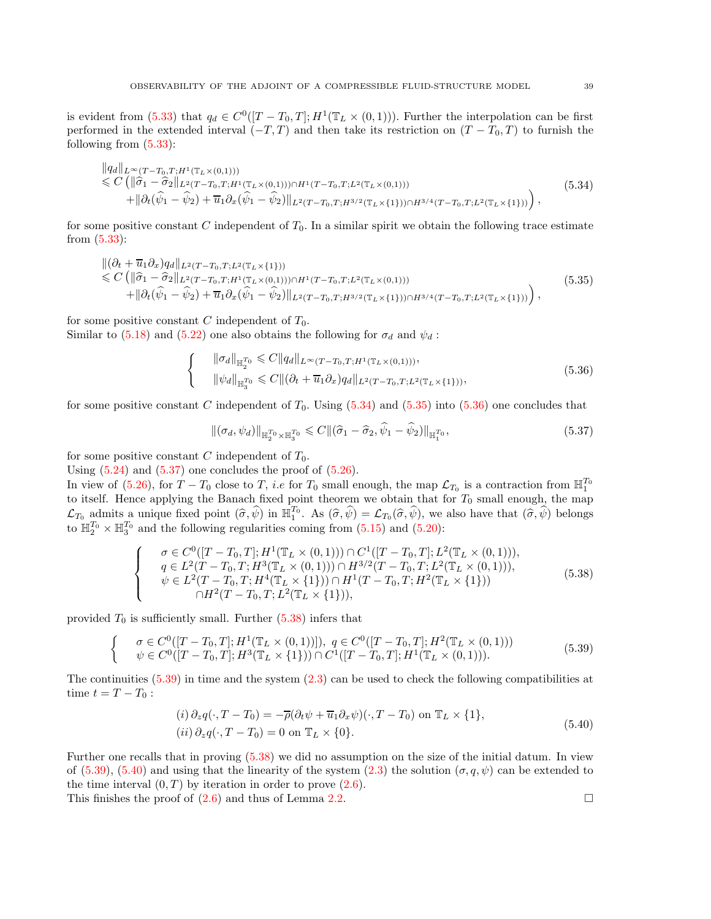is evident from  $(5.33)$  that  $q_d \in C^0([T - T_0, T]; H^1(\mathbb{T}_L \times (0, 1)))$ . Further the interpolation can be first performed in the extended interval  $(-T, T)$  and then take its restriction on  $(T - T_0, T)$  to furnish the following from [\(5.33\)](#page-37-4):

<span id="page-38-0"></span>
$$
\|q_d\|_{L^{\infty}(T-T_0,T;H^1(\mathbb{T}_L\times(0,1)))}\n\leq C\left(\|\hat{\sigma}_1-\hat{\sigma}_2\|_{L^2(T-T_0,T;H^1(\mathbb{T}_L\times(0,1)))\cap H^1(T-T_0,T;L^2(\mathbb{T}_L\times(0,1)))}\n+ \|\partial_t(\hat{\psi}_1-\hat{\psi}_2)+\overline{u}_1\partial_x(\hat{\psi}_1-\hat{\psi}_2)\|_{L^2(T-T_0,T;H^{3/2}(\mathbb{T}_L\times\{1\}))\cap H^{3/4}(T-T_0,T;L^2(\mathbb{T}_L\times\{1\}))}\right),
$$
\n(5.34)

for some positive constant C independent of  $T_0$ . In a similar spirit we obtain the following trace estimate from [\(5.33\)](#page-37-4):

<span id="page-38-1"></span>
$$
\begin{split} &\|(\partial_t + \overline{u}_1 \partial_x)q_d\|_{L^2(T - T_0, T; L^2(\mathbb{T}_L \times \{1\}))} \\ &\leq C\left(\|\widehat{\sigma}_1 - \widehat{\sigma}_2\|_{L^2(T - T_0, T; H^1(\mathbb{T}_L \times (0, 1))) \cap H^1(T - T_0, T; L^2(\mathbb{T}_L \times (0, 1)))} \\ &\quad + \|\partial_t(\widehat{\psi}_1 - \widehat{\psi}_2) + \overline{u}_1 \partial_x(\widehat{\psi}_1 - \widehat{\psi}_2)\|_{L^2(T - T_0, T; H^{3/2}(\mathbb{T}_L \times \{1\})) \cap H^{3/4}(T - T_0, T; L^2(\mathbb{T}_L \times \{1\})))}\right), \end{split} \tag{5.35}
$$

for some positive constant C independent of  $T_0$ . Similar to [\(5.18\)](#page-35-4) and [\(5.22\)](#page-36-0) one also obtains the following for  $\sigma_d$  and  $\psi_d$ :

$$
\begin{cases}\n\|\sigma_d\|_{\mathbb{H}_2^{T_0}} \leq C \|q_d\|_{L^\infty(T - T_0, T; H^1(\mathbb{T}_L \times (0, 1)))}, \\
\|\psi_d\|_{\mathbb{H}_3^{T_0}} \leq C \|(\partial_t + \overline{u}_1 \partial_x) q_d\|_{L^2(T - T_0, T; L^2(\mathbb{T}_L \times \{1\})))},\n\end{cases} (5.36)
$$

for some positive constant C independent of  $T_0$ . Using  $(5.34)$  and  $(5.35)$  into  $(5.36)$  one concludes that

<span id="page-38-4"></span><span id="page-38-3"></span><span id="page-38-2"></span>
$$
\left\| \left( \sigma_d, \psi_d \right) \right\|_{\mathbb{H}_2^{T_0} \times \mathbb{H}_3^{T_0}} \leqslant C \left\| \left( \hat{\sigma}_1 - \hat{\sigma}_2, \hat{\psi}_1 - \hat{\psi}_2 \right) \right\|_{\mathbb{H}_1^{T_0}},\tag{5.37}
$$

for some positive constant C independent of  $T_0$ .

Using  $(5.24)$  and  $(5.37)$  one concludes the proof of  $(5.26)$ .

In view of  $(5.26)$ , for  $T - T_0$  close to T, *i.e* for  $T_0$  small enough, the map  $\mathcal{L}_{T_0}$  is a contraction from  $\mathbb{H}_1^{T_0}$ to itself. Hence applying the Banach fixed point theorem we obtain that for  $T_0$  small enough, the map  $\mathcal{L}_{T_0}$  admits a unique fixed point  $(\widehat{\sigma}, \widehat{\psi})$  in  $\mathbb{H}_1^{T_0}$ . As  $(\widehat{\sigma}, \widehat{\psi}) = \mathcal{L}_{T_0}(\widehat{\sigma}, \widehat{\psi})$ , we also have that  $(\widehat{\sigma}, \widehat{\psi})$  belongs to  $\mathbb{H}_2^{T_0} \times \mathbb{H}_3^{T_0}$  and the following regularities coming from [\(5.15\)](#page-35-2) and [\(5.20\)](#page-35-6):

$$
\begin{cases}\n\sigma \in C^{0}([T-T_{0},T]; H^{1}(\mathbb{T}_{L} \times (0,1))) \cap C^{1}([T-T_{0},T]; L^{2}(\mathbb{T}_{L} \times (0,1))), \\
q \in L^{2}(T-T_{0},T; H^{3}(\mathbb{T}_{L} \times (0,1))) \cap H^{3/2}(T-T_{0},T; L^{2}(\mathbb{T}_{L} \times (0,1))), \\
\psi \in L^{2}(T-T_{0},T; H^{4}(\mathbb{T}_{L} \times \{1\})) \cap H^{1}(T-T_{0},T; H^{2}(\mathbb{T}_{L} \times \{1\}))) \\
\cap H^{2}(T-T_{0},T; L^{2}(\mathbb{T}_{L} \times \{1\})),\n\end{cases} (5.38)
$$

provided  $T_0$  is sufficiently small. Further  $(5.38)$  infers that

$$
\begin{cases}\n\sigma \in C^{0}([T - T_{0}, T]; H^{1}(\mathbb{T}_{L} \times (0, 1))], q \in C^{0}([T - T_{0}, T]; H^{2}(\mathbb{T}_{L} \times (0, 1))) \\
\psi \in C^{0}([T - T_{0}, T]; H^{3}(\mathbb{T}_{L} \times \{1\})) \cap C^{1}([T - T_{0}, T]; H^{1}(\mathbb{T}_{L} \times (0, 1))).\n\end{cases}
$$
\n(5.39)

The continuities  $(5.39)$  in time and the system  $(2.3)$  can be used to check the following compatibilities at time  $t = T - T_0$ :

<span id="page-38-6"></span><span id="page-38-5"></span>
$$
(i) \partial_z q(\cdot, T - T_0) = -\overline{\rho}(\partial_t \psi + \overline{u}_1 \partial_x \psi)(\cdot, T - T_0) \text{ on } \mathbb{T}_L \times \{1\},
$$
  
\n
$$
(ii) \partial_z q(\cdot, T - T_0) = 0 \text{ on } \mathbb{T}_L \times \{0\}.
$$
\n(5.40)

Further one recalls that in proving [\(5.38\)](#page-38-4) we did no assumption on the size of the initial datum. In view of [\(5.39\)](#page-38-5), [\(5.40\)](#page-38-6) and using that the linearity of the system [\(2.3\)](#page-11-1) the solution  $(\sigma, q, \psi)$  can be extended to the time interval  $(0, T)$  by iteration in order to prove  $(2.6)$ .

This finishes the proof of  $(2.6)$  and thus of Lemma [2.2.](#page-11-2)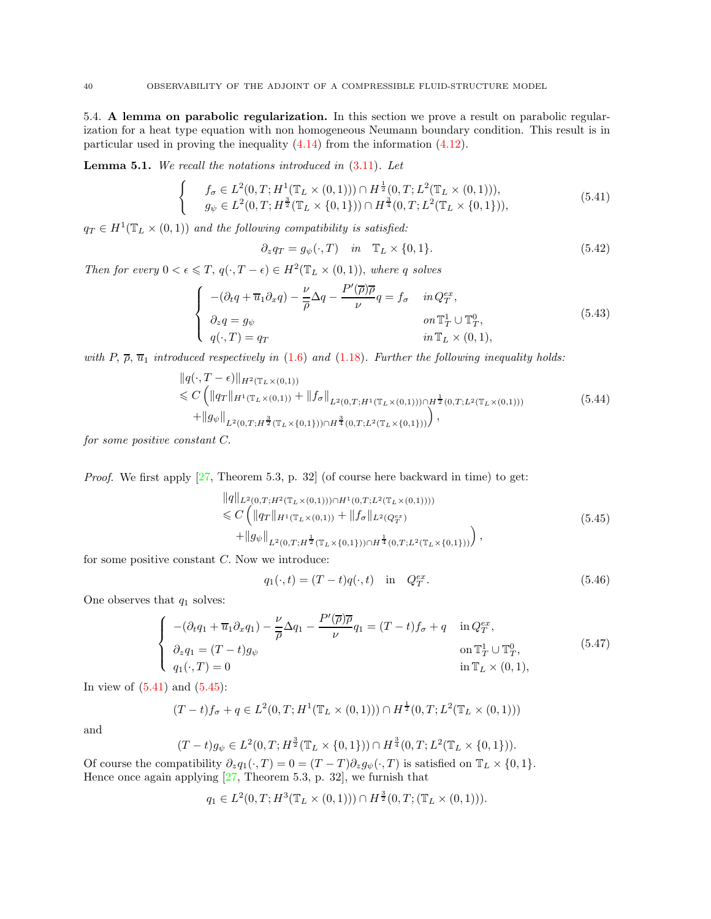5.4. A lemma on parabolic regularization. In this section we prove a result on parabolic regularization for a heat type equation with non homogeneous Neumann boundary condition. This result is in particular used in proving the inequality [\(4.14\)](#page-31-5) from the information [\(4.12\)](#page-31-3).

<span id="page-39-0"></span>**Lemma 5.1.** We recall the notations introduced in  $(3.11)$ . Let

$$
\begin{cases}\n f_{\sigma} \in L^{2}(0, T; H^{1}(\mathbb{T}_{L} \times (0, 1))) \cap H^{\frac{1}{2}}(0, T; L^{2}(\mathbb{T}_{L} \times (0, 1))), \\
 g_{\psi} \in L^{2}(0, T; H^{\frac{3}{2}}(\mathbb{T}_{L} \times \{0, 1\})) \cap H^{\frac{3}{4}}(0, T; L^{2}(\mathbb{T}_{L} \times \{0, 1\})),\n\end{cases}
$$
\n(5.41)

 $q_T \in H^1(\mathbb{T}_L \times (0,1))$  and the following compatibility is satisfied:

<span id="page-39-4"></span><span id="page-39-1"></span>
$$
\partial_z q_T = g_{\psi}(\cdot, T) \quad in \quad \mathbb{T}_L \times \{0, 1\}. \tag{5.42}
$$

Then for every  $0 < \epsilon \leq T$ ,  $q(\cdot, T - \epsilon) \in H^2(\mathbb{T}_L \times (0, 1))$ , where q solves

$$
\begin{cases}\n-(\partial_t q + \overline{u}_1 \partial_x q) - \frac{\nu}{\overline{\rho}} \Delta q - \frac{P'(\overline{\rho}) \overline{\rho}}{\nu} q = f_\sigma & \text{in } Q_T^{ex}, \\
\partial_z q = g_\psi & \text{on } \mathbb{T}_T^1 \cup \mathbb{T}_T^0, \\
q(\cdot, T) = q_T & \text{in } \mathbb{T}_L \times (0, 1),\n\end{cases}
$$
\n(5.43)

with P,  $\overline{\rho}$ ,  $\overline{u}_1$  introduced respectively in [\(1.6\)](#page-2-4) and [\(1.18\)](#page-5-3). Further the following inequality holds:

$$
\|q(\cdot,T-\epsilon)\|_{H^2(\mathbb{T}_L\times(0,1))}
$$
  
\n
$$
\leq C \left( \|q_T\|_{H^1(\mathbb{T}_L\times(0,1))} + \|f_{\sigma}\|_{L^2(0,T;H^1(\mathbb{T}_L\times(0,1)))\cap H^{\frac{1}{2}}(0,T;L^2(\mathbb{T}_L\times(0,1)))}
$$
  
\n
$$
+ \|g_{\psi}\|_{L^2(0,T;H^{\frac{3}{2}}(\mathbb{T}_L\times\{0,1\}))\cap H^{\frac{3}{4}}(0,T;L^2(\mathbb{T}_L\times\{0,1\}))} \right),
$$
\n(5.44)

for some positive constant C.

*Proof.* We first apply  $[27,$  Theorem 5.3, p. 32 (of course here backward in time) to get:

$$
\|q\|_{L^{2}(0,T;H^{2}(\mathbb{T}_{L}\times(0,1)))\cap H^{1}(0,T;L^{2}(\mathbb{T}_{L}\times(0,1))))} \n\leq C \left( \|q_{T}\|_{H^{1}(\mathbb{T}_{L}\times(0,1))} + \|f_{\sigma}\|_{L^{2}(Q_{T}^{ex})} + \|g_{\psi}\|_{L^{2}(0,T;H^{\frac{1}{2}}(\mathbb{T}_{L}\times\{0,1\}))\cap H^{\frac{1}{4}}(0,T;L^{2}(\mathbb{T}_{L}\times\{0,1\}))} \right),
$$
\n(5.45)

for some positive constant  $C$ . Now we introduce:

<span id="page-39-3"></span><span id="page-39-2"></span>
$$
q_1(\cdot, t) = (T - t)q(\cdot, t) \quad \text{in} \quad Q_T^{ex}.\tag{5.46}
$$

One observes that  $q_1$  solves:

$$
\begin{cases}\n-(\partial_t q_1 + \overline{u}_1 \partial_x q_1) - \frac{\nu}{\overline{\rho}} \Delta q_1 - \frac{P'(\overline{\rho}) \overline{\rho}}{\nu} q_1 = (T - t) f_\sigma + q & \text{in } Q_T^{ex}, \\
\partial_z q_1 = (T - t) g_\psi & \text{on } \mathbb{T}_T^1 \cup \mathbb{T}_T^0, \\
q_1(\cdot, T) = 0 & \text{in } \mathbb{T}_L \times (0, 1),\n\end{cases}
$$
\n
$$
(5.47)
$$

In view of  $(5.41)$  and  $(5.45)$ :

$$
(T-t)f_{\sigma} + q \in L^{2}(0,T; H^{1}(\mathbb{T}_{L} \times (0,1))) \cap H^{\frac{1}{2}}(0,T; L^{2}(\mathbb{T}_{L} \times (0,1)))
$$

and

$$
(T-t)g_{\psi} \in L^{2}(0,T; H^{\frac{3}{2}}(\mathbb{T}_{L}\times\{0,1\}))\cap H^{\frac{3}{4}}(0,T; L^{2}(\mathbb{T}_{L}\times\{0,1\})).
$$

Of course the compatibility  $\partial_z q_1(\cdot, T) = 0 = (T - T) \partial_z q_{\psi}(\cdot, T)$  is satisfied on  $\mathbb{T}_L \times \{0, 1\}.$ Hence once again applying [\[27,](#page-41-12) Theorem 5.3, p. 32], we furnish that

$$
q_1 \in L^2(0,T;H^3(\mathbb{T}_L \times (0,1))) \cap H^{\frac{3}{2}}(0,T;(\mathbb{T}_L \times (0,1))).
$$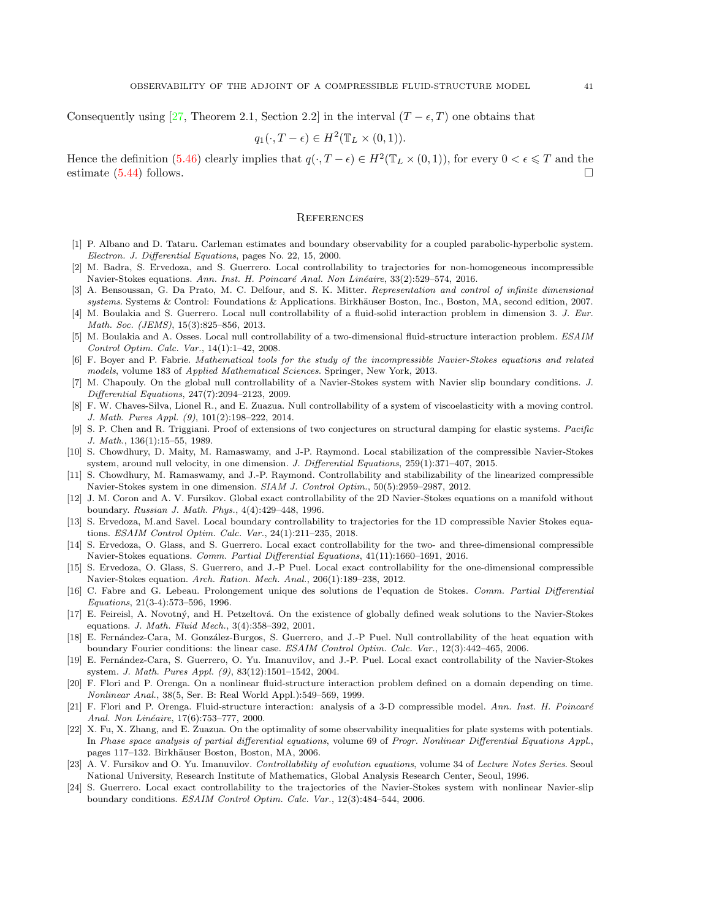Consequently using [\[27,](#page-41-12) Theorem 2.1, Section 2.2] in the interval  $(T - \epsilon, T)$  one obtains that

$$
q_1(\cdot, T - \epsilon) \in H^2(\mathbb{T}_L \times (0, 1)).
$$

Hence the definition [\(5.46\)](#page-39-3) clearly implies that  $q(\cdot, T - \epsilon) \in H^2(\mathbb{T}_L \times (0,1))$ , for every  $0 < \epsilon \leq T$  and the estimate  $(5.44)$  follows.

### **REFERENCES**

- <span id="page-40-10"></span><span id="page-40-4"></span>[1] P. Albano and D. Tataru. Carleman estimates and boundary observability for a coupled parabolic-hyperbolic system. Electron. J. Differential Equations, pages No. 22, 15, 2000.
- [2] M. Badra, S. Ervedoza, and S. Guerrero. Local controllability to trajectories for non-homogeneous incompressible Navier-Stokes equations. Ann. Inst. H. Poincaré Anal. Non Linéaire, 33(2):529–574, 2016.
- [3] A. Bensoussan, G. Da Prato, M. C. Delfour, and S. K. Mitter. Representation and control of infinite dimensional systems. Systems & Control: Foundations & Applications. Birkhäuser Boston, Inc., Boston, MA, second edition, 2007.
- <span id="page-40-14"></span>[4] M. Boulakia and S. Guerrero. Local null controllability of a fluid-solid interaction problem in dimension 3. J. Eur. Math. Soc. (JEMS), 15(3):825–856, 2013.
- <span id="page-40-13"></span>[5] M. Boulakia and A. Osses. Local null controllability of a two-dimensional fluid-structure interaction problem. ESAIM Control Optim. Calc. Var., 14(1):1–42, 2008.
- [6] F. Boyer and P. Fabrie. Mathematical tools for the study of the incompressible Navier-Stokes equations and related models, volume 183 of Applied Mathematical Sciences. Springer, New York, 2013.
- <span id="page-40-12"></span>[7] M. Chapouly. On the global null controllability of a Navier-Stokes system with Navier slip boundary conditions. J. Differential Equations, 247(7):2094–2123, 2009.
- <span id="page-40-5"></span>[8] F. W. Chaves-Silva, Lionel R., and E. Zuazua. Null controllability of a system of viscoelasticity with a moving control. J. Math. Pures Appl. (9), 101(2):198–222, 2014.
- <span id="page-40-20"></span>[9] S. P. Chen and R. Triggiani. Proof of extensions of two conjectures on structural damping for elastic systems. Pacific J. Math., 136(1):15–55, 1989.
- <span id="page-40-17"></span>[10] S. Chowdhury, D. Maity, M. Ramaswamy, and J-P. Raymond. Local stabilization of the compressible Navier-Stokes system, around null velocity, in one dimension. J. Differential Equations, 259(1):371–407, 2015.
- <span id="page-40-18"></span>[11] S. Chowdhury, M. Ramaswamy, and J.-P. Raymond. Controllability and stabilizability of the linearized compressible Navier-Stokes system in one dimension. SIAM J. Control Optim., 50(5):2959–2987, 2012.
- <span id="page-40-11"></span>[12] J. M. Coron and A. V. Fursikov. Global exact controllability of the 2D Navier-Stokes equations on a manifold without boundary. Russian J. Math. Phys., 4(4):429–448, 1996.
- [13] S. Ervedoza, M.and Savel. Local boundary controllability to trajectories for the 1D compressible Navier Stokes equations. ESAIM Control Optim. Calc. Var., 24(1):211–235, 2018.
- <span id="page-40-2"></span>[14] S. Ervedoza, O. Glass, and S. Guerrero. Local exact controllability for the two- and three-dimensional compressible Navier-Stokes equations. Comm. Partial Differential Equations,  $41(11):1660-1691$ , 2016.
- <span id="page-40-16"></span>[15] S. Ervedoza, O. Glass, S. Guerrero, and J.-P Puel. Local exact controllability for the one-dimensional compressible Navier-Stokes equation. Arch. Ration. Mech. Anal., 206(1):189–238, 2012.
- <span id="page-40-19"></span>[16] C. Fabre and G. Lebeau. Prolongement unique des solutions de l'equation de Stokes. Comm. Partial Differential Equations, 21(3-4):573–596, 1996.
- <span id="page-40-3"></span>[17] E. Feireisl, A. Novotný, and H. Petzeltová. On the existence of globally defined weak solutions to the Navier-Stokes equations. J. Math. Fluid Mech., 3(4):358–392, 2001.
- <span id="page-40-6"></span>[18] E. Fernández-Cara, M. González-Burgos, S. Guerrero, and J.-P Puel. Null controllability of the heat equation with boundary Fourier conditions: the linear case. ESAIM Control Optim. Calc. Var., 12(3):442–465, 2006.
- <span id="page-40-8"></span>[19] E. Fernández-Cara, S. Guerrero, O. Yu. Imanuvilov, and J.-P. Puel. Local exact controllability of the Navier-Stokes system. J. Math. Pures Appl. (9), 83(12):1501–1542, 2004.
- <span id="page-40-1"></span>[20] F. Flori and P. Orenga. On a nonlinear fluid-structure interaction problem defined on a domain depending on time. Nonlinear Anal., 38(5, Ser. B: Real World Appl.):549–569, 1999.
- <span id="page-40-0"></span>[21] F. Flori and P. Orenga. Fluid-structure interaction: analysis of a 3-D compressible model. Ann. Inst. H. Poincaré Anal. Non Linéaire, 17(6):753–777, 2000.
- <span id="page-40-15"></span>[22] X. Fu, X. Zhang, and E. Zuazua. On the optimality of some observability inequalities for plate systems with potentials. In Phase space analysis of partial differential equations, volume 69 of Progr. Nonlinear Differential Equations Appl., pages 117–132. Birkhäuser Boston, Boston, MA, 2006.
- <span id="page-40-7"></span>A. V. Fursikov and O. Yu. Imanuvilov. Controllability of evolution equations, volume 34 of Lecture Notes Series. Seoul National University, Research Institute of Mathematics, Global Analysis Research Center, Seoul, 1996.
- <span id="page-40-9"></span>[24] S. Guerrero. Local exact controllability to the trajectories of the Navier-Stokes system with nonlinear Navier-slip boundary conditions. ESAIM Control Optim. Calc. Var., 12(3):484–544, 2006.